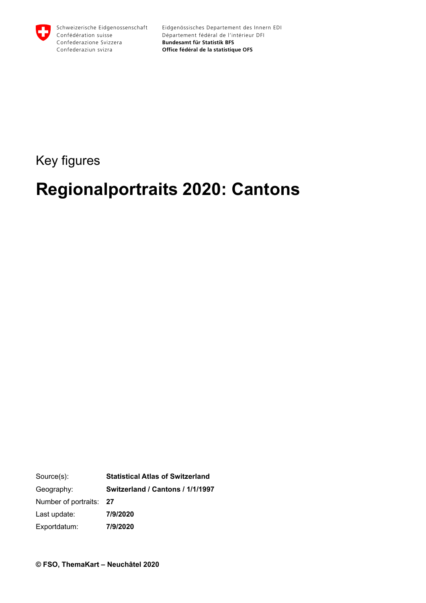

# Key figures

# **Regionalportraits 2020: Cantons**

Source(s): Geography: Number of portraits: Last update: Exportdatum: **Statistical Atlas of Switzerland Switzerland / Cantons / 1/1/1997 27 7/9/2020 7/9/2020**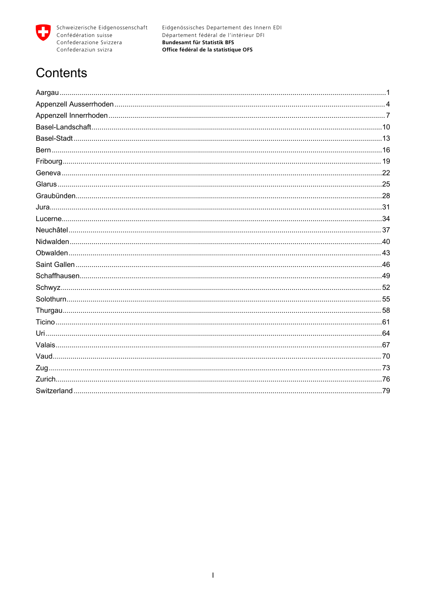

# Contents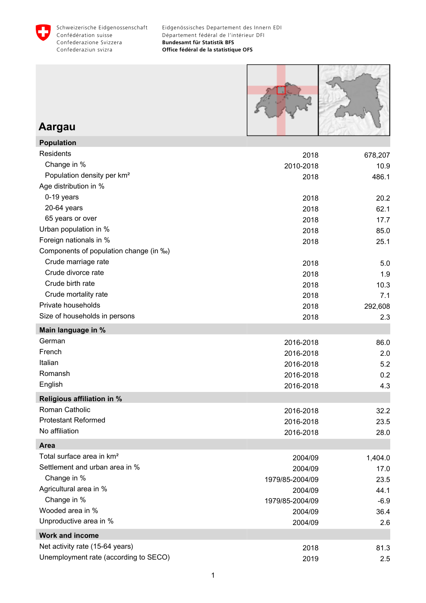<span id="page-2-0"></span>



### **Aargau**

| <b>Population</b>                      |                 |         |
|----------------------------------------|-----------------|---------|
| Residents                              | 2018            | 678,207 |
| Change in %                            | 2010-2018       | 10.9    |
| Population density per km <sup>2</sup> | 2018            | 486.1   |
| Age distribution in %                  |                 |         |
| 0-19 years                             | 2018            | 20.2    |
| 20-64 years                            | 2018            | 62.1    |
| 65 years or over                       | 2018            | 17.7    |
| Urban population in %                  | 2018            | 85.0    |
| Foreign nationals in %                 | 2018            | 25.1    |
| Components of population change (in ‰) |                 |         |
| Crude marriage rate                    | 2018            | 5.0     |
| Crude divorce rate                     | 2018            | 1.9     |
| Crude birth rate                       | 2018            | 10.3    |
| Crude mortality rate                   | 2018            | 7.1     |
| Private households                     | 2018            | 292,608 |
| Size of households in persons          | 2018            | 2.3     |
| Main language in %                     |                 |         |
| German                                 | 2016-2018       | 86.0    |
| French                                 | 2016-2018       | 2.0     |
| Italian                                | 2016-2018       | 5.2     |
| Romansh                                | 2016-2018       | 0.2     |
| English                                | 2016-2018       | 4.3     |
| <b>Religious affiliation in %</b>      |                 |         |
| Roman Catholic                         | 2016-2018       | 32.2    |
| <b>Protestant Reformed</b>             | 2016-2018       | 23.5    |
| No affiliation                         | 2016-2018       | 28.0    |
| Area                                   |                 |         |
| Total surface area in km <sup>2</sup>  | 2004/09         | 1,404.0 |
| Settlement and urban area in %         | 2004/09         | 17.0    |
| Change in %                            | 1979/85-2004/09 | 23.5    |
| Agricultural area in %                 | 2004/09         | 44.1    |
| Change in %                            | 1979/85-2004/09 | $-6.9$  |
| Wooded area in %                       | 2004/09         | 36.4    |
| Unproductive area in %                 | 2004/09         | 2.6     |
| <b>Work and income</b>                 |                 |         |
| Net activity rate (15-64 years)        | 2018            | 81.3    |
| Unemployment rate (according to SECO)  | 2019            | 2.5     |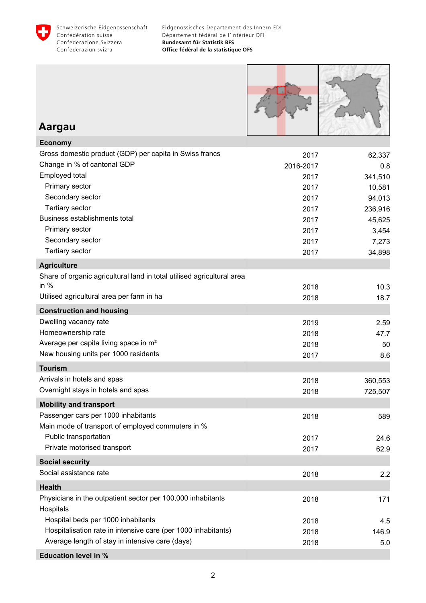



#### **Aargau**

| <b>Economy</b>                                                                   |           |         |
|----------------------------------------------------------------------------------|-----------|---------|
| Gross domestic product (GDP) per capita in Swiss francs                          | 2017      | 62,337  |
| Change in % of cantonal GDP                                                      | 2016-2017 | 0.8     |
| Employed total                                                                   | 2017      | 341,510 |
| Primary sector                                                                   | 2017      | 10,581  |
| Secondary sector                                                                 | 2017      | 94,013  |
| <b>Tertiary sector</b>                                                           | 2017      | 236,916 |
| Business establishments total                                                    | 2017      | 45,625  |
| Primary sector                                                                   | 2017      | 3,454   |
| Secondary sector                                                                 | 2017      | 7,273   |
| <b>Tertiary sector</b>                                                           | 2017      | 34,898  |
| <b>Agriculture</b>                                                               |           |         |
| Share of organic agricultural land in total utilised agricultural area<br>in $%$ |           |         |
| Utilised agricultural area per farm in ha                                        | 2018      | 10.3    |
|                                                                                  | 2018      | 18.7    |
| <b>Construction and housing</b>                                                  |           |         |
| Dwelling vacancy rate                                                            | 2019      | 2.59    |
| Homeownership rate                                                               | 2018      | 47.7    |
| Average per capita living space in m <sup>2</sup>                                | 2018      | 50      |
| New housing units per 1000 residents                                             | 2017      | 8.6     |
| <b>Tourism</b>                                                                   |           |         |
| Arrivals in hotels and spas                                                      | 2018      | 360,553 |
| Overnight stays in hotels and spas                                               | 2018      | 725,507 |
| <b>Mobility and transport</b>                                                    |           |         |
| Passenger cars per 1000 inhabitants                                              | 2018      | 589     |
| Main mode of transport of employed commuters in %                                |           |         |
| Public transportation                                                            | 2017      | 24.6    |
| Private motorised transport                                                      | 2017      | 62.9    |
| <b>Social security</b>                                                           |           |         |
| Social assistance rate                                                           | 2018      | 2.2     |
| <b>Health</b>                                                                    |           |         |
| Physicians in the outpatient sector per 100,000 inhabitants                      | 2018      | 171     |
| Hospitals                                                                        |           |         |
| Hospital beds per 1000 inhabitants                                               | 2018      | 4.5     |
| Hospitalisation rate in intensive care (per 1000 inhabitants)                    | 2018      | 146.9   |
| Average length of stay in intensive care (days)                                  | 2018      | 5.0     |
| <b>Education level in %</b>                                                      |           |         |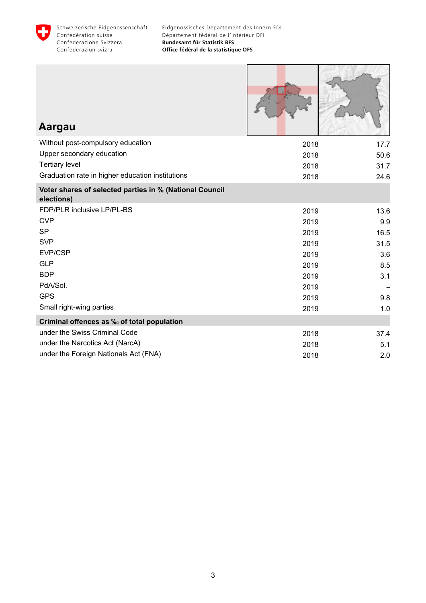

| Aargau                                                                |      |      |
|-----------------------------------------------------------------------|------|------|
| Without post-compulsory education                                     | 2018 | 17.7 |
| Upper secondary education                                             | 2018 | 50.6 |
| <b>Tertiary level</b>                                                 | 2018 | 31.7 |
| Graduation rate in higher education institutions                      | 2018 | 24.6 |
| Voter shares of selected parties in % (National Council<br>elections) |      |      |
| FDP/PLR inclusive LP/PL-BS                                            | 2019 | 13.6 |
| <b>CVP</b>                                                            | 2019 | 9.9  |
| <b>SP</b>                                                             | 2019 | 16.5 |
| <b>SVP</b>                                                            | 2019 | 31.5 |
| EVP/CSP                                                               | 2019 | 3.6  |
| <b>GLP</b>                                                            | 2019 | 8.5  |
| <b>BDP</b>                                                            | 2019 | 3.1  |
| PdA/Sol.                                                              | 2019 |      |
| <b>GPS</b>                                                            | 2019 | 9.8  |
| Small right-wing parties                                              | 2019 | 1.0  |
| Criminal offences as ‰ of total population                            |      |      |
| under the Swiss Criminal Code                                         | 2018 | 37.4 |
| under the Narcotics Act (NarcA)                                       | 2018 | 5.1  |
| under the Foreign Nationals Act (FNA)                                 | 2018 | 2.0  |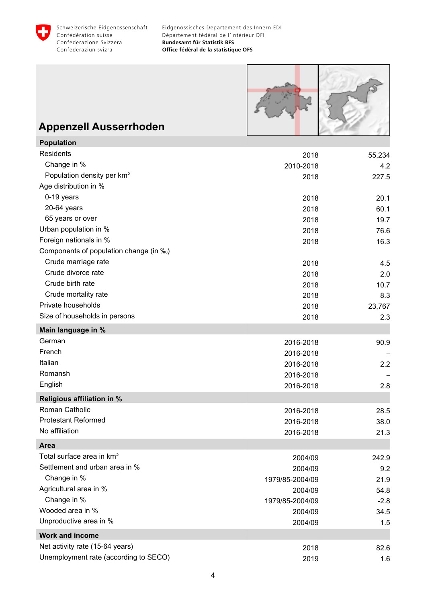<span id="page-5-0"></span>



# **Appenzell Ausserrhoden**

| <b>Population</b>                      |                 |        |
|----------------------------------------|-----------------|--------|
| <b>Residents</b>                       | 2018            | 55,234 |
| Change in %                            | 2010-2018       | 4.2    |
| Population density per km <sup>2</sup> | 2018            | 227.5  |
| Age distribution in %                  |                 |        |
| 0-19 years                             | 2018            | 20.1   |
| 20-64 years                            | 2018            | 60.1   |
| 65 years or over                       | 2018            | 19.7   |
| Urban population in %                  | 2018            | 76.6   |
| Foreign nationals in %                 | 2018            | 16.3   |
| Components of population change (in ‰) |                 |        |
| Crude marriage rate                    | 2018            | 4.5    |
| Crude divorce rate                     | 2018            | 2.0    |
| Crude birth rate                       | 2018            | 10.7   |
| Crude mortality rate                   | 2018            | 8.3    |
| Private households                     | 2018            | 23,767 |
| Size of households in persons          | 2018            | 2.3    |
| Main language in %                     |                 |        |
| German                                 | 2016-2018       | 90.9   |
| French                                 | 2016-2018       |        |
| Italian                                | 2016-2018       | 2.2    |
| Romansh                                | 2016-2018       |        |
| English                                | 2016-2018       | 2.8    |
| <b>Religious affiliation in %</b>      |                 |        |
| Roman Catholic                         | 2016-2018       | 28.5   |
| <b>Protestant Reformed</b>             | 2016-2018       | 38.0   |
| No affiliation                         | 2016-2018       | 21.3   |
| Area                                   |                 |        |
| Total surface area in km <sup>2</sup>  | 2004/09         | 242.9  |
| Settlement and urban area in %         | 2004/09         | 9.2    |
| Change in %                            | 1979/85-2004/09 | 21.9   |
| Agricultural area in %                 | 2004/09         | 54.8   |
| Change in %                            | 1979/85-2004/09 | $-2.8$ |
| Wooded area in %                       | 2004/09         | 34.5   |
| Unproductive area in %                 | 2004/09         | 1.5    |
| <b>Work and income</b>                 |                 |        |
| Net activity rate (15-64 years)        | 2018            |        |
| Unemployment rate (according to SECO)  |                 | 82.6   |
|                                        | 2019            | 1.6    |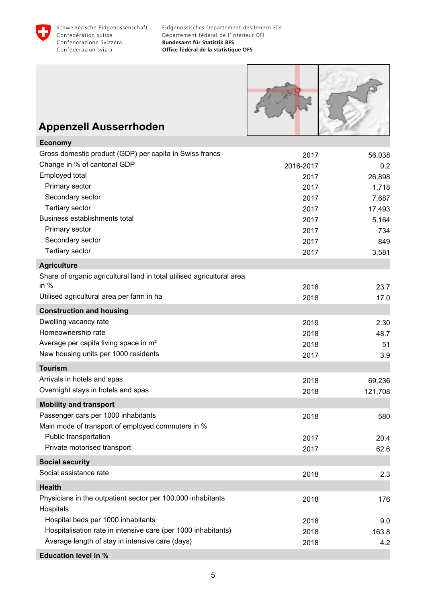



# **Appenzell Ausserrhoden**

| <b>Economy</b>                                                         |           |         |
|------------------------------------------------------------------------|-----------|---------|
| Gross domestic product (GDP) per capita in Swiss francs                | 2017      | 56,038  |
| Change in % of cantonal GDP                                            | 2016-2017 | 0.2     |
| Employed total                                                         | 2017      | 26,898  |
| Primary sector                                                         | 2017      | 1,718   |
| Secondary sector                                                       | 2017      | 7,687   |
| <b>Tertiary sector</b>                                                 | 2017      | 17,493  |
| Business establishments total                                          | 2017      | 5,164   |
| Primary sector                                                         | 2017      | 734     |
| Secondary sector                                                       | 2017      | 849     |
| <b>Tertiary sector</b>                                                 | 2017      | 3,581   |
| <b>Agriculture</b>                                                     |           |         |
| Share of organic agricultural land in total utilised agricultural area |           |         |
| in $%$                                                                 | 2018      | 23.7    |
| Utilised agricultural area per farm in ha                              | 2018      | 17.0    |
| <b>Construction and housing</b>                                        |           |         |
| Dwelling vacancy rate                                                  | 2019      | 2.30    |
| Homeownership rate                                                     | 2018      | 48.7    |
| Average per capita living space in m <sup>2</sup>                      | 2018      | 51      |
| New housing units per 1000 residents                                   | 2017      | 3.9     |
| <b>Tourism</b>                                                         |           |         |
| Arrivals in hotels and spas                                            | 2018      | 69,236  |
| Overnight stays in hotels and spas                                     | 2018      | 121,708 |
| <b>Mobility and transport</b>                                          |           |         |
| Passenger cars per 1000 inhabitants                                    | 2018      | 580     |
| Main mode of transport of employed commuters in %                      |           |         |
| Public transportation                                                  | 2017      | 20.4    |
| Private motorised transport                                            | 2017      | 62.6    |
| <b>Social security</b>                                                 |           |         |
| Social assistance rate                                                 | 2018      | 2.3     |
| <b>Health</b>                                                          |           |         |
| Physicians in the outpatient sector per 100,000 inhabitants            | 2018      | 176     |
| Hospitals                                                              |           |         |
| Hospital beds per 1000 inhabitants                                     | 2018      | 9.0     |
| Hospitalisation rate in intensive care (per 1000 inhabitants)          | 2018      | 163.8   |
| Average length of stay in intensive care (days)                        | 2018      | 4.2     |
| <b>Education level in %</b>                                            |           |         |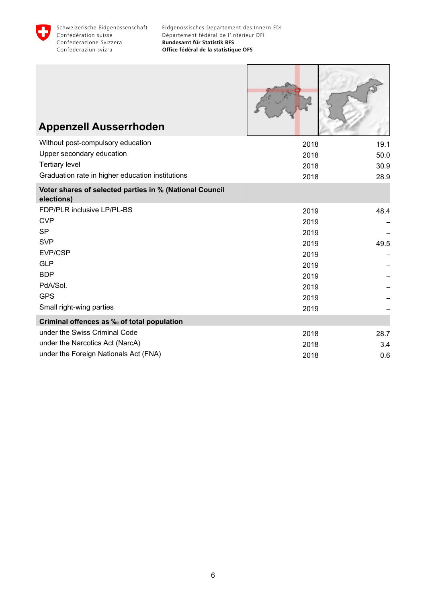

Г

| <b>Appenzell Ausserrhoden</b>                                         |      |      |
|-----------------------------------------------------------------------|------|------|
| Without post-compulsory education                                     | 2018 | 19.1 |
| Upper secondary education                                             | 2018 | 50.0 |
| <b>Tertiary level</b>                                                 | 2018 | 30.9 |
| Graduation rate in higher education institutions                      | 2018 | 28.9 |
| Voter shares of selected parties in % (National Council<br>elections) |      |      |
| FDP/PLR inclusive LP/PL-BS                                            | 2019 | 48.4 |
| <b>CVP</b>                                                            | 2019 |      |
| <b>SP</b>                                                             | 2019 |      |
| <b>SVP</b>                                                            | 2019 | 49.5 |
| EVP/CSP                                                               | 2019 |      |
| <b>GLP</b>                                                            | 2019 |      |
| <b>BDP</b>                                                            | 2019 |      |
| PdA/Sol.                                                              | 2019 |      |
| <b>GPS</b>                                                            | 2019 |      |
| Small right-wing parties                                              | 2019 |      |
| Criminal offences as ‰ of total population                            |      |      |
| under the Swiss Criminal Code                                         | 2018 | 28.7 |
| under the Narcotics Act (NarcA)                                       | 2018 | 3.4  |
| under the Foreign Nationals Act (FNA)                                 | 2018 | 0.6  |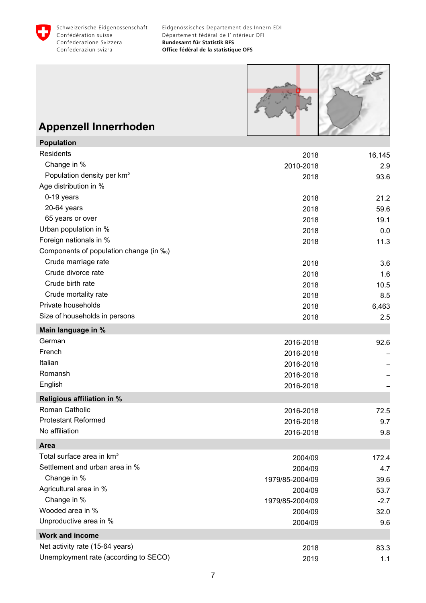<span id="page-8-0"></span>



# **Appenzell Innerrhoden**

| <b>Population</b>                      |                 |        |
|----------------------------------------|-----------------|--------|
| Residents                              | 2018            | 16,145 |
| Change in %                            | 2010-2018       | 2.9    |
| Population density per km <sup>2</sup> | 2018            | 93.6   |
| Age distribution in %                  |                 |        |
| 0-19 years                             | 2018            | 21.2   |
| 20-64 years                            | 2018            | 59.6   |
| 65 years or over                       | 2018            | 19.1   |
| Urban population in %                  | 2018            | 0.0    |
| Foreign nationals in %                 | 2018            | 11.3   |
| Components of population change (in ‰) |                 |        |
| Crude marriage rate                    | 2018            | 3.6    |
| Crude divorce rate                     | 2018            | 1.6    |
| Crude birth rate                       | 2018            | 10.5   |
| Crude mortality rate                   | 2018            | 8.5    |
| Private households                     | 2018            | 6,463  |
| Size of households in persons          | 2018            | 2.5    |
| Main language in %                     |                 |        |
| German                                 | 2016-2018       | 92.6   |
| French                                 | 2016-2018       |        |
| Italian                                | 2016-2018       |        |
| Romansh                                | 2016-2018       |        |
| English                                | 2016-2018       |        |
| <b>Religious affiliation in %</b>      |                 |        |
| Roman Catholic                         | 2016-2018       | 72.5   |
| <b>Protestant Reformed</b>             | 2016-2018       | 9.7    |
| No affiliation                         | 2016-2018       | 9.8    |
| Area                                   |                 |        |
| Total surface area in km <sup>2</sup>  | 2004/09         | 172.4  |
| Settlement and urban area in %         | 2004/09         | 4.7    |
| Change in %                            | 1979/85-2004/09 | 39.6   |
| Agricultural area in %                 | 2004/09         | 53.7   |
| Change in %                            | 1979/85-2004/09 | $-2.7$ |
| Wooded area in %                       | 2004/09         | 32.0   |
| Unproductive area in %                 | 2004/09         | 9.6    |
| <b>Work and income</b>                 |                 |        |
| Net activity rate (15-64 years)        | 2018            | 83.3   |
| Unemployment rate (according to SECO)  | 2019            | 1.1    |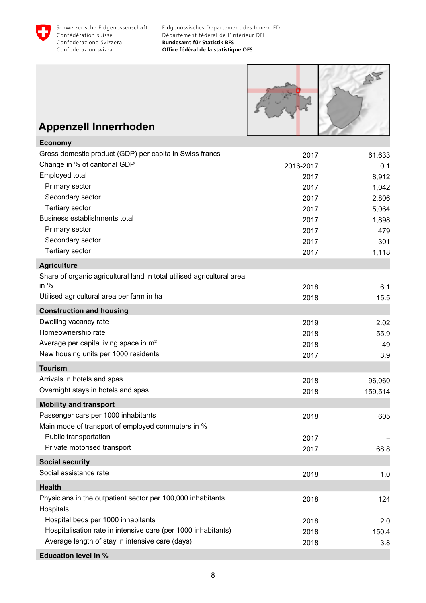



# **Appenzell Innerrhoden**

| <b>Economy</b>                                                         |           |         |
|------------------------------------------------------------------------|-----------|---------|
| Gross domestic product (GDP) per capita in Swiss francs                | 2017      | 61,633  |
| Change in % of cantonal GDP                                            | 2016-2017 | 0.1     |
| Employed total                                                         | 2017      | 8,912   |
| Primary sector                                                         | 2017      | 1,042   |
| Secondary sector                                                       | 2017      | 2,806   |
| Tertiary sector                                                        | 2017      | 5,064   |
| Business establishments total                                          | 2017      | 1,898   |
| Primary sector                                                         | 2017      | 479     |
| Secondary sector                                                       | 2017      | 301     |
| <b>Tertiary sector</b>                                                 | 2017      | 1,118   |
| <b>Agriculture</b>                                                     |           |         |
| Share of organic agricultural land in total utilised agricultural area |           |         |
| in $%$                                                                 | 2018      | 6.1     |
| Utilised agricultural area per farm in ha                              | 2018      | 15.5    |
| <b>Construction and housing</b>                                        |           |         |
| Dwelling vacancy rate                                                  | 2019      | 2.02    |
| Homeownership rate                                                     | 2018      | 55.9    |
| Average per capita living space in m <sup>2</sup>                      | 2018      | 49      |
| New housing units per 1000 residents                                   | 2017      | 3.9     |
| <b>Tourism</b>                                                         |           |         |
| Arrivals in hotels and spas                                            | 2018      | 96,060  |
| Overnight stays in hotels and spas                                     | 2018      | 159,514 |
| <b>Mobility and transport</b>                                          |           |         |
| Passenger cars per 1000 inhabitants                                    | 2018      | 605     |
| Main mode of transport of employed commuters in %                      |           |         |
| Public transportation                                                  | 2017      |         |
| Private motorised transport                                            | 2017      | 68.8    |
| <b>Social security</b>                                                 |           |         |
| Social assistance rate                                                 | 2018      | 1.0     |
| <b>Health</b>                                                          |           |         |
| Physicians in the outpatient sector per 100,000 inhabitants            | 2018      | 124     |
| Hospitals                                                              |           |         |
| Hospital beds per 1000 inhabitants                                     | 2018      | 2.0     |
| Hospitalisation rate in intensive care (per 1000 inhabitants)          | 2018      | 150.4   |
| Average length of stay in intensive care (days)                        | 2018      | 3.8     |
| <b>Education level in %</b>                                            |           |         |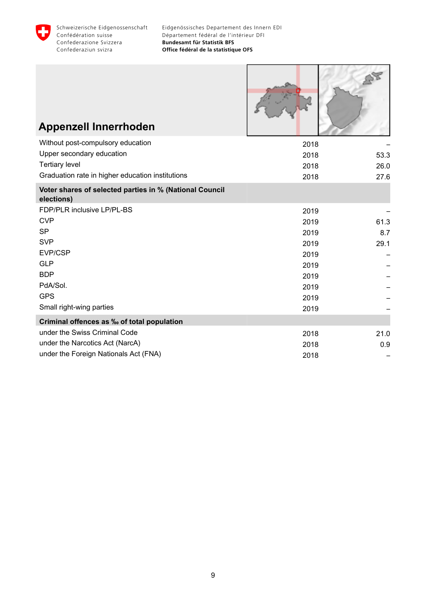

Г

**100 112000** 

| <b>Appenzell Innerrhoden</b>                                          |      |      |
|-----------------------------------------------------------------------|------|------|
| Without post-compulsory education                                     | 2018 |      |
| Upper secondary education                                             | 2018 | 53.3 |
| <b>Tertiary level</b>                                                 | 2018 | 26.0 |
| Graduation rate in higher education institutions                      | 2018 | 27.6 |
| Voter shares of selected parties in % (National Council<br>elections) |      |      |
| FDP/PLR inclusive LP/PL-BS                                            | 2019 |      |
| <b>CVP</b>                                                            | 2019 | 61.3 |
| <b>SP</b>                                                             | 2019 | 8.7  |
| <b>SVP</b>                                                            | 2019 | 29.1 |
| EVP/CSP                                                               | 2019 |      |
| <b>GLP</b>                                                            | 2019 |      |
| <b>BDP</b>                                                            | 2019 |      |
| PdA/Sol.                                                              | 2019 |      |
| <b>GPS</b>                                                            | 2019 |      |
| Small right-wing parties                                              | 2019 |      |
| Criminal offences as ‰ of total population                            |      |      |
| under the Swiss Criminal Code                                         | 2018 | 21.0 |
| under the Narcotics Act (NarcA)                                       | 2018 | 0.9  |
| under the Foreign Nationals Act (FNA)                                 | 2018 |      |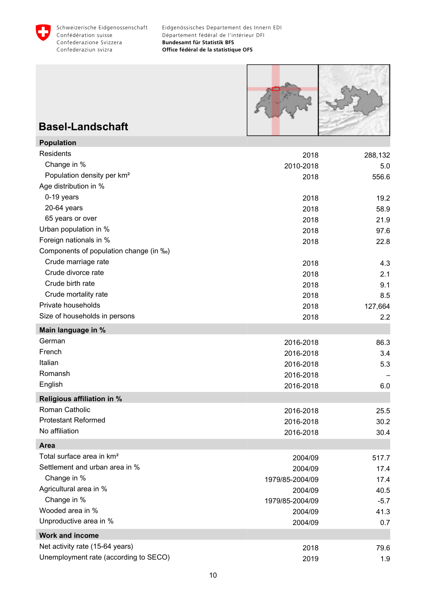<span id="page-11-0"></span>



### **Basel-Landschaft**

| <b>Population</b>                      |                 |         |
|----------------------------------------|-----------------|---------|
| Residents                              | 2018            | 288,132 |
| Change in %                            | 2010-2018       | 5.0     |
| Population density per km <sup>2</sup> | 2018            | 556.6   |
| Age distribution in %                  |                 |         |
| 0-19 years                             | 2018            | 19.2    |
| 20-64 years                            | 2018            | 58.9    |
| 65 years or over                       | 2018            | 21.9    |
| Urban population in %                  | 2018            | 97.6    |
| Foreign nationals in %                 | 2018            | 22.8    |
| Components of population change (in ‰) |                 |         |
| Crude marriage rate                    | 2018            | 4.3     |
| Crude divorce rate                     | 2018            | 2.1     |
| Crude birth rate                       | 2018            | 9.1     |
| Crude mortality rate                   | 2018            | 8.5     |
| Private households                     | 2018            | 127,664 |
| Size of households in persons          | 2018            | 2.2     |
| Main language in %                     |                 |         |
| German                                 | 2016-2018       | 86.3    |
| French                                 | 2016-2018       | 3.4     |
| Italian                                | 2016-2018       | 5.3     |
| Romansh                                | 2016-2018       |         |
| English                                | 2016-2018       | 6.0     |
| <b>Religious affiliation in %</b>      |                 |         |
| Roman Catholic                         | 2016-2018       | 25.5    |
| <b>Protestant Reformed</b>             | 2016-2018       | 30.2    |
| No affiliation                         | 2016-2018       | 30.4    |
| Area                                   |                 |         |
| Total surface area in km <sup>2</sup>  | 2004/09         | 517.7   |
| Settlement and urban area in %         | 2004/09         | 17.4    |
| Change in %                            | 1979/85-2004/09 | 17.4    |
| Agricultural area in %                 | 2004/09         | 40.5    |
| Change in %                            | 1979/85-2004/09 | $-5.7$  |
| Wooded area in %                       | 2004/09         | 41.3    |
| Unproductive area in %                 | 2004/09         | 0.7     |
| <b>Work and income</b>                 |                 |         |
| Net activity rate (15-64 years)        | 2018            | 79.6    |
| Unemployment rate (according to SECO)  | 2019            | 1.9     |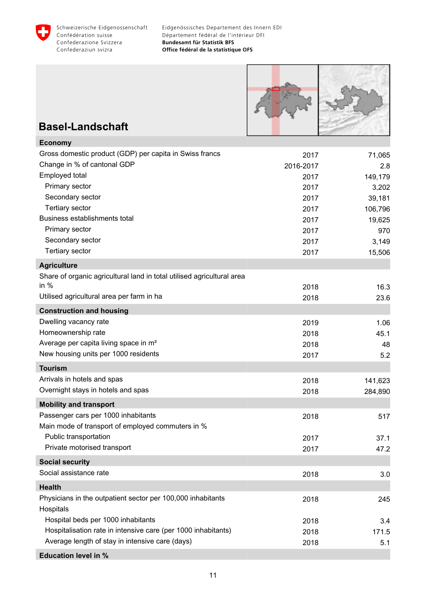



# **Basel-Landschaft**

| <b>Economy</b>                                                         |           |         |
|------------------------------------------------------------------------|-----------|---------|
| Gross domestic product (GDP) per capita in Swiss francs                | 2017      | 71,065  |
| Change in % of cantonal GDP                                            | 2016-2017 | 2.8     |
| Employed total                                                         | 2017      | 149,179 |
| Primary sector                                                         | 2017      | 3,202   |
| Secondary sector                                                       | 2017      | 39,181  |
| Tertiary sector                                                        | 2017      | 106,796 |
| Business establishments total                                          | 2017      | 19,625  |
| Primary sector                                                         | 2017      | 970     |
| Secondary sector                                                       | 2017      | 3,149   |
| <b>Tertiary sector</b>                                                 | 2017      | 15,506  |
| <b>Agriculture</b>                                                     |           |         |
| Share of organic agricultural land in total utilised agricultural area |           |         |
| in $%$                                                                 | 2018      | 16.3    |
| Utilised agricultural area per farm in ha                              | 2018      | 23.6    |
| <b>Construction and housing</b>                                        |           |         |
| Dwelling vacancy rate                                                  | 2019      | 1.06    |
| Homeownership rate                                                     | 2018      | 45.1    |
| Average per capita living space in m <sup>2</sup>                      | 2018      | 48      |
| New housing units per 1000 residents                                   | 2017      | 5.2     |
| <b>Tourism</b>                                                         |           |         |
| Arrivals in hotels and spas                                            | 2018      | 141,623 |
| Overnight stays in hotels and spas                                     | 2018      | 284,890 |
| <b>Mobility and transport</b>                                          |           |         |
| Passenger cars per 1000 inhabitants                                    | 2018      | 517     |
| Main mode of transport of employed commuters in %                      |           |         |
| Public transportation                                                  | 2017      | 37.1    |
| Private motorised transport                                            | 2017      | 47.2    |
| <b>Social security</b>                                                 |           |         |
| Social assistance rate                                                 | 2018      | 3.0     |
| <b>Health</b>                                                          |           |         |
| Physicians in the outpatient sector per 100,000 inhabitants            | 2018      | 245     |
| Hospitals                                                              |           |         |
| Hospital beds per 1000 inhabitants                                     | 2018      | 3.4     |
| Hospitalisation rate in intensive care (per 1000 inhabitants)          | 2018      | 171.5   |
| Average length of stay in intensive care (days)                        | 2018      | 5.1     |
| <b>Education level in %</b>                                            |           |         |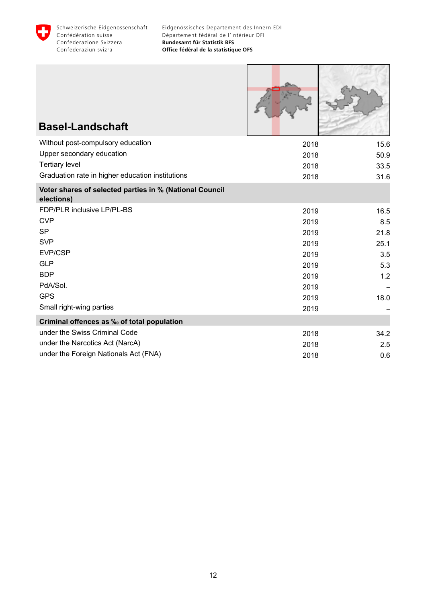

Г

 $11.77$ 

ı

| <b>Basel-Landschaft</b>                                               |      |      |
|-----------------------------------------------------------------------|------|------|
| Without post-compulsory education                                     | 2018 | 15.6 |
| Upper secondary education                                             | 2018 | 50.9 |
| <b>Tertiary level</b>                                                 | 2018 | 33.5 |
| Graduation rate in higher education institutions                      | 2018 | 31.6 |
| Voter shares of selected parties in % (National Council<br>elections) |      |      |
| FDP/PLR inclusive LP/PL-BS                                            | 2019 | 16.5 |
| <b>CVP</b>                                                            | 2019 | 8.5  |
| <b>SP</b>                                                             | 2019 | 21.8 |
| <b>SVP</b>                                                            | 2019 | 25.1 |
| EVP/CSP                                                               | 2019 | 3.5  |
| <b>GLP</b>                                                            | 2019 | 5.3  |
| <b>BDP</b>                                                            | 2019 | 1.2  |
| PdA/Sol.                                                              | 2019 |      |
| <b>GPS</b>                                                            | 2019 | 18.0 |
| Small right-wing parties                                              | 2019 |      |
| Criminal offences as ‰ of total population                            |      |      |
| under the Swiss Criminal Code                                         | 2018 | 34.2 |
| under the Narcotics Act (NarcA)                                       | 2018 | 2.5  |
| under the Foreign Nationals Act (FNA)                                 | 2018 | 0.6  |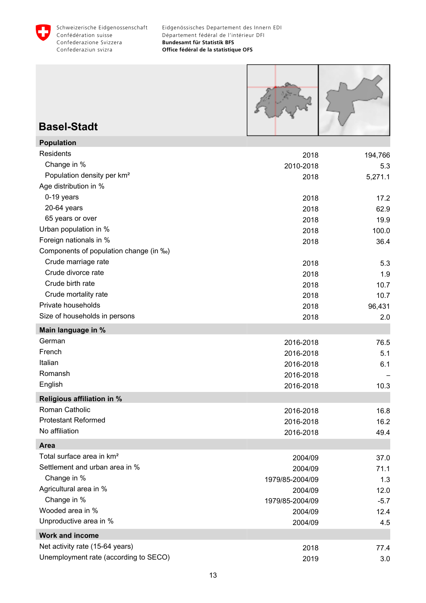<span id="page-14-0"></span>



### **Basel-Stadt**

| <b>Population</b>                      |                 |         |
|----------------------------------------|-----------------|---------|
| Residents                              | 2018            | 194,766 |
| Change in %                            | 2010-2018       | 5.3     |
| Population density per km <sup>2</sup> | 2018            | 5,271.1 |
| Age distribution in %                  |                 |         |
| 0-19 years                             | 2018            | 17.2    |
| 20-64 years                            | 2018            | 62.9    |
| 65 years or over                       | 2018            | 19.9    |
| Urban population in %                  | 2018            | 100.0   |
| Foreign nationals in %                 | 2018            | 36.4    |
| Components of population change (in ‰) |                 |         |
| Crude marriage rate                    | 2018            | 5.3     |
| Crude divorce rate                     | 2018            | 1.9     |
| Crude birth rate                       | 2018            | 10.7    |
| Crude mortality rate                   | 2018            | 10.7    |
| Private households                     | 2018            | 96,431  |
| Size of households in persons          | 2018            | 2.0     |
| Main language in %                     |                 |         |
| German                                 | 2016-2018       | 76.5    |
| French                                 | 2016-2018       | 5.1     |
| Italian                                | 2016-2018       | 6.1     |
| Romansh                                | 2016-2018       |         |
| English                                | 2016-2018       | 10.3    |
| <b>Religious affiliation in %</b>      |                 |         |
| Roman Catholic                         | 2016-2018       | 16.8    |
| <b>Protestant Reformed</b>             | 2016-2018       | 16.2    |
| No affiliation                         | 2016-2018       | 49.4    |
| Area                                   |                 |         |
| Total surface area in km <sup>2</sup>  | 2004/09         | 37.0    |
| Settlement and urban area in %         | 2004/09         | 71.1    |
| Change in %                            | 1979/85-2004/09 | 1.3     |
| Agricultural area in %                 | 2004/09         | 12.0    |
| Change in %                            | 1979/85-2004/09 | $-5.7$  |
| Wooded area in %                       | 2004/09         | 12.4    |
| Unproductive area in %                 | 2004/09         | 4.5     |
| <b>Work and income</b>                 |                 |         |
| Net activity rate (15-64 years)        | 2018            | 77.4    |
| Unemployment rate (according to SECO)  | 2019            | 3.0     |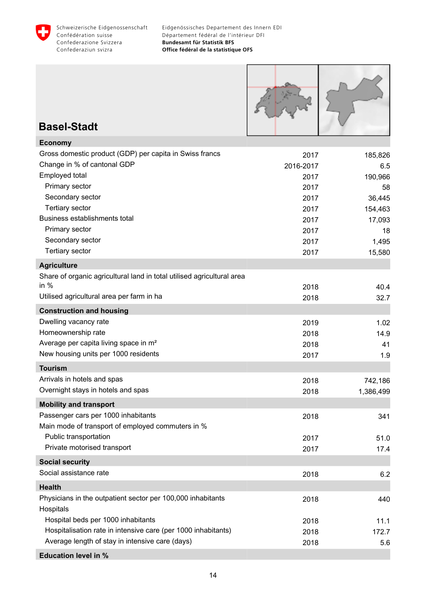

**Basel-Stadt**

**Economy**

**Agriculture**

**Tourism**

Eidgenössisches Departement des Innern EDI Département fédéral de l'intérieur DFI **Bundesamt für Statistik BFS Office fédéral de la statistique OFS**



Private motorised transport 17.4 **Social security** Social assistance rate 6.2 **Health** Physicians in the outpatient sector per 100,000 inhabitants 2018 2018 2018 **Hospitals** Hospital beds per 1000 inhabitants **2018** 11.1 Hospitalisation rate in intensive care (per 1000 inhabitants) 2018 172.7 Average length of stay in intensive care (days)  $2018$  2018  $5.6$ 

**Education level in %**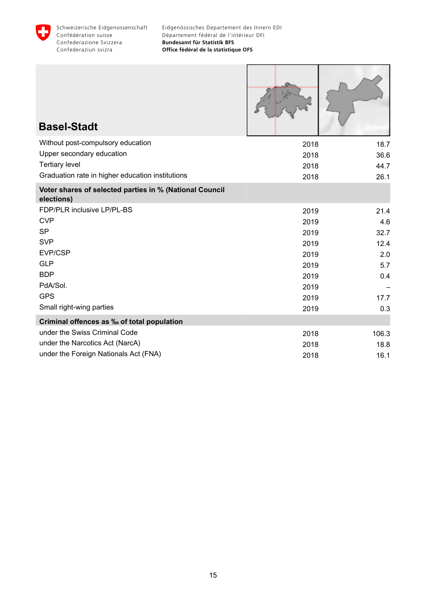

| <b>Basel-Stadt</b>                                                    |      |       |
|-----------------------------------------------------------------------|------|-------|
| Without post-compulsory education                                     | 2018 | 18.7  |
| Upper secondary education                                             | 2018 | 36.6  |
| <b>Tertiary level</b>                                                 | 2018 | 44.7  |
| Graduation rate in higher education institutions                      | 2018 | 26.1  |
| Voter shares of selected parties in % (National Council<br>elections) |      |       |
| FDP/PLR inclusive LP/PL-BS                                            | 2019 | 21.4  |
| <b>CVP</b>                                                            | 2019 | 4.6   |
| <b>SP</b>                                                             | 2019 | 32.7  |
| <b>SVP</b>                                                            | 2019 | 12.4  |
| EVP/CSP                                                               | 2019 | 2.0   |
| <b>GLP</b>                                                            | 2019 | 5.7   |
| <b>BDP</b>                                                            | 2019 | 0.4   |
| PdA/Sol.                                                              | 2019 |       |
| <b>GPS</b>                                                            | 2019 | 17.7  |
| Small right-wing parties                                              | 2019 | 0.3   |
| Criminal offences as ‰ of total population                            |      |       |
| under the Swiss Criminal Code                                         | 2018 | 106.3 |
| under the Narcotics Act (NarcA)                                       | 2018 | 18.8  |
| under the Foreign Nationals Act (FNA)                                 | 2018 | 16.1  |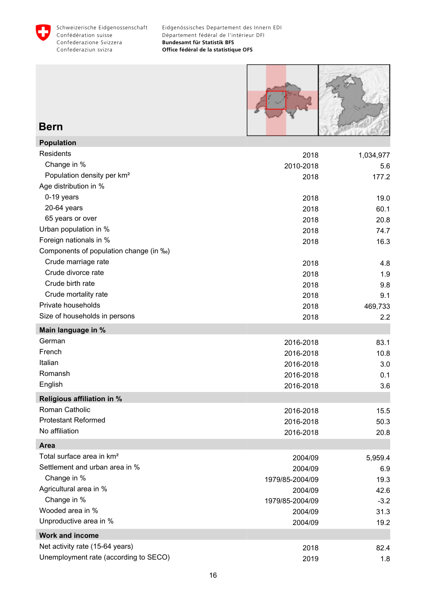<span id="page-17-0"></span>



#### **Bern**

| <b>Population</b>                      |                 |           |
|----------------------------------------|-----------------|-----------|
| Residents                              | 2018            | 1,034,977 |
| Change in %                            | 2010-2018       | 5.6       |
| Population density per km <sup>2</sup> | 2018            | 177.2     |
| Age distribution in %                  |                 |           |
| 0-19 years                             | 2018            | 19.0      |
| 20-64 years                            | 2018            | 60.1      |
| 65 years or over                       | 2018            | 20.8      |
| Urban population in %                  | 2018            | 74.7      |
| Foreign nationals in %                 | 2018            | 16.3      |
| Components of population change (in ‰) |                 |           |
| Crude marriage rate                    | 2018            | 4.8       |
| Crude divorce rate                     | 2018            | 1.9       |
| Crude birth rate                       | 2018            | 9.8       |
| Crude mortality rate                   | 2018            | 9.1       |
| Private households                     | 2018            | 469,733   |
| Size of households in persons          | 2018            | 2.2       |
| Main language in %                     |                 |           |
| German                                 | 2016-2018       | 83.1      |
| French                                 | 2016-2018       | 10.8      |
| Italian                                | 2016-2018       | 3.0       |
| Romansh                                | 2016-2018       | 0.1       |
| English                                | 2016-2018       | 3.6       |
| Religious affiliation in %             |                 |           |
| Roman Catholic                         | 2016-2018       | 15.5      |
| <b>Protestant Reformed</b>             | 2016-2018       | 50.3      |
| No affiliation                         | 2016-2018       | 20.8      |
| Area                                   |                 |           |
| Total surface area in km <sup>2</sup>  | 2004/09         | 5,959.4   |
| Settlement and urban area in %         | 2004/09         | 6.9       |
| Change in %                            | 1979/85-2004/09 | 19.3      |
| Agricultural area in %                 | 2004/09         | 42.6      |
| Change in %                            | 1979/85-2004/09 | $-3.2$    |
| Wooded area in %                       | 2004/09         | 31.3      |
| Unproductive area in %                 | 2004/09         | 19.2      |
| <b>Work and income</b>                 |                 |           |
| Net activity rate (15-64 years)        | 2018            | 82.4      |
| Unemployment rate (according to SECO)  | 2019            | 1.8       |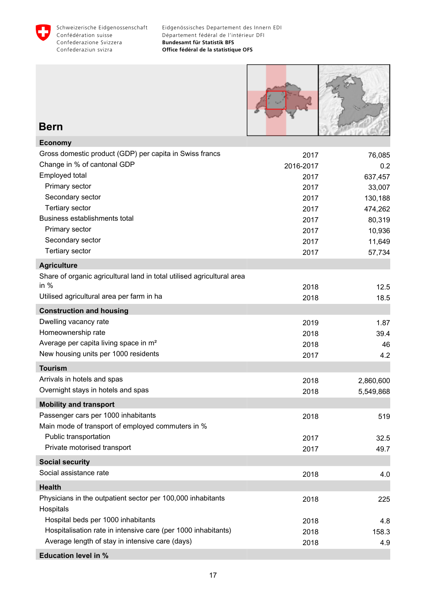



#### **Bern**

| <b>Economy</b>                                                         |           |           |
|------------------------------------------------------------------------|-----------|-----------|
| Gross domestic product (GDP) per capita in Swiss francs                | 2017      | 76,085    |
| Change in % of cantonal GDP                                            | 2016-2017 | 0.2       |
| Employed total                                                         | 2017      | 637,457   |
| Primary sector                                                         | 2017      | 33,007    |
| Secondary sector                                                       | 2017      | 130,188   |
| Tertiary sector                                                        | 2017      | 474,262   |
| Business establishments total                                          | 2017      | 80,319    |
| Primary sector                                                         | 2017      | 10,936    |
| Secondary sector                                                       | 2017      | 11,649    |
| Tertiary sector                                                        | 2017      | 57,734    |
| <b>Agriculture</b>                                                     |           |           |
| Share of organic agricultural land in total utilised agricultural area |           |           |
| in $%$                                                                 | 2018      | 12.5      |
| Utilised agricultural area per farm in ha                              | 2018      | 18.5      |
| <b>Construction and housing</b>                                        |           |           |
| Dwelling vacancy rate                                                  | 2019      | 1.87      |
| Homeownership rate                                                     | 2018      | 39.4      |
| Average per capita living space in m <sup>2</sup>                      | 2018      | 46        |
| New housing units per 1000 residents                                   | 2017      | 4.2       |
| <b>Tourism</b>                                                         |           |           |
| Arrivals in hotels and spas                                            | 2018      | 2,860,600 |
| Overnight stays in hotels and spas                                     | 2018      | 5,549,868 |
| <b>Mobility and transport</b>                                          |           |           |
| Passenger cars per 1000 inhabitants                                    | 2018      | 519       |
| Main mode of transport of employed commuters in %                      |           |           |
| Public transportation                                                  | 2017      | 32.5      |
| Private motorised transport                                            | 2017      | 49.7      |
| <b>Social security</b>                                                 |           |           |
| Social assistance rate                                                 | 2018      | 4.0       |
| <b>Health</b>                                                          |           |           |
| Physicians in the outpatient sector per 100,000 inhabitants            | 2018      | 225       |
| Hospitals                                                              |           |           |
| Hospital beds per 1000 inhabitants                                     | 2018      | 4.8       |
| Hospitalisation rate in intensive care (per 1000 inhabitants)          | 2018      | 158.3     |
| Average length of stay in intensive care (days)                        | 2018      | 4.9       |
| <b>Education level in %</b>                                            |           |           |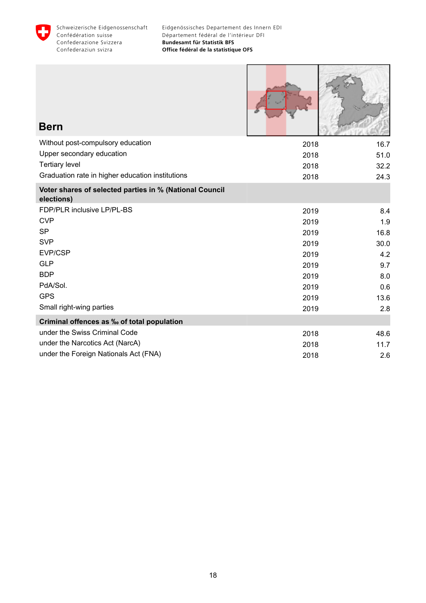

Г

**K** 

÷,

| <b>Bern</b>                                                           |      |      |
|-----------------------------------------------------------------------|------|------|
| Without post-compulsory education                                     | 2018 | 16.7 |
| Upper secondary education                                             | 2018 | 51.0 |
| <b>Tertiary level</b>                                                 | 2018 | 32.2 |
| Graduation rate in higher education institutions                      | 2018 | 24.3 |
| Voter shares of selected parties in % (National Council<br>elections) |      |      |
| FDP/PLR inclusive LP/PL-BS                                            | 2019 | 8.4  |
| <b>CVP</b>                                                            | 2019 | 1.9  |
| <b>SP</b>                                                             | 2019 | 16.8 |
| <b>SVP</b>                                                            | 2019 | 30.0 |
| EVP/CSP                                                               | 2019 | 4.2  |
| <b>GLP</b>                                                            | 2019 | 9.7  |
| <b>BDP</b>                                                            | 2019 | 8.0  |
| PdA/Sol.                                                              | 2019 | 0.6  |
| <b>GPS</b>                                                            | 2019 | 13.6 |
| Small right-wing parties                                              | 2019 | 2.8  |
| Criminal offences as ‰ of total population                            |      |      |
| under the Swiss Criminal Code                                         | 2018 | 48.6 |
| under the Narcotics Act (NarcA)                                       | 2018 | 11.7 |
| under the Foreign Nationals Act (FNA)                                 | 2018 | 2.6  |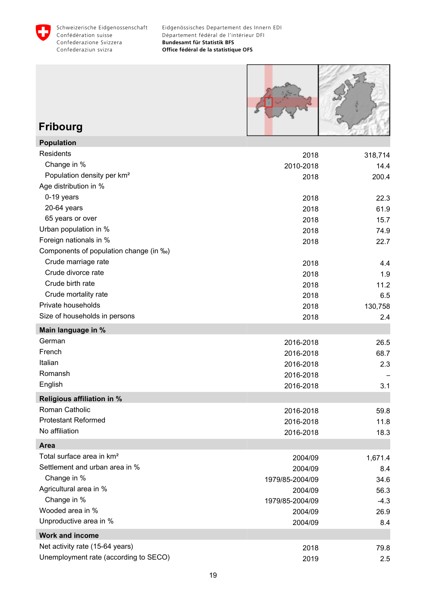<span id="page-20-0"></span>



# **Fribourg**

| <b>Population</b>                      |                 |         |
|----------------------------------------|-----------------|---------|
| <b>Residents</b>                       | 2018            | 318,714 |
| Change in %                            | 2010-2018       | 14.4    |
| Population density per km <sup>2</sup> | 2018            | 200.4   |
| Age distribution in %                  |                 |         |
| 0-19 years                             | 2018            | 22.3    |
| 20-64 years                            | 2018            | 61.9    |
| 65 years or over                       | 2018            | 15.7    |
| Urban population in %                  | 2018            | 74.9    |
| Foreign nationals in %                 | 2018            | 22.7    |
| Components of population change (in ‰) |                 |         |
| Crude marriage rate                    | 2018            | 4.4     |
| Crude divorce rate                     | 2018            | 1.9     |
| Crude birth rate                       | 2018            | 11.2    |
| Crude mortality rate                   | 2018            | 6.5     |
| Private households                     | 2018            | 130,758 |
| Size of households in persons          | 2018            | 2.4     |
| Main language in %                     |                 |         |
| German                                 | 2016-2018       | 26.5    |
| French                                 | 2016-2018       | 68.7    |
| Italian                                | 2016-2018       | 2.3     |
| Romansh                                | 2016-2018       |         |
| English                                | 2016-2018       | 3.1     |
| <b>Religious affiliation in %</b>      |                 |         |
| Roman Catholic                         | 2016-2018       | 59.8    |
| <b>Protestant Reformed</b>             | 2016-2018       | 11.8    |
| No affiliation                         | 2016-2018       | 18.3    |
| Area                                   |                 |         |
| Total surface area in km <sup>2</sup>  | 2004/09         | 1,671.4 |
| Settlement and urban area in %         | 2004/09         | 8.4     |
| Change in %                            | 1979/85-2004/09 | 34.6    |
| Agricultural area in %                 | 2004/09         | 56.3    |
| Change in %                            | 1979/85-2004/09 | $-4.3$  |
| Wooded area in %                       | 2004/09         | 26.9    |
| Unproductive area in %                 | 2004/09         | 8.4     |
| <b>Work and income</b>                 |                 |         |
| Net activity rate (15-64 years)        | 2018            | 79.8    |
| Unemployment rate (according to SECO)  | 2019            | 2.5     |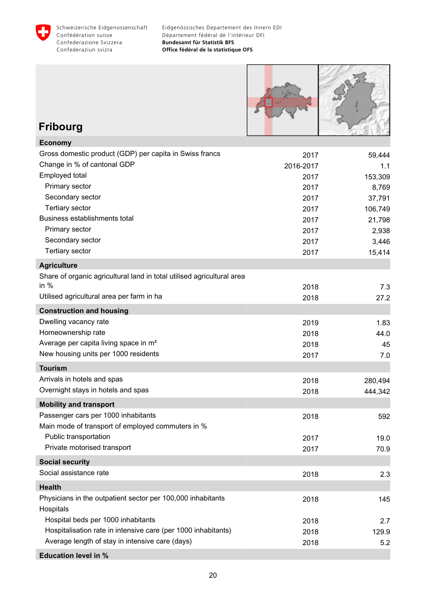



### **Fribourg**

| <b>Economy</b>                                                         |           |         |
|------------------------------------------------------------------------|-----------|---------|
| Gross domestic product (GDP) per capita in Swiss francs                | 2017      | 59,444  |
| Change in % of cantonal GDP                                            | 2016-2017 | 1.1     |
| Employed total                                                         | 2017      | 153,309 |
| Primary sector                                                         | 2017      | 8,769   |
| Secondary sector                                                       | 2017      | 37,791  |
| Tertiary sector                                                        | 2017      | 106,749 |
| Business establishments total                                          | 2017      | 21,798  |
| Primary sector                                                         | 2017      | 2,938   |
| Secondary sector                                                       | 2017      | 3,446   |
| Tertiary sector                                                        | 2017      | 15,414  |
| <b>Agriculture</b>                                                     |           |         |
| Share of organic agricultural land in total utilised agricultural area |           |         |
| in $%$                                                                 | 2018      | 7.3     |
| Utilised agricultural area per farm in ha                              | 2018      | 27.2    |
| <b>Construction and housing</b>                                        |           |         |
| Dwelling vacancy rate                                                  | 2019      | 1.83    |
| Homeownership rate                                                     | 2018      | 44.0    |
| Average per capita living space in m <sup>2</sup>                      | 2018      | 45      |
| New housing units per 1000 residents                                   | 2017      | 7.0     |
| <b>Tourism</b>                                                         |           |         |
| Arrivals in hotels and spas                                            | 2018      | 280,494 |
| Overnight stays in hotels and spas                                     | 2018      | 444,342 |
| <b>Mobility and transport</b>                                          |           |         |
| Passenger cars per 1000 inhabitants                                    | 2018      | 592     |
| Main mode of transport of employed commuters in %                      |           |         |
| Public transportation                                                  | 2017      | 19.0    |
| Private motorised transport                                            | 2017      | 70.9    |
| <b>Social security</b>                                                 |           |         |
| Social assistance rate                                                 | 2018      | 2.3     |
| <b>Health</b>                                                          |           |         |
| Physicians in the outpatient sector per 100,000 inhabitants            | 2018      | 145     |
| Hospitals                                                              |           |         |
| Hospital beds per 1000 inhabitants                                     | 2018      | 2.7     |
| Hospitalisation rate in intensive care (per 1000 inhabitants)          | 2018      | 129.9   |
| Average length of stay in intensive care (days)                        | 2018      | 5.2     |
| <b>Education level in %</b>                                            |           |         |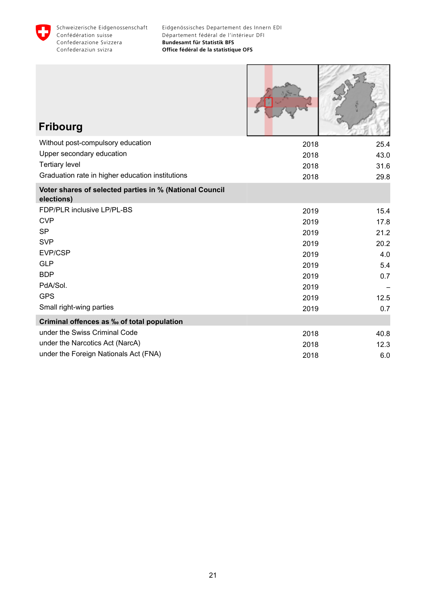

| <b>Fribourg</b>                                                       |      |      |
|-----------------------------------------------------------------------|------|------|
| Without post-compulsory education                                     | 2018 | 25.4 |
| Upper secondary education                                             | 2018 | 43.0 |
| <b>Tertiary level</b>                                                 | 2018 | 31.6 |
| Graduation rate in higher education institutions                      | 2018 | 29.8 |
| Voter shares of selected parties in % (National Council<br>elections) |      |      |
| FDP/PLR inclusive LP/PL-BS                                            | 2019 | 15.4 |
| <b>CVP</b>                                                            | 2019 | 17.8 |
| <b>SP</b>                                                             | 2019 | 21.2 |
| <b>SVP</b>                                                            | 2019 | 20.2 |
| EVP/CSP                                                               | 2019 | 4.0  |
| <b>GLP</b>                                                            | 2019 | 5.4  |
| <b>BDP</b>                                                            | 2019 | 0.7  |
| PdA/Sol.                                                              | 2019 |      |
| <b>GPS</b>                                                            | 2019 | 12.5 |
| Small right-wing parties                                              | 2019 | 0.7  |
| Criminal offences as ‰ of total population                            |      |      |
| under the Swiss Criminal Code                                         | 2018 | 40.8 |
| under the Narcotics Act (NarcA)                                       | 2018 | 12.3 |
| under the Foreign Nationals Act (FNA)                                 | 2018 | 6.0  |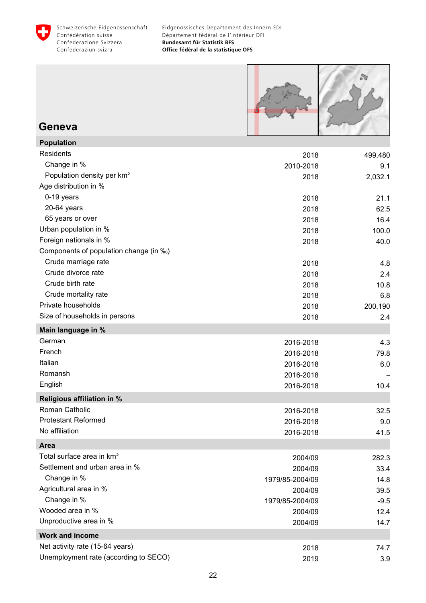<span id="page-23-0"></span>



#### **Geneva**

**Population**

| Population                             |                 |         |
|----------------------------------------|-----------------|---------|
| Residents                              | 2018            | 499,480 |
| Change in %                            | 2010-2018       | 9.1     |
| Population density per km <sup>2</sup> | 2018            | 2,032.1 |
| Age distribution in %                  |                 |         |
| 0-19 years                             | 2018            | 21.1    |
| 20-64 years                            | 2018            | 62.5    |
| 65 years or over                       | 2018            | 16.4    |
| Urban population in %                  | 2018            | 100.0   |
| Foreign nationals in %                 | 2018            | 40.0    |
| Components of population change (in ‰) |                 |         |
| Crude marriage rate                    | 2018            | 4.8     |
| Crude divorce rate                     | 2018            | 2.4     |
| Crude birth rate                       | 2018            | 10.8    |
| Crude mortality rate                   | 2018            | 6.8     |
| Private households                     | 2018            | 200,190 |
| Size of households in persons          | 2018            | 2.4     |
| Main language in %                     |                 |         |
| German                                 | 2016-2018       | 4.3     |
| French                                 | 2016-2018       | 79.8    |
| Italian                                | 2016-2018       | 6.0     |
| Romansh                                | 2016-2018       |         |
| English                                | 2016-2018       | 10.4    |
| <b>Religious affiliation in %</b>      |                 |         |
| Roman Catholic                         | 2016-2018       | 32.5    |
| <b>Protestant Reformed</b>             | 2016-2018       | 9.0     |
| No affiliation                         | 2016-2018       | 41.5    |
| <b>Area</b>                            |                 |         |
| Total surface area in km <sup>2</sup>  | 2004/09         | 282.3   |
| Settlement and urban area in %         | 2004/09         | 33.4    |
| Change in %                            | 1979/85-2004/09 | 14.8    |
| Agricultural area in %                 | 2004/09         | 39.5    |
| Change in %                            | 1979/85-2004/09 | $-9.5$  |
| Wooded area in %                       | 2004/09         | 12.4    |
| Unproductive area in %                 | 2004/09         | 14.7    |
| <b>Work and income</b>                 |                 |         |
| Net activity rate (15-64 years)        | 2018            | 74.7    |
| Unemployment rate (according to SECO)  | 2019            | 3.9     |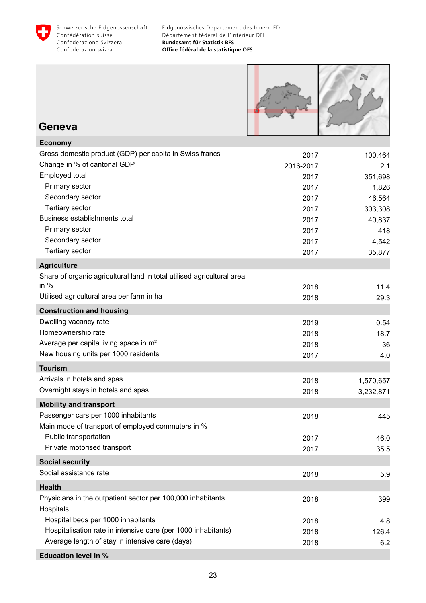



#### **Geneva**

| Gross domestic product (GDP) per capita in Swiss francs<br>2017<br>100,464<br>Change in % of cantonal GDP<br>2016-2017<br>2.1<br>Employed total<br>351,698<br>2017<br>Primary sector<br>1,826<br>2017<br>Secondary sector<br>46,564<br>2017<br><b>Tertiary sector</b><br>303,308<br>2017<br>Business establishments total<br>40,837<br>2017<br>Primary sector<br>2017<br>418<br>Secondary sector<br>2017<br>4,542<br>Tertiary sector<br>35,877<br>2017<br><b>Agriculture</b><br>Share of organic agricultural land in total utilised agricultural area |
|--------------------------------------------------------------------------------------------------------------------------------------------------------------------------------------------------------------------------------------------------------------------------------------------------------------------------------------------------------------------------------------------------------------------------------------------------------------------------------------------------------------------------------------------------------|
|                                                                                                                                                                                                                                                                                                                                                                                                                                                                                                                                                        |
|                                                                                                                                                                                                                                                                                                                                                                                                                                                                                                                                                        |
|                                                                                                                                                                                                                                                                                                                                                                                                                                                                                                                                                        |
|                                                                                                                                                                                                                                                                                                                                                                                                                                                                                                                                                        |
|                                                                                                                                                                                                                                                                                                                                                                                                                                                                                                                                                        |
|                                                                                                                                                                                                                                                                                                                                                                                                                                                                                                                                                        |
|                                                                                                                                                                                                                                                                                                                                                                                                                                                                                                                                                        |
|                                                                                                                                                                                                                                                                                                                                                                                                                                                                                                                                                        |
|                                                                                                                                                                                                                                                                                                                                                                                                                                                                                                                                                        |
|                                                                                                                                                                                                                                                                                                                                                                                                                                                                                                                                                        |
|                                                                                                                                                                                                                                                                                                                                                                                                                                                                                                                                                        |
|                                                                                                                                                                                                                                                                                                                                                                                                                                                                                                                                                        |
| in $%$<br>11.4<br>2018                                                                                                                                                                                                                                                                                                                                                                                                                                                                                                                                 |
| Utilised agricultural area per farm in ha<br>2018<br>29.3                                                                                                                                                                                                                                                                                                                                                                                                                                                                                              |
| <b>Construction and housing</b>                                                                                                                                                                                                                                                                                                                                                                                                                                                                                                                        |
| Dwelling vacancy rate<br>2019<br>0.54                                                                                                                                                                                                                                                                                                                                                                                                                                                                                                                  |
| Homeownership rate<br>2018<br>18.7                                                                                                                                                                                                                                                                                                                                                                                                                                                                                                                     |
| Average per capita living space in m <sup>2</sup><br>2018<br>36                                                                                                                                                                                                                                                                                                                                                                                                                                                                                        |
| New housing units per 1000 residents<br>2017<br>4.0                                                                                                                                                                                                                                                                                                                                                                                                                                                                                                    |
| <b>Tourism</b>                                                                                                                                                                                                                                                                                                                                                                                                                                                                                                                                         |
| Arrivals in hotels and spas<br>2018<br>1,570,657                                                                                                                                                                                                                                                                                                                                                                                                                                                                                                       |
| Overnight stays in hotels and spas<br>2018<br>3,232,871                                                                                                                                                                                                                                                                                                                                                                                                                                                                                                |
| <b>Mobility and transport</b>                                                                                                                                                                                                                                                                                                                                                                                                                                                                                                                          |
| Passenger cars per 1000 inhabitants<br>2018<br>445                                                                                                                                                                                                                                                                                                                                                                                                                                                                                                     |
| Main mode of transport of employed commuters in %                                                                                                                                                                                                                                                                                                                                                                                                                                                                                                      |
| Public transportation<br>2017<br>46.0                                                                                                                                                                                                                                                                                                                                                                                                                                                                                                                  |
| Private motorised transport<br>35.5<br>2017                                                                                                                                                                                                                                                                                                                                                                                                                                                                                                            |
| <b>Social security</b>                                                                                                                                                                                                                                                                                                                                                                                                                                                                                                                                 |
| Social assistance rate<br>2018<br>5.9                                                                                                                                                                                                                                                                                                                                                                                                                                                                                                                  |
|                                                                                                                                                                                                                                                                                                                                                                                                                                                                                                                                                        |
| <b>Health</b>                                                                                                                                                                                                                                                                                                                                                                                                                                                                                                                                          |
| Physicians in the outpatient sector per 100,000 inhabitants<br>2018<br>399                                                                                                                                                                                                                                                                                                                                                                                                                                                                             |
| Hospitals<br>Hospital beds per 1000 inhabitants                                                                                                                                                                                                                                                                                                                                                                                                                                                                                                        |
| 2018<br>4.8<br>Hospitalisation rate in intensive care (per 1000 inhabitants)<br>126.4                                                                                                                                                                                                                                                                                                                                                                                                                                                                  |
| 2018<br>Average length of stay in intensive care (days)<br>2018<br>6.2                                                                                                                                                                                                                                                                                                                                                                                                                                                                                 |
| <b>Education level in %</b>                                                                                                                                                                                                                                                                                                                                                                                                                                                                                                                            |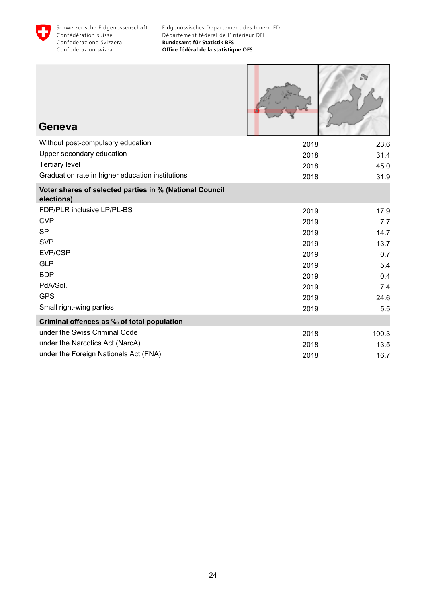

| Geneva                                                                |      |       |
|-----------------------------------------------------------------------|------|-------|
| Without post-compulsory education                                     | 2018 | 23.6  |
| Upper secondary education                                             | 2018 | 31.4  |
| <b>Tertiary level</b>                                                 | 2018 | 45.0  |
| Graduation rate in higher education institutions                      | 2018 | 31.9  |
| Voter shares of selected parties in % (National Council<br>elections) |      |       |
| FDP/PLR inclusive LP/PL-BS                                            | 2019 | 17.9  |
| <b>CVP</b>                                                            | 2019 | 7.7   |
| <b>SP</b>                                                             | 2019 | 14.7  |
| <b>SVP</b>                                                            | 2019 | 13.7  |
| EVP/CSP                                                               | 2019 | 0.7   |
| <b>GLP</b>                                                            | 2019 | 5.4   |
| <b>BDP</b>                                                            | 2019 | 0.4   |
| PdA/Sol.                                                              | 2019 | 7.4   |
| <b>GPS</b>                                                            | 2019 | 24.6  |
| Small right-wing parties                                              | 2019 | 5.5   |
| Criminal offences as ‰ of total population                            |      |       |
| under the Swiss Criminal Code                                         | 2018 | 100.3 |
| under the Narcotics Act (NarcA)                                       | 2018 | 13.5  |
| under the Foreign Nationals Act (FNA)                                 | 2018 | 16.7  |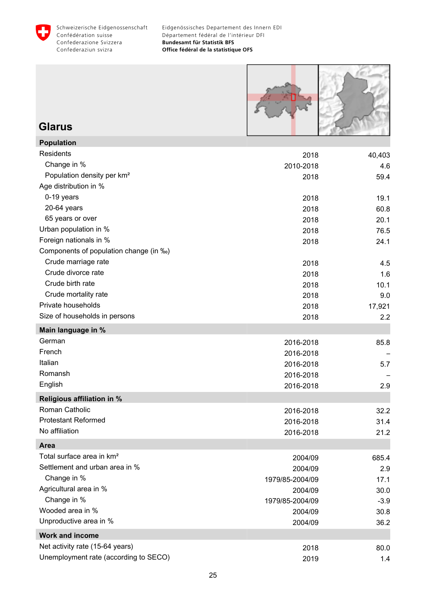<span id="page-26-0"></span>



**Glarus Population**

| Population                             |                 |        |
|----------------------------------------|-----------------|--------|
| <b>Residents</b>                       | 2018            | 40,403 |
| Change in %                            | 2010-2018       | 4.6    |
| Population density per km <sup>2</sup> | 2018            | 59.4   |
| Age distribution in %                  |                 |        |
| 0-19 years                             | 2018            | 19.1   |
| 20-64 years                            | 2018            | 60.8   |
| 65 years or over                       | 2018            | 20.1   |
| Urban population in %                  | 2018            | 76.5   |
| Foreign nationals in %                 | 2018            | 24.1   |
| Components of population change (in ‰) |                 |        |
| Crude marriage rate                    | 2018            | 4.5    |
| Crude divorce rate                     | 2018            | 1.6    |
| Crude birth rate                       | 2018            | 10.1   |
| Crude mortality rate                   | 2018            | 9.0    |
| Private households                     | 2018            | 17,921 |
| Size of households in persons          | 2018            | 2.2    |
| Main language in %                     |                 |        |
| German                                 | 2016-2018       | 85.8   |
| French                                 | 2016-2018       |        |
| Italian                                | 2016-2018       | 5.7    |
| Romansh                                | 2016-2018       |        |
| English                                | 2016-2018       | 2.9    |
| <b>Religious affiliation in %</b>      |                 |        |
| Roman Catholic                         | 2016-2018       | 32.2   |
| <b>Protestant Reformed</b>             | 2016-2018       | 31.4   |
| No affiliation                         | 2016-2018       | 21.2   |
| Area                                   |                 |        |
| Total surface area in km <sup>2</sup>  | 2004/09         | 685.4  |
| Settlement and urban area in %         | 2004/09         | 2.9    |
| Change in %                            | 1979/85-2004/09 | 17.1   |
| Agricultural area in %                 | 2004/09         | 30.0   |
| Change in %                            | 1979/85-2004/09 | $-3.9$ |
| Wooded area in %                       | 2004/09         | 30.8   |
| Unproductive area in %                 | 2004/09         | 36.2   |
| <b>Work and income</b>                 |                 |        |
| Net activity rate (15-64 years)        | 2018            | 80.0   |
| Unemployment rate (according to SECO)  | 2019            | 1.4    |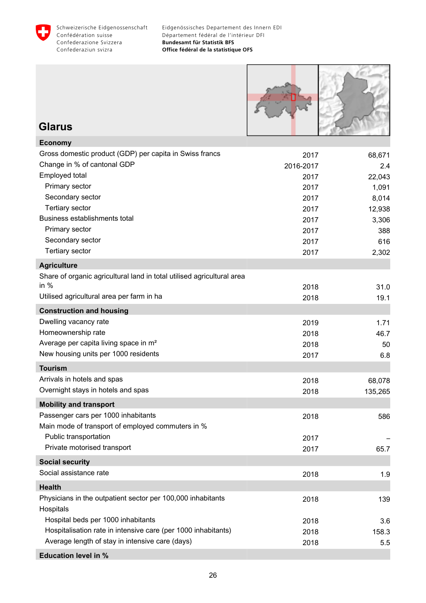



#### **Glarus**

| <b>Economy</b>                                                         |           |         |
|------------------------------------------------------------------------|-----------|---------|
| Gross domestic product (GDP) per capita in Swiss francs                | 2017      | 68,671  |
| Change in % of cantonal GDP                                            | 2016-2017 | 2.4     |
| Employed total                                                         | 2017      | 22,043  |
| Primary sector                                                         | 2017      | 1,091   |
| Secondary sector                                                       | 2017      | 8,014   |
| <b>Tertiary sector</b>                                                 | 2017      | 12,938  |
| Business establishments total                                          | 2017      | 3,306   |
| Primary sector                                                         | 2017      | 388     |
| Secondary sector                                                       | 2017      | 616     |
| <b>Tertiary sector</b>                                                 | 2017      | 2,302   |
| <b>Agriculture</b>                                                     |           |         |
| Share of organic agricultural land in total utilised agricultural area |           |         |
| in $%$                                                                 | 2018      | 31.0    |
| Utilised agricultural area per farm in ha                              | 2018      | 19.1    |
| <b>Construction and housing</b>                                        |           |         |
| Dwelling vacancy rate                                                  | 2019      | 1.71    |
| Homeownership rate                                                     | 2018      | 46.7    |
| Average per capita living space in m <sup>2</sup>                      | 2018      | 50      |
| New housing units per 1000 residents                                   | 2017      | 6.8     |
| <b>Tourism</b>                                                         |           |         |
| Arrivals in hotels and spas                                            | 2018      | 68,078  |
| Overnight stays in hotels and spas                                     | 2018      | 135,265 |
| <b>Mobility and transport</b>                                          |           |         |
| Passenger cars per 1000 inhabitants                                    | 2018      | 586     |
| Main mode of transport of employed commuters in %                      |           |         |
| Public transportation                                                  | 2017      |         |
| Private motorised transport                                            | 2017      | 65.7    |
| <b>Social security</b>                                                 |           |         |
| Social assistance rate                                                 | 2018      | 1.9     |
| <b>Health</b>                                                          |           |         |
| Physicians in the outpatient sector per 100,000 inhabitants            | 2018      | 139     |
| Hospitals                                                              |           |         |
| Hospital beds per 1000 inhabitants                                     | 2018      | 3.6     |
| Hospitalisation rate in intensive care (per 1000 inhabitants)          | 2018      | 158.3   |
| Average length of stay in intensive care (days)                        | 2018      | 5.5     |
| <b>Education level in %</b>                                            |           |         |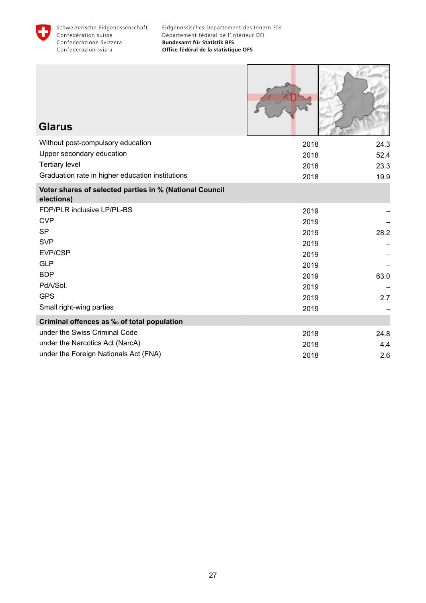

Г

J

والناسل

| <b>Glarus</b>                                                         |      |      |
|-----------------------------------------------------------------------|------|------|
| Without post-compulsory education                                     | 2018 | 24.3 |
| Upper secondary education                                             | 2018 | 52.4 |
| <b>Tertiary level</b>                                                 | 2018 | 23.3 |
| Graduation rate in higher education institutions                      | 2018 | 19.9 |
| Voter shares of selected parties in % (National Council<br>elections) |      |      |
| FDP/PLR inclusive LP/PL-BS                                            | 2019 |      |
| <b>CVP</b>                                                            | 2019 |      |
| <b>SP</b>                                                             | 2019 | 28.2 |
| <b>SVP</b>                                                            | 2019 |      |
| EVP/CSP                                                               | 2019 |      |
| <b>GLP</b>                                                            | 2019 |      |
| <b>BDP</b>                                                            | 2019 | 63.0 |
| PdA/Sol.                                                              | 2019 |      |
| <b>GPS</b>                                                            | 2019 | 2.7  |
| Small right-wing parties                                              | 2019 |      |
| Criminal offences as ‰ of total population                            |      |      |
| under the Swiss Criminal Code                                         | 2018 | 24.8 |
| under the Narcotics Act (NarcA)                                       | 2018 | 4.4  |
| under the Foreign Nationals Act (FNA)                                 | 2018 | 2.6  |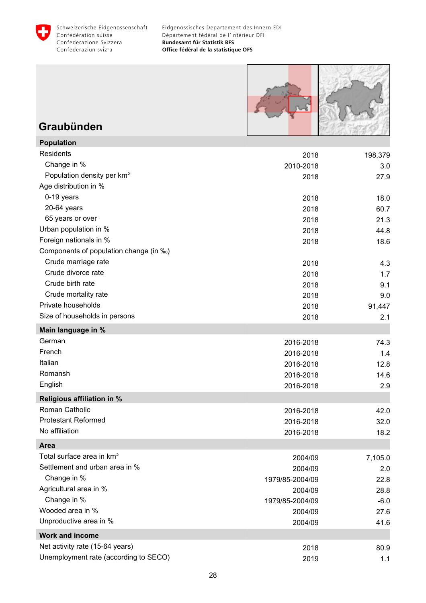<span id="page-29-0"></span>



### **Graubünden**

| <b>Population</b>                      |                 |         |
|----------------------------------------|-----------------|---------|
| Residents                              | 2018            | 198,379 |
| Change in %                            | 2010-2018       | 3.0     |
| Population density per km <sup>2</sup> | 2018            | 27.9    |
| Age distribution in %                  |                 |         |
| 0-19 years                             | 2018            | 18.0    |
| 20-64 years                            | 2018            | 60.7    |
| 65 years or over                       | 2018            | 21.3    |
| Urban population in %                  | 2018            | 44.8    |
| Foreign nationals in %                 | 2018            | 18.6    |
| Components of population change (in ‰) |                 |         |
| Crude marriage rate                    | 2018            | 4.3     |
| Crude divorce rate                     | 2018            | 1.7     |
| Crude birth rate                       | 2018            | 9.1     |
| Crude mortality rate                   | 2018            | 9.0     |
| Private households                     | 2018            | 91,447  |
| Size of households in persons          | 2018            | 2.1     |
| Main language in %                     |                 |         |
| German                                 | 2016-2018       | 74.3    |
| French                                 | 2016-2018       | 1.4     |
| Italian                                | 2016-2018       | 12.8    |
| Romansh                                | 2016-2018       | 14.6    |
| English                                | 2016-2018       | 2.9     |
| <b>Religious affiliation in %</b>      |                 |         |
| Roman Catholic                         | 2016-2018       | 42.0    |
| <b>Protestant Reformed</b>             | 2016-2018       | 32.0    |
| No affiliation                         | 2016-2018       | 18.2    |
| Area                                   |                 |         |
| Total surface area in km <sup>2</sup>  | 2004/09         | 7,105.0 |
| Settlement and urban area in %         | 2004/09         | 2.0     |
| Change in %                            | 1979/85-2004/09 | 22.8    |
| Agricultural area in %                 | 2004/09         | 28.8    |
| Change in %                            | 1979/85-2004/09 | $-6.0$  |
| Wooded area in %                       | 2004/09         | 27.6    |
| Unproductive area in %                 | 2004/09         | 41.6    |
| <b>Work and income</b>                 |                 |         |
| Net activity rate (15-64 years)        | 2018            | 80.9    |
| Unemployment rate (according to SECO)  | 2019            | 1.1     |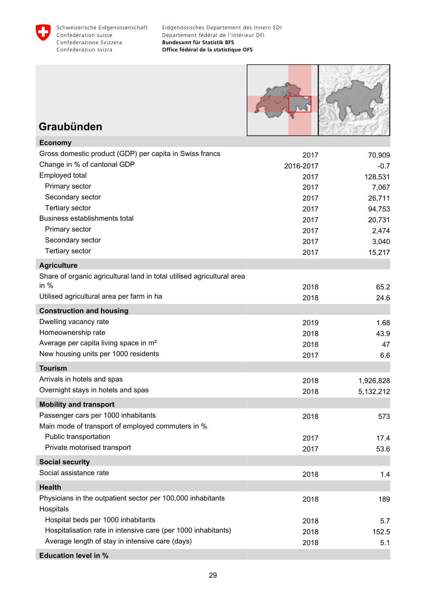



### **Graubünden**

| <b>Economy</b>                                                         |           |           |
|------------------------------------------------------------------------|-----------|-----------|
| Gross domestic product (GDP) per capita in Swiss francs                | 2017      | 70,909    |
| Change in % of cantonal GDP                                            | 2016-2017 | $-0.7$    |
| Employed total                                                         | 2017      | 128,531   |
| Primary sector                                                         | 2017      | 7,067     |
| Secondary sector                                                       | 2017      | 26,711    |
| <b>Tertiary sector</b>                                                 | 2017      | 94,753    |
| Business establishments total                                          | 2017      | 20,731    |
| Primary sector                                                         | 2017      | 2,474     |
| Secondary sector                                                       | 2017      | 3,040     |
| <b>Tertiary sector</b>                                                 | 2017      | 15,217    |
| <b>Agriculture</b>                                                     |           |           |
| Share of organic agricultural land in total utilised agricultural area |           |           |
| in $%$                                                                 | 2018      | 65.2      |
| Utilised agricultural area per farm in ha                              | 2018      | 24.6      |
| <b>Construction and housing</b>                                        |           |           |
| Dwelling vacancy rate                                                  | 2019      | 1.68      |
| Homeownership rate                                                     | 2018      | 43.9      |
| Average per capita living space in m <sup>2</sup>                      | 2018      | 47        |
| New housing units per 1000 residents                                   | 2017      | 6.6       |
| <b>Tourism</b>                                                         |           |           |
| Arrivals in hotels and spas                                            | 2018      | 1,926,828 |
| Overnight stays in hotels and spas                                     | 2018      | 5,132,212 |
| <b>Mobility and transport</b>                                          |           |           |
| Passenger cars per 1000 inhabitants                                    | 2018      | 573       |
| Main mode of transport of employed commuters in %                      |           |           |
| Public transportation                                                  | 2017      | 17.4      |
| Private motorised transport                                            | 2017      | 53.6      |
| <b>Social security</b>                                                 |           |           |
| Social assistance rate                                                 | 2018      | 1.4       |
| <b>Health</b>                                                          |           |           |
| Physicians in the outpatient sector per 100,000 inhabitants            | 2018      | 189       |
| Hospitals                                                              |           |           |
| Hospital beds per 1000 inhabitants                                     | 2018      | 5.7       |
| Hospitalisation rate in intensive care (per 1000 inhabitants)          | 2018      | 152.5     |
| Average length of stay in intensive care (days)                        | 2018      | 5.1       |
| <b>Education level in %</b>                                            |           |           |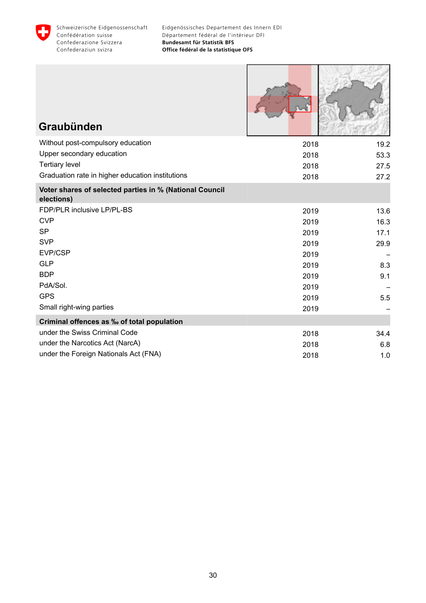

| Graubünden                                                            |      |      |
|-----------------------------------------------------------------------|------|------|
| Without post-compulsory education                                     | 2018 | 19.2 |
| Upper secondary education                                             | 2018 | 53.3 |
| <b>Tertiary level</b>                                                 | 2018 | 27.5 |
| Graduation rate in higher education institutions                      | 2018 | 27.2 |
| Voter shares of selected parties in % (National Council<br>elections) |      |      |
| FDP/PLR inclusive LP/PL-BS                                            | 2019 | 13.6 |
| <b>CVP</b>                                                            | 2019 | 16.3 |
| <b>SP</b>                                                             | 2019 | 17.1 |
| <b>SVP</b>                                                            | 2019 | 29.9 |
| EVP/CSP                                                               | 2019 |      |
| <b>GLP</b>                                                            | 2019 | 8.3  |
| <b>BDP</b>                                                            | 2019 | 9.1  |
| PdA/Sol.                                                              | 2019 |      |
| <b>GPS</b>                                                            | 2019 | 5.5  |
| Small right-wing parties                                              | 2019 |      |
| Criminal offences as ‰ of total population                            |      |      |
| under the Swiss Criminal Code                                         | 2018 | 34.4 |
| under the Narcotics Act (NarcA)                                       | 2018 | 6.8  |
| under the Foreign Nationals Act (FNA)                                 | 2018 | 1.0  |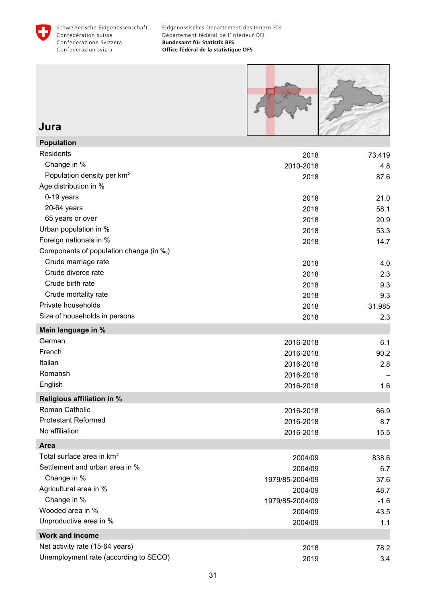<span id="page-32-0"></span>



### **Jura**

| <b>Population</b>                      |                 |        |
|----------------------------------------|-----------------|--------|
| Residents                              | 2018            | 73,419 |
| Change in %                            | 2010-2018       | 4.8    |
| Population density per km <sup>2</sup> | 2018            | 87.6   |
| Age distribution in %                  |                 |        |
| 0-19 years                             | 2018            | 21.0   |
| 20-64 years                            | 2018            | 58.1   |
| 65 years or over                       | 2018            | 20.9   |
| Urban population in %                  | 2018            | 53.3   |
| Foreign nationals in %                 | 2018            | 14.7   |
| Components of population change (in ‰) |                 |        |
| Crude marriage rate                    | 2018            | 4.0    |
| Crude divorce rate                     | 2018            | 2.3    |
| Crude birth rate                       | 2018            | 9.3    |
| Crude mortality rate                   | 2018            | 9.3    |
| Private households                     | 2018            | 31,985 |
| Size of households in persons          | 2018            | 2.3    |
| Main language in %                     |                 |        |
| German                                 | 2016-2018       | 6.1    |
| French                                 | 2016-2018       | 90.2   |
| Italian                                | 2016-2018       | 2.8    |
| Romansh                                | 2016-2018       |        |
| English                                | 2016-2018       | 1.6    |
| Religious affiliation in %             |                 |        |
| Roman Catholic                         | 2016-2018       | 66.9   |
| <b>Protestant Reformed</b>             | 2016-2018       | 8.7    |
| No affiliation                         | 2016-2018       | 15.5   |
| Area                                   |                 |        |
| Total surface area in km <sup>2</sup>  | 2004/09         | 838.6  |
| Settlement and urban area in %         | 2004/09         | 6.7    |
| Change in %                            | 1979/85-2004/09 | 37.6   |
| Agricultural area in %                 | 2004/09         | 48.7   |
| Change in %                            | 1979/85-2004/09 | $-1.6$ |
| Wooded area in %                       | 2004/09         | 43.5   |
| Unproductive area in %                 | 2004/09         | 1.1    |
| <b>Work and income</b>                 |                 |        |
| Net activity rate (15-64 years)        | 2018            | 78.2   |
| Unemployment rate (according to SECO)  | 2019            | 3.4    |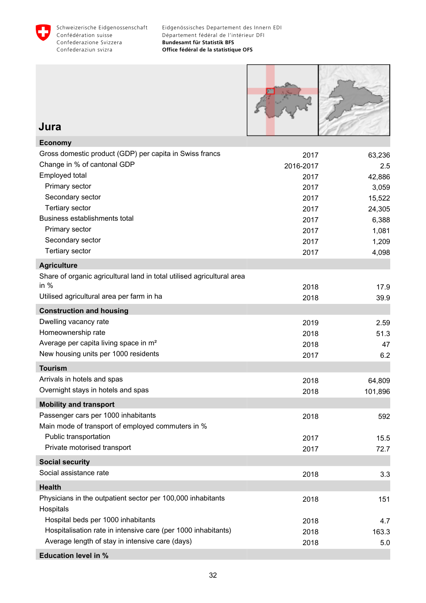



#### **Jura**

| <b>Economy</b>                                                         |           |         |
|------------------------------------------------------------------------|-----------|---------|
| Gross domestic product (GDP) per capita in Swiss francs                | 2017      | 63,236  |
| Change in % of cantonal GDP                                            | 2016-2017 | 2.5     |
| Employed total                                                         | 2017      | 42,886  |
| Primary sector                                                         | 2017      | 3,059   |
| Secondary sector                                                       | 2017      | 15,522  |
| <b>Tertiary sector</b>                                                 | 2017      | 24,305  |
| Business establishments total                                          | 2017      | 6,388   |
| Primary sector                                                         | 2017      | 1,081   |
| Secondary sector                                                       | 2017      | 1,209   |
| Tertiary sector                                                        | 2017      | 4,098   |
| <b>Agriculture</b>                                                     |           |         |
| Share of organic agricultural land in total utilised agricultural area |           |         |
| in $%$                                                                 | 2018      | 17.9    |
| Utilised agricultural area per farm in ha                              | 2018      | 39.9    |
| <b>Construction and housing</b>                                        |           |         |
| Dwelling vacancy rate                                                  | 2019      | 2.59    |
| Homeownership rate                                                     | 2018      | 51.3    |
| Average per capita living space in m <sup>2</sup>                      | 2018      | 47      |
| New housing units per 1000 residents                                   | 2017      | 6.2     |
| <b>Tourism</b>                                                         |           |         |
| Arrivals in hotels and spas                                            | 2018      | 64,809  |
| Overnight stays in hotels and spas                                     | 2018      | 101,896 |
| <b>Mobility and transport</b>                                          |           |         |
| Passenger cars per 1000 inhabitants                                    | 2018      | 592     |
| Main mode of transport of employed commuters in %                      |           |         |
| Public transportation                                                  | 2017      | 15.5    |
| Private motorised transport                                            | 2017      | 72.7    |
| <b>Social security</b>                                                 |           |         |
| Social assistance rate                                                 | 2018      | 3.3     |
| <b>Health</b>                                                          |           |         |
| Physicians in the outpatient sector per 100,000 inhabitants            | 2018      | 151     |
| Hospitals                                                              |           |         |
| Hospital beds per 1000 inhabitants                                     | 2018      | 4.7     |
| Hospitalisation rate in intensive care (per 1000 inhabitants)          | 2018      | 163.3   |
| Average length of stay in intensive care (days)                        | 2018      | 5.0     |
| <b>Education level in %</b>                                            |           |         |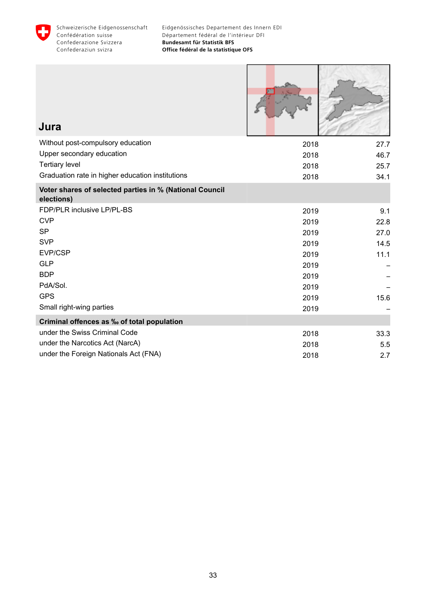

Г

н

| Jura                                                                  |      |      |
|-----------------------------------------------------------------------|------|------|
| Without post-compulsory education                                     | 2018 | 27.7 |
| Upper secondary education                                             | 2018 | 46.7 |
| <b>Tertiary level</b>                                                 | 2018 | 25.7 |
| Graduation rate in higher education institutions                      | 2018 | 34.1 |
| Voter shares of selected parties in % (National Council<br>elections) |      |      |
| FDP/PLR inclusive LP/PL-BS                                            | 2019 | 9.1  |
| <b>CVP</b>                                                            | 2019 | 22.8 |
| <b>SP</b>                                                             | 2019 | 27.0 |
| <b>SVP</b>                                                            | 2019 | 14.5 |
| <b>EVP/CSP</b>                                                        | 2019 | 11.1 |
| <b>GLP</b>                                                            | 2019 |      |
| <b>BDP</b>                                                            | 2019 |      |
| PdA/Sol.                                                              | 2019 |      |
| <b>GPS</b>                                                            | 2019 | 15.6 |
| Small right-wing parties                                              | 2019 |      |
| Criminal offences as ‰ of total population                            |      |      |
| under the Swiss Criminal Code                                         | 2018 | 33.3 |
| under the Narcotics Act (NarcA)                                       | 2018 | 5.5  |
| under the Foreign Nationals Act (FNA)                                 | 2018 | 2.7  |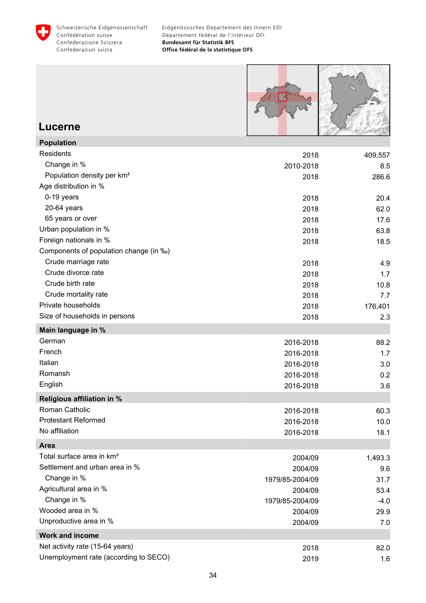<span id="page-35-0"></span>



#### **Lucerne**

| <b>Population</b>                      |                 |         |
|----------------------------------------|-----------------|---------|
| Residents                              | 2018            | 409,557 |
| Change in %                            | 2010-2018       | 8.5     |
| Population density per km <sup>2</sup> | 2018            | 286.6   |
| Age distribution in %                  |                 |         |
| 0-19 years                             | 2018            | 20.4    |
| 20-64 years                            | 2018            | 62.0    |
| 65 years or over                       | 2018            | 17.6    |
| Urban population in %                  | 2018            | 63.8    |
| Foreign nationals in %                 | 2018            | 18.5    |
| Components of population change (in ‰) |                 |         |
| Crude marriage rate                    | 2018            | 4.9     |
| Crude divorce rate                     | 2018            | 1.7     |
| Crude birth rate                       | 2018            | 10.8    |
| Crude mortality rate                   | 2018            | 7.7     |
| Private households                     | 2018            | 176,401 |
| Size of households in persons          | 2018            | 2.3     |
| Main language in %                     |                 |         |
| German                                 | 2016-2018       | 88.2    |
| French                                 | 2016-2018       | 1.7     |
| Italian                                | 2016-2018       | 3.0     |
| Romansh                                | 2016-2018       | 0.2     |
| English                                | 2016-2018       | 3.6     |
| <b>Religious affiliation in %</b>      |                 |         |
| Roman Catholic                         | 2016-2018       | 60.3    |
| <b>Protestant Reformed</b>             | 2016-2018       | 10.0    |
| No affiliation                         | 2016-2018       | 18.1    |
| <b>Area</b>                            |                 |         |
| Total surface area in km <sup>2</sup>  | 2004/09         | 1,493.3 |
| Settlement and urban area in %         | 2004/09         | 9.6     |
| Change in %                            | 1979/85-2004/09 | 31.7    |
| Agricultural area in %                 | 2004/09         | 53.4    |
| Change in %                            | 1979/85-2004/09 | $-4.0$  |
| Wooded area in %                       | 2004/09         | 29.9    |
| Unproductive area in %                 | 2004/09         | 7.0     |
| <b>Work and income</b>                 |                 |         |
| Net activity rate (15-64 years)        | 2018            | 82.0    |
| Unemployment rate (according to SECO)  | 2019            | 1.6     |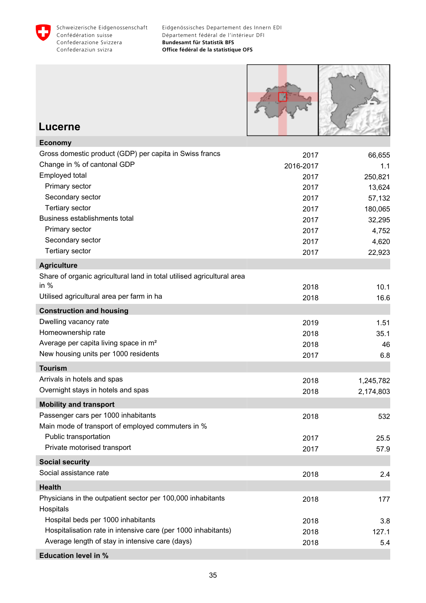



### **Lucerne**

| Gross domestic product (GDP) per capita in Swiss francs<br>2017<br>66,655<br>Change in % of cantonal GDP<br>2016-2017<br>1.1<br>Employed total<br>250,821<br>2017<br>Primary sector<br>2017<br>13,624<br>Secondary sector<br>57,132<br>2017<br><b>Tertiary sector</b><br>2017<br>180,065<br>Business establishments total<br>2017<br>32,295<br>Primary sector<br>2017<br>4,752<br>Secondary sector<br>2017<br>4,620<br><b>Tertiary sector</b><br>22,923<br>2017<br><b>Agriculture</b><br>Share of organic agricultural land in total utilised agricultural area<br>in $%$<br>2018<br>10.1<br>Utilised agricultural area per farm in ha<br>2018<br>16.6<br><b>Construction and housing</b><br>Dwelling vacancy rate<br>2019<br>1.51<br>Homeownership rate<br>2018<br>35.1<br>Average per capita living space in m <sup>2</sup><br>2018<br>46<br>New housing units per 1000 residents<br>6.8<br>2017<br><b>Tourism</b><br>Arrivals in hotels and spas<br>2018<br>1,245,782<br>Overnight stays in hotels and spas<br>2,174,803<br>2018<br><b>Mobility and transport</b><br>Passenger cars per 1000 inhabitants<br>2018<br>532<br>Main mode of transport of employed commuters in %<br>Public transportation<br>2017<br>25.5<br>Private motorised transport<br>2017<br>57.9<br><b>Social security</b><br>Social assistance rate<br>2018<br>2.4<br><b>Health</b><br>Physicians in the outpatient sector per 100,000 inhabitants<br>2018<br>177<br>Hospitals<br>Hospital beds per 1000 inhabitants<br>2018<br>3.8<br>Hospitalisation rate in intensive care (per 1000 inhabitants)<br>2018<br>127.1<br>Average length of stay in intensive care (days)<br>2018<br>5.4 | <b>Economy</b>              |  |
|-----------------------------------------------------------------------------------------------------------------------------------------------------------------------------------------------------------------------------------------------------------------------------------------------------------------------------------------------------------------------------------------------------------------------------------------------------------------------------------------------------------------------------------------------------------------------------------------------------------------------------------------------------------------------------------------------------------------------------------------------------------------------------------------------------------------------------------------------------------------------------------------------------------------------------------------------------------------------------------------------------------------------------------------------------------------------------------------------------------------------------------------------------------------------------------------------------------------------------------------------------------------------------------------------------------------------------------------------------------------------------------------------------------------------------------------------------------------------------------------------------------------------------------------------------------------------------------------------------------------------------------------------------------------|-----------------------------|--|
|                                                                                                                                                                                                                                                                                                                                                                                                                                                                                                                                                                                                                                                                                                                                                                                                                                                                                                                                                                                                                                                                                                                                                                                                                                                                                                                                                                                                                                                                                                                                                                                                                                                                 |                             |  |
|                                                                                                                                                                                                                                                                                                                                                                                                                                                                                                                                                                                                                                                                                                                                                                                                                                                                                                                                                                                                                                                                                                                                                                                                                                                                                                                                                                                                                                                                                                                                                                                                                                                                 |                             |  |
|                                                                                                                                                                                                                                                                                                                                                                                                                                                                                                                                                                                                                                                                                                                                                                                                                                                                                                                                                                                                                                                                                                                                                                                                                                                                                                                                                                                                                                                                                                                                                                                                                                                                 |                             |  |
|                                                                                                                                                                                                                                                                                                                                                                                                                                                                                                                                                                                                                                                                                                                                                                                                                                                                                                                                                                                                                                                                                                                                                                                                                                                                                                                                                                                                                                                                                                                                                                                                                                                                 |                             |  |
|                                                                                                                                                                                                                                                                                                                                                                                                                                                                                                                                                                                                                                                                                                                                                                                                                                                                                                                                                                                                                                                                                                                                                                                                                                                                                                                                                                                                                                                                                                                                                                                                                                                                 |                             |  |
|                                                                                                                                                                                                                                                                                                                                                                                                                                                                                                                                                                                                                                                                                                                                                                                                                                                                                                                                                                                                                                                                                                                                                                                                                                                                                                                                                                                                                                                                                                                                                                                                                                                                 |                             |  |
|                                                                                                                                                                                                                                                                                                                                                                                                                                                                                                                                                                                                                                                                                                                                                                                                                                                                                                                                                                                                                                                                                                                                                                                                                                                                                                                                                                                                                                                                                                                                                                                                                                                                 |                             |  |
|                                                                                                                                                                                                                                                                                                                                                                                                                                                                                                                                                                                                                                                                                                                                                                                                                                                                                                                                                                                                                                                                                                                                                                                                                                                                                                                                                                                                                                                                                                                                                                                                                                                                 |                             |  |
|                                                                                                                                                                                                                                                                                                                                                                                                                                                                                                                                                                                                                                                                                                                                                                                                                                                                                                                                                                                                                                                                                                                                                                                                                                                                                                                                                                                                                                                                                                                                                                                                                                                                 |                             |  |
|                                                                                                                                                                                                                                                                                                                                                                                                                                                                                                                                                                                                                                                                                                                                                                                                                                                                                                                                                                                                                                                                                                                                                                                                                                                                                                                                                                                                                                                                                                                                                                                                                                                                 |                             |  |
|                                                                                                                                                                                                                                                                                                                                                                                                                                                                                                                                                                                                                                                                                                                                                                                                                                                                                                                                                                                                                                                                                                                                                                                                                                                                                                                                                                                                                                                                                                                                                                                                                                                                 |                             |  |
|                                                                                                                                                                                                                                                                                                                                                                                                                                                                                                                                                                                                                                                                                                                                                                                                                                                                                                                                                                                                                                                                                                                                                                                                                                                                                                                                                                                                                                                                                                                                                                                                                                                                 |                             |  |
|                                                                                                                                                                                                                                                                                                                                                                                                                                                                                                                                                                                                                                                                                                                                                                                                                                                                                                                                                                                                                                                                                                                                                                                                                                                                                                                                                                                                                                                                                                                                                                                                                                                                 |                             |  |
|                                                                                                                                                                                                                                                                                                                                                                                                                                                                                                                                                                                                                                                                                                                                                                                                                                                                                                                                                                                                                                                                                                                                                                                                                                                                                                                                                                                                                                                                                                                                                                                                                                                                 |                             |  |
|                                                                                                                                                                                                                                                                                                                                                                                                                                                                                                                                                                                                                                                                                                                                                                                                                                                                                                                                                                                                                                                                                                                                                                                                                                                                                                                                                                                                                                                                                                                                                                                                                                                                 |                             |  |
|                                                                                                                                                                                                                                                                                                                                                                                                                                                                                                                                                                                                                                                                                                                                                                                                                                                                                                                                                                                                                                                                                                                                                                                                                                                                                                                                                                                                                                                                                                                                                                                                                                                                 |                             |  |
|                                                                                                                                                                                                                                                                                                                                                                                                                                                                                                                                                                                                                                                                                                                                                                                                                                                                                                                                                                                                                                                                                                                                                                                                                                                                                                                                                                                                                                                                                                                                                                                                                                                                 |                             |  |
|                                                                                                                                                                                                                                                                                                                                                                                                                                                                                                                                                                                                                                                                                                                                                                                                                                                                                                                                                                                                                                                                                                                                                                                                                                                                                                                                                                                                                                                                                                                                                                                                                                                                 |                             |  |
|                                                                                                                                                                                                                                                                                                                                                                                                                                                                                                                                                                                                                                                                                                                                                                                                                                                                                                                                                                                                                                                                                                                                                                                                                                                                                                                                                                                                                                                                                                                                                                                                                                                                 |                             |  |
|                                                                                                                                                                                                                                                                                                                                                                                                                                                                                                                                                                                                                                                                                                                                                                                                                                                                                                                                                                                                                                                                                                                                                                                                                                                                                                                                                                                                                                                                                                                                                                                                                                                                 |                             |  |
|                                                                                                                                                                                                                                                                                                                                                                                                                                                                                                                                                                                                                                                                                                                                                                                                                                                                                                                                                                                                                                                                                                                                                                                                                                                                                                                                                                                                                                                                                                                                                                                                                                                                 |                             |  |
|                                                                                                                                                                                                                                                                                                                                                                                                                                                                                                                                                                                                                                                                                                                                                                                                                                                                                                                                                                                                                                                                                                                                                                                                                                                                                                                                                                                                                                                                                                                                                                                                                                                                 |                             |  |
|                                                                                                                                                                                                                                                                                                                                                                                                                                                                                                                                                                                                                                                                                                                                                                                                                                                                                                                                                                                                                                                                                                                                                                                                                                                                                                                                                                                                                                                                                                                                                                                                                                                                 |                             |  |
|                                                                                                                                                                                                                                                                                                                                                                                                                                                                                                                                                                                                                                                                                                                                                                                                                                                                                                                                                                                                                                                                                                                                                                                                                                                                                                                                                                                                                                                                                                                                                                                                                                                                 |                             |  |
|                                                                                                                                                                                                                                                                                                                                                                                                                                                                                                                                                                                                                                                                                                                                                                                                                                                                                                                                                                                                                                                                                                                                                                                                                                                                                                                                                                                                                                                                                                                                                                                                                                                                 |                             |  |
|                                                                                                                                                                                                                                                                                                                                                                                                                                                                                                                                                                                                                                                                                                                                                                                                                                                                                                                                                                                                                                                                                                                                                                                                                                                                                                                                                                                                                                                                                                                                                                                                                                                                 |                             |  |
|                                                                                                                                                                                                                                                                                                                                                                                                                                                                                                                                                                                                                                                                                                                                                                                                                                                                                                                                                                                                                                                                                                                                                                                                                                                                                                                                                                                                                                                                                                                                                                                                                                                                 |                             |  |
|                                                                                                                                                                                                                                                                                                                                                                                                                                                                                                                                                                                                                                                                                                                                                                                                                                                                                                                                                                                                                                                                                                                                                                                                                                                                                                                                                                                                                                                                                                                                                                                                                                                                 |                             |  |
|                                                                                                                                                                                                                                                                                                                                                                                                                                                                                                                                                                                                                                                                                                                                                                                                                                                                                                                                                                                                                                                                                                                                                                                                                                                                                                                                                                                                                                                                                                                                                                                                                                                                 |                             |  |
|                                                                                                                                                                                                                                                                                                                                                                                                                                                                                                                                                                                                                                                                                                                                                                                                                                                                                                                                                                                                                                                                                                                                                                                                                                                                                                                                                                                                                                                                                                                                                                                                                                                                 |                             |  |
|                                                                                                                                                                                                                                                                                                                                                                                                                                                                                                                                                                                                                                                                                                                                                                                                                                                                                                                                                                                                                                                                                                                                                                                                                                                                                                                                                                                                                                                                                                                                                                                                                                                                 |                             |  |
|                                                                                                                                                                                                                                                                                                                                                                                                                                                                                                                                                                                                                                                                                                                                                                                                                                                                                                                                                                                                                                                                                                                                                                                                                                                                                                                                                                                                                                                                                                                                                                                                                                                                 |                             |  |
|                                                                                                                                                                                                                                                                                                                                                                                                                                                                                                                                                                                                                                                                                                                                                                                                                                                                                                                                                                                                                                                                                                                                                                                                                                                                                                                                                                                                                                                                                                                                                                                                                                                                 |                             |  |
|                                                                                                                                                                                                                                                                                                                                                                                                                                                                                                                                                                                                                                                                                                                                                                                                                                                                                                                                                                                                                                                                                                                                                                                                                                                                                                                                                                                                                                                                                                                                                                                                                                                                 |                             |  |
|                                                                                                                                                                                                                                                                                                                                                                                                                                                                                                                                                                                                                                                                                                                                                                                                                                                                                                                                                                                                                                                                                                                                                                                                                                                                                                                                                                                                                                                                                                                                                                                                                                                                 |                             |  |
|                                                                                                                                                                                                                                                                                                                                                                                                                                                                                                                                                                                                                                                                                                                                                                                                                                                                                                                                                                                                                                                                                                                                                                                                                                                                                                                                                                                                                                                                                                                                                                                                                                                                 | <b>Education level in %</b> |  |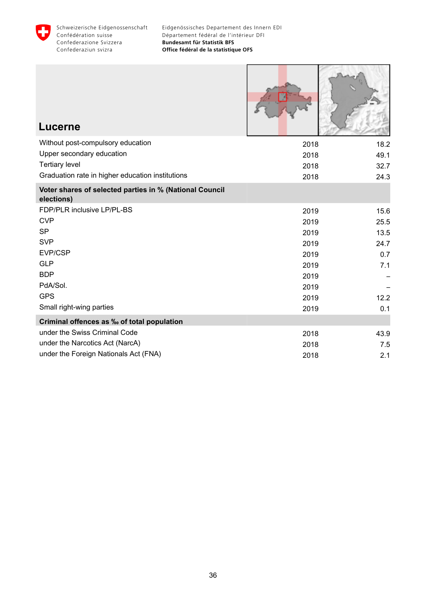

Г

3. AND 21 3

-1

| Lucerne                                                               |      |      |
|-----------------------------------------------------------------------|------|------|
| Without post-compulsory education                                     | 2018 | 18.2 |
| Upper secondary education                                             | 2018 | 49.1 |
| <b>Tertiary level</b>                                                 | 2018 | 32.7 |
| Graduation rate in higher education institutions                      | 2018 | 24.3 |
| Voter shares of selected parties in % (National Council<br>elections) |      |      |
| FDP/PLR inclusive LP/PL-BS                                            | 2019 | 15.6 |
| <b>CVP</b>                                                            | 2019 | 25.5 |
| <b>SP</b>                                                             | 2019 | 13.5 |
| <b>SVP</b>                                                            | 2019 | 24.7 |
| EVP/CSP                                                               | 2019 | 0.7  |
| <b>GLP</b>                                                            | 2019 | 7.1  |
| <b>BDP</b>                                                            | 2019 |      |
| PdA/Sol.                                                              | 2019 |      |
| <b>GPS</b>                                                            | 2019 | 12.2 |
| Small right-wing parties                                              | 2019 | 0.1  |
| Criminal offences as ‰ of total population                            |      |      |
| under the Swiss Criminal Code                                         | 2018 | 43.9 |
| under the Narcotics Act (NarcA)                                       | 2018 | 7.5  |
| under the Foreign Nationals Act (FNA)                                 | 2018 | 2.1  |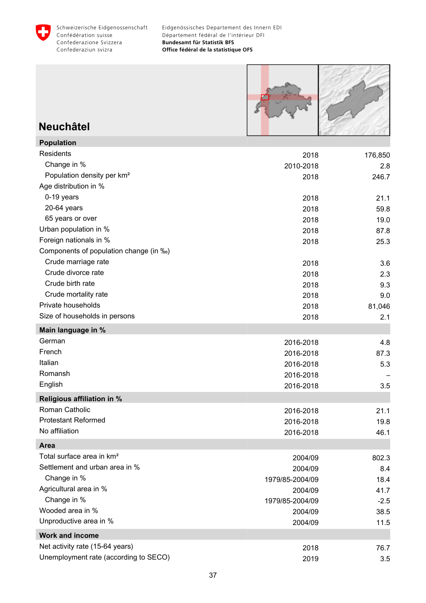



### **Neuchâtel**

| <b>Population</b>                      |                 |         |
|----------------------------------------|-----------------|---------|
| Residents                              | 2018            | 176,850 |
| Change in %                            | 2010-2018       | 2.8     |
| Population density per km <sup>2</sup> | 2018            | 246.7   |
| Age distribution in %                  |                 |         |
| 0-19 years                             | 2018            | 21.1    |
| 20-64 years                            | 2018            | 59.8    |
| 65 years or over                       | 2018            | 19.0    |
| Urban population in %                  | 2018            | 87.8    |
| Foreign nationals in %                 | 2018            | 25.3    |
| Components of population change (in ‰) |                 |         |
| Crude marriage rate                    | 2018            | 3.6     |
| Crude divorce rate                     | 2018            | 2.3     |
| Crude birth rate                       | 2018            | 9.3     |
| Crude mortality rate                   | 2018            | 9.0     |
| Private households                     | 2018            | 81,046  |
| Size of households in persons          | 2018            | 2.1     |
| Main language in %                     |                 |         |
| German                                 | 2016-2018       | 4.8     |
| French                                 | 2016-2018       | 87.3    |
| Italian                                | 2016-2018       | 5.3     |
| Romansh                                | 2016-2018       |         |
| English                                | 2016-2018       | 3.5     |
| <b>Religious affiliation in %</b>      |                 |         |
| Roman Catholic                         | 2016-2018       | 21.1    |
| <b>Protestant Reformed</b>             | 2016-2018       | 19.8    |
| No affiliation                         | 2016-2018       | 46.1    |
| <b>Area</b>                            |                 |         |
| Total surface area in km <sup>2</sup>  | 2004/09         | 802.3   |
| Settlement and urban area in %         | 2004/09         | 8.4     |
| Change in %                            | 1979/85-2004/09 | 18.4    |
| Agricultural area in %                 | 2004/09         | 41.7    |
| Change in %                            | 1979/85-2004/09 | $-2.5$  |
| Wooded area in %                       | 2004/09         | 38.5    |
| Unproductive area in %                 | 2004/09         | 11.5    |
| <b>Work and income</b>                 |                 |         |
| Net activity rate (15-64 years)        | 2018            | 76.7    |
| Unemployment rate (according to SECO)  | 2019            | 3.5     |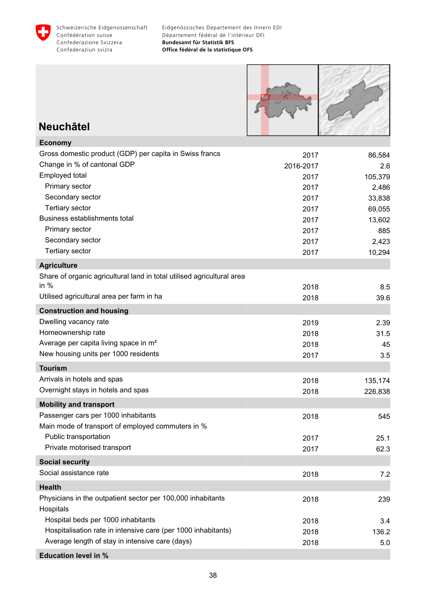



### **Neuchâtel**

| <b>Economy</b>                                                         |           |         |
|------------------------------------------------------------------------|-----------|---------|
| Gross domestic product (GDP) per capita in Swiss francs                | 2017      | 86,584  |
| Change in % of cantonal GDP                                            | 2016-2017 | 2.6     |
| Employed total                                                         | 2017      | 105,379 |
| Primary sector                                                         | 2017      | 2,486   |
| Secondary sector                                                       | 2017      | 33,838  |
| <b>Tertiary sector</b>                                                 | 2017      | 69,055  |
| Business establishments total                                          | 2017      | 13,602  |
| Primary sector                                                         | 2017      | 885     |
| Secondary sector                                                       | 2017      | 2,423   |
| <b>Tertiary sector</b>                                                 | 2017      | 10,294  |
| <b>Agriculture</b>                                                     |           |         |
| Share of organic agricultural land in total utilised agricultural area |           |         |
| in $%$                                                                 | 2018      | 8.5     |
| Utilised agricultural area per farm in ha                              | 2018      | 39.6    |
| <b>Construction and housing</b>                                        |           |         |
| Dwelling vacancy rate                                                  | 2019      | 2.39    |
| Homeownership rate                                                     | 2018      | 31.5    |
| Average per capita living space in m <sup>2</sup>                      | 2018      | 45      |
| New housing units per 1000 residents                                   | 2017      | 3.5     |
| <b>Tourism</b>                                                         |           |         |
| Arrivals in hotels and spas                                            | 2018      | 135,174 |
| Overnight stays in hotels and spas                                     | 2018      | 226,838 |
| <b>Mobility and transport</b>                                          |           |         |
| Passenger cars per 1000 inhabitants                                    | 2018      | 545     |
| Main mode of transport of employed commuters in %                      |           |         |
| Public transportation                                                  | 2017      | 25.1    |
| Private motorised transport                                            | 2017      | 62.3    |
| <b>Social security</b>                                                 |           |         |
| Social assistance rate                                                 | 2018      | 7.2     |
| <b>Health</b>                                                          |           |         |
| Physicians in the outpatient sector per 100,000 inhabitants            | 2018      | 239     |
| Hospitals                                                              |           |         |
| Hospital beds per 1000 inhabitants                                     | 2018      | 3.4     |
| Hospitalisation rate in intensive care (per 1000 inhabitants)          | 2018      | 136.2   |
| Average length of stay in intensive care (days)                        | 2018      | 5.0     |
| <b>Education level in %</b>                                            |           |         |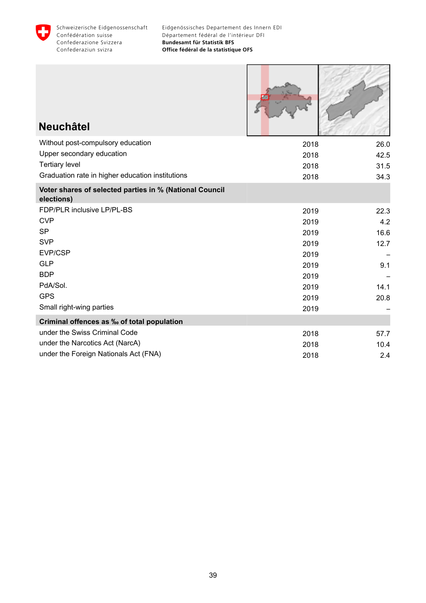

| <b>Neuchâtel</b>                                                      |      |      |
|-----------------------------------------------------------------------|------|------|
| Without post-compulsory education                                     | 2018 | 26.0 |
| Upper secondary education                                             | 2018 | 42.5 |
| <b>Tertiary level</b>                                                 | 2018 | 31.5 |
| Graduation rate in higher education institutions                      | 2018 | 34.3 |
| Voter shares of selected parties in % (National Council<br>elections) |      |      |
| FDP/PLR inclusive LP/PL-BS                                            | 2019 | 22.3 |
| <b>CVP</b>                                                            | 2019 | 4.2  |
| <b>SP</b>                                                             | 2019 | 16.6 |
| <b>SVP</b>                                                            | 2019 | 12.7 |
| EVP/CSP                                                               | 2019 |      |
| <b>GLP</b>                                                            | 2019 | 9.1  |
| <b>BDP</b>                                                            | 2019 |      |
| PdA/Sol.                                                              | 2019 | 14.1 |
| <b>GPS</b>                                                            | 2019 | 20.8 |
| Small right-wing parties                                              | 2019 |      |
| Criminal offences as ‰ of total population                            |      |      |
| under the Swiss Criminal Code                                         | 2018 | 57.7 |
| under the Narcotics Act (NarcA)                                       | 2018 | 10.4 |
| under the Foreign Nationals Act (FNA)                                 | 2018 | 2.4  |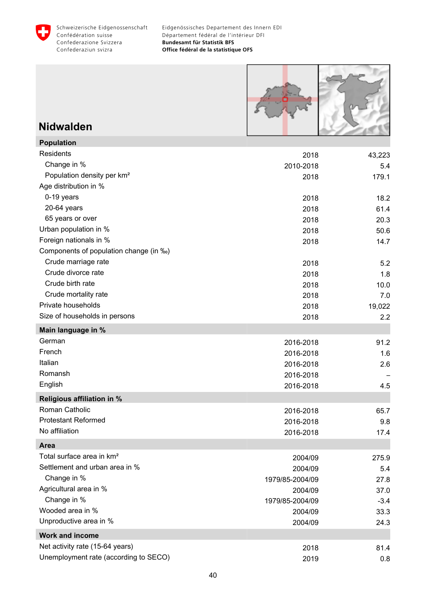



### **Nidwalden**

| <b>Population</b>                      |                 |        |
|----------------------------------------|-----------------|--------|
| Residents                              | 2018            | 43,223 |
| Change in %                            | 2010-2018       | 5.4    |
| Population density per km <sup>2</sup> | 2018            | 179.1  |
| Age distribution in %                  |                 |        |
| 0-19 years                             | 2018            | 18.2   |
| 20-64 years                            | 2018            | 61.4   |
| 65 years or over                       | 2018            | 20.3   |
| Urban population in %                  | 2018            | 50.6   |
| Foreign nationals in %                 | 2018            | 14.7   |
| Components of population change (in ‰) |                 |        |
| Crude marriage rate                    | 2018            | 5.2    |
| Crude divorce rate                     | 2018            | 1.8    |
| Crude birth rate                       | 2018            | 10.0   |
| Crude mortality rate                   | 2018            | 7.0    |
| Private households                     | 2018            | 19,022 |
| Size of households in persons          | 2018            | 2.2    |
| Main language in %                     |                 |        |
| German                                 | 2016-2018       | 91.2   |
| French                                 | 2016-2018       | 1.6    |
| Italian                                | 2016-2018       | 2.6    |
| Romansh                                | 2016-2018       |        |
| English                                | 2016-2018       | 4.5    |
| <b>Religious affiliation in %</b>      |                 |        |
| Roman Catholic                         | 2016-2018       | 65.7   |
| <b>Protestant Reformed</b>             | 2016-2018       | 9.8    |
| No affiliation                         | 2016-2018       | 17.4   |
| Area                                   |                 |        |
| Total surface area in km <sup>2</sup>  | 2004/09         | 275.9  |
| Settlement and urban area in %         | 2004/09         | 5.4    |
| Change in %                            | 1979/85-2004/09 | 27.8   |
| Agricultural area in %                 | 2004/09         | 37.0   |
| Change in %                            | 1979/85-2004/09 | $-3.4$ |
| Wooded area in %                       | 2004/09         | 33.3   |
| Unproductive area in %                 | 2004/09         | 24.3   |
| <b>Work and income</b>                 |                 |        |
| Net activity rate (15-64 years)        | 2018            | 81.4   |
| Unemployment rate (according to SECO)  | 2019            | 0.8    |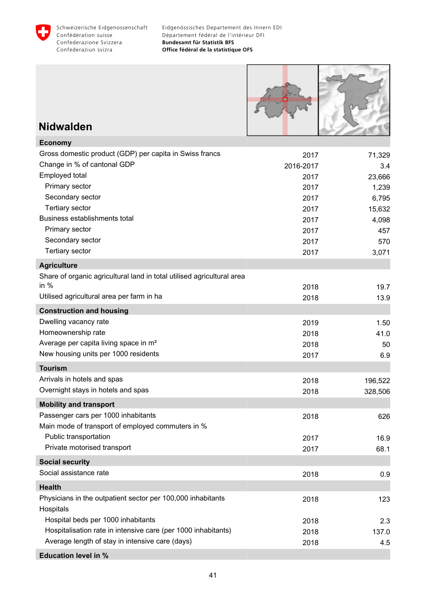



### **Nidwalden**

| <b>Economy</b>                                                         |           |         |
|------------------------------------------------------------------------|-----------|---------|
| Gross domestic product (GDP) per capita in Swiss francs                | 2017      | 71,329  |
| Change in % of cantonal GDP                                            | 2016-2017 | 3.4     |
| Employed total                                                         | 2017      | 23,666  |
| Primary sector                                                         | 2017      | 1,239   |
| Secondary sector                                                       | 2017      | 6,795   |
| <b>Tertiary sector</b>                                                 | 2017      | 15,632  |
| Business establishments total                                          | 2017      | 4,098   |
| Primary sector                                                         | 2017      | 457     |
| Secondary sector                                                       | 2017      | 570     |
| <b>Tertiary sector</b>                                                 | 2017      | 3,071   |
| <b>Agriculture</b>                                                     |           |         |
| Share of organic agricultural land in total utilised agricultural area |           |         |
| in $%$                                                                 | 2018      | 19.7    |
| Utilised agricultural area per farm in ha                              | 2018      | 13.9    |
| <b>Construction and housing</b>                                        |           |         |
| Dwelling vacancy rate                                                  | 2019      | 1.50    |
| Homeownership rate                                                     | 2018      | 41.0    |
| Average per capita living space in m <sup>2</sup>                      | 2018      | 50      |
| New housing units per 1000 residents                                   | 2017      | 6.9     |
| <b>Tourism</b>                                                         |           |         |
| Arrivals in hotels and spas                                            | 2018      | 196,522 |
| Overnight stays in hotels and spas                                     | 2018      | 328,506 |
| <b>Mobility and transport</b>                                          |           |         |
| Passenger cars per 1000 inhabitants                                    | 2018      | 626     |
| Main mode of transport of employed commuters in %                      |           |         |
| Public transportation                                                  | 2017      | 16.9    |
| Private motorised transport                                            | 2017      | 68.1    |
| <b>Social security</b>                                                 |           |         |
| Social assistance rate                                                 | 2018      | 0.9     |
| <b>Health</b>                                                          |           |         |
| Physicians in the outpatient sector per 100,000 inhabitants            | 2018      | 123     |
| Hospitals                                                              |           |         |
| Hospital beds per 1000 inhabitants                                     | 2018      | 2.3     |
| Hospitalisation rate in intensive care (per 1000 inhabitants)          | 2018      | 137.0   |
| Average length of stay in intensive care (days)                        | 2018      | 4.5     |
| <b>Education level in %</b>                                            |           |         |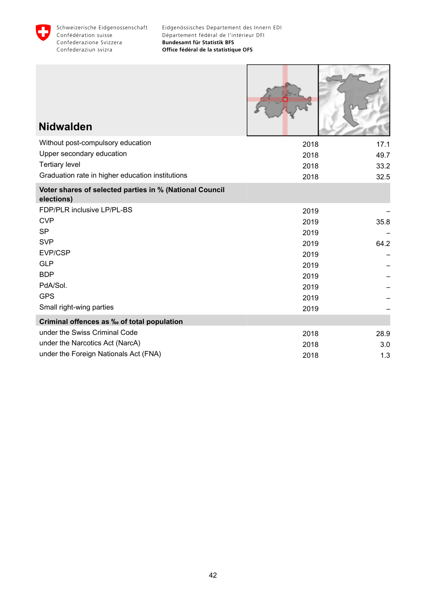

Г

 $\sim$ 

Ì

| <b>Nidwalden</b>                                                      |      |      |
|-----------------------------------------------------------------------|------|------|
| Without post-compulsory education                                     | 2018 | 17.1 |
| Upper secondary education                                             | 2018 | 49.7 |
| <b>Tertiary level</b>                                                 | 2018 | 33.2 |
| Graduation rate in higher education institutions                      | 2018 | 32.5 |
| Voter shares of selected parties in % (National Council<br>elections) |      |      |
| FDP/PLR inclusive LP/PL-BS                                            | 2019 |      |
| <b>CVP</b>                                                            | 2019 | 35.8 |
| <b>SP</b>                                                             | 2019 |      |
| <b>SVP</b>                                                            | 2019 | 64.2 |
| EVP/CSP                                                               | 2019 |      |
| <b>GLP</b>                                                            | 2019 |      |
| <b>BDP</b>                                                            | 2019 |      |
| PdA/Sol.                                                              | 2019 |      |
| <b>GPS</b>                                                            | 2019 |      |
| Small right-wing parties                                              | 2019 |      |
| Criminal offences as ‰ of total population                            |      |      |
| under the Swiss Criminal Code                                         | 2018 | 28.9 |
| under the Narcotics Act (NarcA)                                       | 2018 | 3.0  |
| under the Foreign Nationals Act (FNA)                                 | 2018 | 1.3  |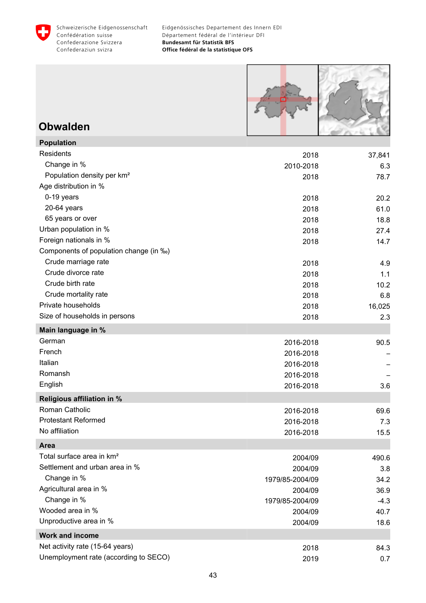



### **Obwalden**

| <b>Population</b>                      |                 |        |
|----------------------------------------|-----------------|--------|
| Residents                              | 2018            | 37,841 |
| Change in %                            | 2010-2018       | 6.3    |
| Population density per km <sup>2</sup> | 2018            | 78.7   |
| Age distribution in %                  |                 |        |
| 0-19 years                             | 2018            | 20.2   |
| 20-64 years                            | 2018            | 61.0   |
| 65 years or over                       | 2018            | 18.8   |
| Urban population in %                  | 2018            | 27.4   |
| Foreign nationals in %                 | 2018            | 14.7   |
| Components of population change (in ‰) |                 |        |
| Crude marriage rate                    | 2018            | 4.9    |
| Crude divorce rate                     | 2018            | 1.1    |
| Crude birth rate                       | 2018            | 10.2   |
| Crude mortality rate                   | 2018            | 6.8    |
| Private households                     | 2018            | 16,025 |
| Size of households in persons          | 2018            | 2.3    |
| Main language in %                     |                 |        |
| German                                 | 2016-2018       | 90.5   |
| French                                 | 2016-2018       |        |
| Italian                                | 2016-2018       |        |
| Romansh                                | 2016-2018       |        |
| English                                | 2016-2018       | 3.6    |
| <b>Religious affiliation in %</b>      |                 |        |
| Roman Catholic                         | 2016-2018       | 69.6   |
| <b>Protestant Reformed</b>             | 2016-2018       | 7.3    |
| No affiliation                         | 2016-2018       | 15.5   |
| <b>Area</b>                            |                 |        |
| Total surface area in km <sup>2</sup>  | 2004/09         | 490.6  |
| Settlement and urban area in %         | 2004/09         | 3.8    |
| Change in %                            | 1979/85-2004/09 | 34.2   |
| Agricultural area in %                 | 2004/09         | 36.9   |
| Change in %                            | 1979/85-2004/09 | $-4.3$ |
| Wooded area in %                       | 2004/09         | 40.7   |
| Unproductive area in %                 | 2004/09         | 18.6   |
| <b>Work and income</b>                 |                 |        |
| Net activity rate (15-64 years)        | 2018            | 84.3   |
| Unemployment rate (according to SECO)  | 2019            | 0.7    |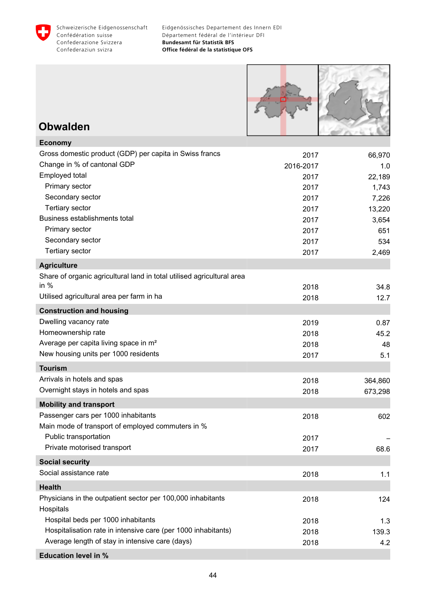



### **Obwalden**

| <b>Economy</b>                                                         |           |         |
|------------------------------------------------------------------------|-----------|---------|
| Gross domestic product (GDP) per capita in Swiss francs                | 2017      | 66,970  |
| Change in % of cantonal GDP                                            | 2016-2017 | 1.0     |
| Employed total                                                         | 2017      | 22,189  |
| Primary sector                                                         | 2017      | 1,743   |
| Secondary sector                                                       | 2017      | 7,226   |
| <b>Tertiary sector</b>                                                 | 2017      | 13,220  |
| Business establishments total                                          | 2017      | 3,654   |
| Primary sector                                                         | 2017      | 651     |
| Secondary sector                                                       | 2017      | 534     |
| <b>Tertiary sector</b>                                                 | 2017      | 2,469   |
| <b>Agriculture</b>                                                     |           |         |
| Share of organic agricultural land in total utilised agricultural area |           |         |
| in $%$                                                                 | 2018      | 34.8    |
| Utilised agricultural area per farm in ha                              | 2018      | 12.7    |
| <b>Construction and housing</b>                                        |           |         |
| Dwelling vacancy rate                                                  | 2019      | 0.87    |
| Homeownership rate                                                     | 2018      | 45.2    |
| Average per capita living space in m <sup>2</sup>                      | 2018      | 48      |
| New housing units per 1000 residents                                   | 2017      | 5.1     |
| <b>Tourism</b>                                                         |           |         |
| Arrivals in hotels and spas                                            | 2018      | 364,860 |
| Overnight stays in hotels and spas                                     | 2018      | 673,298 |
| <b>Mobility and transport</b>                                          |           |         |
| Passenger cars per 1000 inhabitants                                    | 2018      | 602     |
| Main mode of transport of employed commuters in %                      |           |         |
| Public transportation                                                  | 2017      |         |
| Private motorised transport                                            | 2017      | 68.6    |
| <b>Social security</b>                                                 |           |         |
| Social assistance rate                                                 | 2018      | 1.1     |
| <b>Health</b>                                                          |           |         |
| Physicians in the outpatient sector per 100,000 inhabitants            | 2018      | 124     |
| Hospitals                                                              |           |         |
| Hospital beds per 1000 inhabitants                                     | 2018      | 1.3     |
| Hospitalisation rate in intensive care (per 1000 inhabitants)          | 2018      | 139.3   |
| Average length of stay in intensive care (days)                        | 2018      | 4.2     |
| <b>Education level in %</b>                                            |           |         |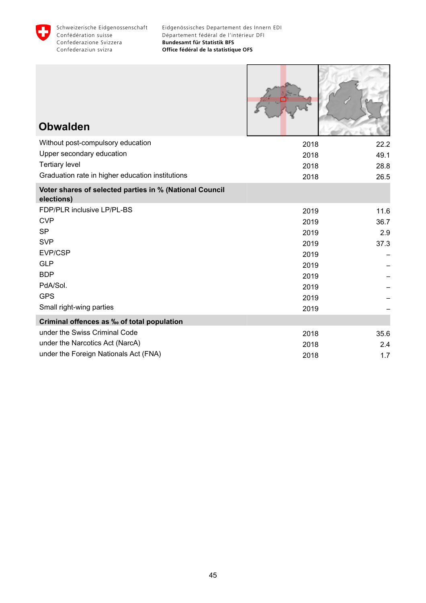

Г

**ROCKET** 

| <b>Obwalden</b>                                                       |      |      |
|-----------------------------------------------------------------------|------|------|
| Without post-compulsory education                                     | 2018 | 22.2 |
| Upper secondary education                                             | 2018 | 49.1 |
| <b>Tertiary level</b>                                                 | 2018 | 28.8 |
| Graduation rate in higher education institutions                      | 2018 | 26.5 |
| Voter shares of selected parties in % (National Council<br>elections) |      |      |
| FDP/PLR inclusive LP/PL-BS                                            | 2019 | 11.6 |
| <b>CVP</b>                                                            | 2019 | 36.7 |
| <b>SP</b>                                                             | 2019 | 2.9  |
| <b>SVP</b>                                                            | 2019 | 37.3 |
| EVP/CSP                                                               | 2019 |      |
| <b>GLP</b>                                                            | 2019 |      |
| <b>BDP</b>                                                            | 2019 |      |
| PdA/Sol.                                                              | 2019 |      |
| <b>GPS</b>                                                            | 2019 |      |
| Small right-wing parties                                              | 2019 |      |
| Criminal offences as ‰ of total population                            |      |      |
| under the Swiss Criminal Code                                         | 2018 | 35.6 |
| under the Narcotics Act (NarcA)                                       | 2018 | 2.4  |
| under the Foreign Nationals Act (FNA)                                 | 2018 | 1.7  |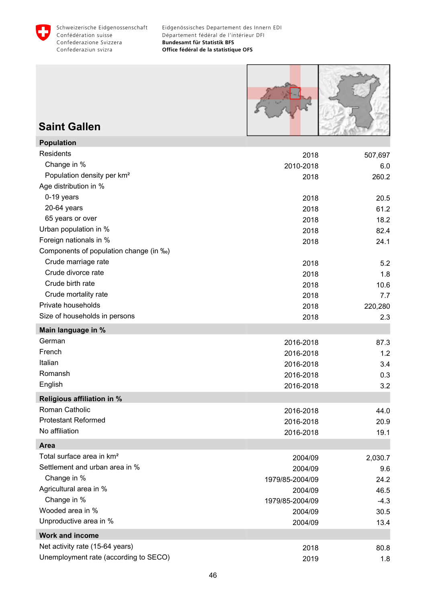



### **Saint Gallen**

| <b>Population</b>                      |                 |         |
|----------------------------------------|-----------------|---------|
| Residents                              | 2018            | 507,697 |
| Change in %                            | 2010-2018       | 6.0     |
| Population density per km <sup>2</sup> | 2018            | 260.2   |
| Age distribution in %                  |                 |         |
| 0-19 years                             | 2018            | 20.5    |
| 20-64 years                            | 2018            | 61.2    |
| 65 years or over                       | 2018            | 18.2    |
| Urban population in %                  | 2018            | 82.4    |
| Foreign nationals in %                 | 2018            | 24.1    |
| Components of population change (in ‰) |                 |         |
| Crude marriage rate                    | 2018            | 5.2     |
| Crude divorce rate                     | 2018            | 1.8     |
| Crude birth rate                       | 2018            | 10.6    |
| Crude mortality rate                   | 2018            | 7.7     |
| Private households                     | 2018            | 220,280 |
| Size of households in persons          | 2018            | 2.3     |
| Main language in %                     |                 |         |
| German                                 | 2016-2018       | 87.3    |
| French                                 | 2016-2018       | 1.2     |
| Italian                                | 2016-2018       | 3.4     |
| Romansh                                | 2016-2018       | 0.3     |
| English                                | 2016-2018       | 3.2     |
| <b>Religious affiliation in %</b>      |                 |         |
| Roman Catholic                         | 2016-2018       | 44.0    |
| <b>Protestant Reformed</b>             | 2016-2018       | 20.9    |
| No affiliation                         | 2016-2018       | 19.1    |
| <b>Area</b>                            |                 |         |
| Total surface area in km <sup>2</sup>  | 2004/09         | 2,030.7 |
| Settlement and urban area in %         | 2004/09         | 9.6     |
| Change in %                            | 1979/85-2004/09 | 24.2    |
| Agricultural area in %                 | 2004/09         | 46.5    |
| Change in %                            | 1979/85-2004/09 | $-4.3$  |
| Wooded area in %                       | 2004/09         | 30.5    |
| Unproductive area in %                 | 2004/09         | 13.4    |
| <b>Work and income</b>                 |                 |         |
| Net activity rate (15-64 years)        | 2018            | 80.8    |
| Unemployment rate (according to SECO)  | 2019            | 1.8     |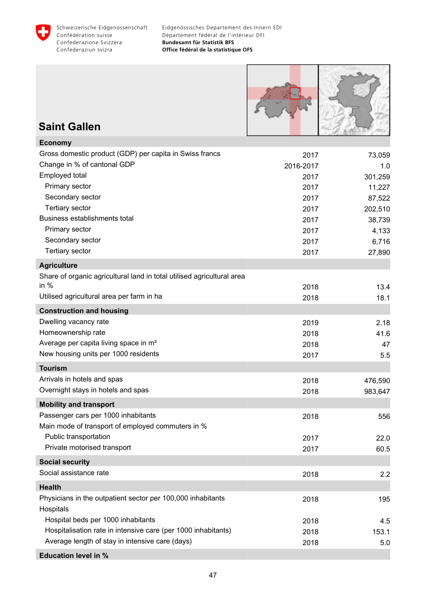



# **Saint Gallen**

| <b>Economy</b>                                                         |           |         |
|------------------------------------------------------------------------|-----------|---------|
| Gross domestic product (GDP) per capita in Swiss francs                | 2017      | 73,059  |
| Change in % of cantonal GDP                                            | 2016-2017 | 1.0     |
| Employed total                                                         | 2017      | 301,259 |
| Primary sector                                                         | 2017      | 11,227  |
| Secondary sector                                                       | 2017      | 87,522  |
| Tertiary sector                                                        | 2017      | 202,510 |
| Business establishments total                                          | 2017      | 38,739  |
| Primary sector                                                         | 2017      | 4,133   |
| Secondary sector                                                       | 2017      | 6,716   |
| <b>Tertiary sector</b>                                                 | 2017      | 27,890  |
| <b>Agriculture</b>                                                     |           |         |
| Share of organic agricultural land in total utilised agricultural area |           |         |
| in $%$                                                                 | 2018      | 13.4    |
| Utilised agricultural area per farm in ha                              | 2018      | 18.1    |
| <b>Construction and housing</b>                                        |           |         |
| Dwelling vacancy rate                                                  | 2019      | 2.18    |
| Homeownership rate                                                     | 2018      | 41.6    |
| Average per capita living space in m <sup>2</sup>                      | 2018      | 47      |
| New housing units per 1000 residents                                   | 2017      | 5.5     |
| <b>Tourism</b>                                                         |           |         |
| Arrivals in hotels and spas                                            | 2018      | 476,590 |
| Overnight stays in hotels and spas                                     | 2018      | 983,647 |
| <b>Mobility and transport</b>                                          |           |         |
| Passenger cars per 1000 inhabitants                                    | 2018      | 556     |
| Main mode of transport of employed commuters in %                      |           |         |
| Public transportation                                                  | 2017      | 22.0    |
| Private motorised transport                                            | 2017      | 60.5    |
| <b>Social security</b>                                                 |           |         |
| Social assistance rate                                                 | 2018      | 2.2     |
| <b>Health</b>                                                          |           |         |
| Physicians in the outpatient sector per 100,000 inhabitants            | 2018      | 195     |
| Hospitals                                                              |           |         |
| Hospital beds per 1000 inhabitants                                     | 2018      | 4.5     |
| Hospitalisation rate in intensive care (per 1000 inhabitants)          | 2018      | 153.1   |
| Average length of stay in intensive care (days)                        | 2018      | 5.0     |
| <b>Education level in %</b>                                            |           |         |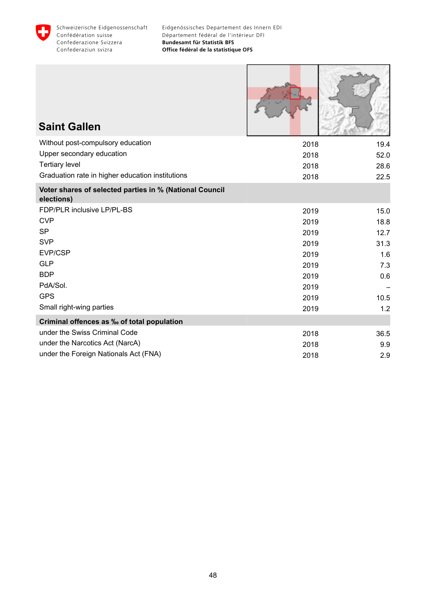

| <b>Saint Gallen</b>                                                   |      |      |
|-----------------------------------------------------------------------|------|------|
| Without post-compulsory education                                     | 2018 | 19.4 |
| Upper secondary education                                             | 2018 | 52.0 |
| <b>Tertiary level</b>                                                 | 2018 | 28.6 |
| Graduation rate in higher education institutions                      | 2018 | 22.5 |
| Voter shares of selected parties in % (National Council<br>elections) |      |      |
| FDP/PLR inclusive LP/PL-BS                                            | 2019 | 15.0 |
| <b>CVP</b>                                                            | 2019 | 18.8 |
| <b>SP</b>                                                             | 2019 | 12.7 |
| <b>SVP</b>                                                            | 2019 | 31.3 |
| EVP/CSP                                                               | 2019 | 1.6  |
| <b>GLP</b>                                                            | 2019 | 7.3  |
| <b>BDP</b>                                                            | 2019 | 0.6  |
| PdA/Sol.                                                              | 2019 |      |
| <b>GPS</b>                                                            | 2019 | 10.5 |
| Small right-wing parties                                              | 2019 | 1.2  |
| Criminal offences as ‰ of total population                            |      |      |
| under the Swiss Criminal Code                                         | 2018 | 36.5 |
| under the Narcotics Act (NarcA)                                       | 2018 | 9.9  |
| under the Foreign Nationals Act (FNA)                                 | 2018 | 2.9  |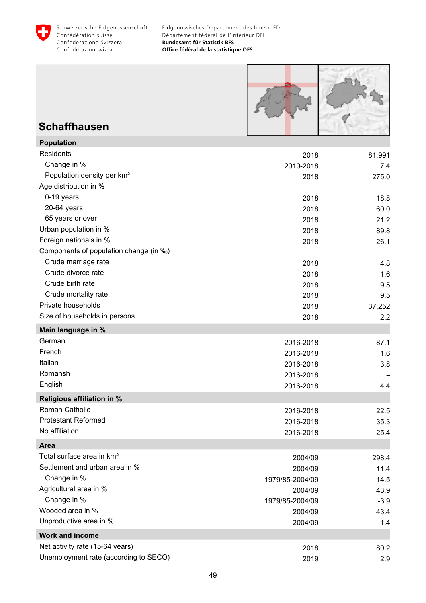



### **Schaffhausen**

**Population**

| Population                             |                 |        |
|----------------------------------------|-----------------|--------|
| Residents                              | 2018            | 81,991 |
| Change in %                            | 2010-2018       | 7.4    |
| Population density per km <sup>2</sup> | 2018            | 275.0  |
| Age distribution in %                  |                 |        |
| 0-19 years                             | 2018            | 18.8   |
| 20-64 years                            | 2018            | 60.0   |
| 65 years or over                       | 2018            | 21.2   |
| Urban population in %                  | 2018            | 89.8   |
| Foreign nationals in %                 | 2018            | 26.1   |
| Components of population change (in ‰) |                 |        |
| Crude marriage rate                    | 2018            | 4.8    |
| Crude divorce rate                     | 2018            | 1.6    |
| Crude birth rate                       | 2018            | 9.5    |
| Crude mortality rate                   | 2018            | 9.5    |
| Private households                     | 2018            | 37,252 |
| Size of households in persons          | 2018            | 2.2    |
| Main language in %                     |                 |        |
| German                                 | 2016-2018       | 87.1   |
| French                                 | 2016-2018       | 1.6    |
| Italian                                | 2016-2018       | 3.8    |
| Romansh                                | 2016-2018       |        |
| English                                | 2016-2018       | 4.4    |
| <b>Religious affiliation in %</b>      |                 |        |
| Roman Catholic                         | 2016-2018       | 22.5   |
| <b>Protestant Reformed</b>             | 2016-2018       | 35.3   |
| No affiliation                         | 2016-2018       | 25.4   |
| <b>Area</b>                            |                 |        |
| Total surface area in km <sup>2</sup>  | 2004/09         | 298.4  |
| Settlement and urban area in %         | 2004/09         | 11.4   |
| Change in %                            | 1979/85-2004/09 | 14.5   |
| Agricultural area in %                 | 2004/09         | 43.9   |
| Change in %                            | 1979/85-2004/09 | $-3.9$ |
| Wooded area in %                       | 2004/09         | 43.4   |
| Unproductive area in %                 | 2004/09         | 1.4    |
| <b>Work and income</b>                 |                 |        |
| Net activity rate (15-64 years)        | 2018            | 80.2   |
| Unemployment rate (according to SECO)  | 2019            | 2.9    |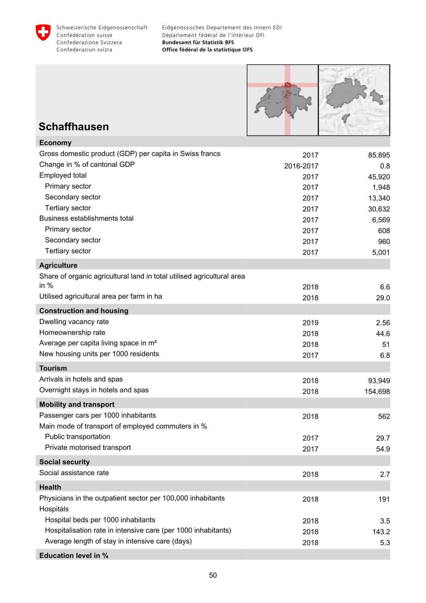



# **Schaffhausen**

| <b>Economy</b>                                                         |           |         |
|------------------------------------------------------------------------|-----------|---------|
| Gross domestic product (GDP) per capita in Swiss francs                | 2017      | 85,895  |
| Change in % of cantonal GDP                                            | 2016-2017 | 0.8     |
| Employed total                                                         | 2017      | 45,920  |
| Primary sector                                                         | 2017      | 1,948   |
| Secondary sector                                                       | 2017      | 13,340  |
| <b>Tertiary sector</b>                                                 | 2017      | 30,632  |
| Business establishments total                                          | 2017      | 6,569   |
| Primary sector                                                         | 2017      | 608     |
| Secondary sector                                                       | 2017      | 960     |
| <b>Tertiary sector</b>                                                 | 2017      | 5,001   |
| <b>Agriculture</b>                                                     |           |         |
| Share of organic agricultural land in total utilised agricultural area |           |         |
| in $%$                                                                 | 2018      | 6.6     |
| Utilised agricultural area per farm in ha                              | 2018      | 29.0    |
| <b>Construction and housing</b>                                        |           |         |
| Dwelling vacancy rate                                                  | 2019      | 2.56    |
| Homeownership rate                                                     | 2018      | 44.6    |
| Average per capita living space in m <sup>2</sup>                      | 2018      | 51      |
| New housing units per 1000 residents                                   | 2017      | 6.8     |
| <b>Tourism</b>                                                         |           |         |
| Arrivals in hotels and spas                                            | 2018      | 93,949  |
| Overnight stays in hotels and spas                                     | 2018      | 154,698 |
| <b>Mobility and transport</b>                                          |           |         |
| Passenger cars per 1000 inhabitants                                    | 2018      | 562     |
| Main mode of transport of employed commuters in %                      |           |         |
| Public transportation                                                  | 2017      | 29.7    |
| Private motorised transport                                            | 2017      | 54.9    |
| <b>Social security</b>                                                 |           |         |
| Social assistance rate                                                 | 2018      | 2.7     |
| <b>Health</b>                                                          |           |         |
| Physicians in the outpatient sector per 100,000 inhabitants            | 2018      | 191     |
| Hospitals                                                              |           |         |
| Hospital beds per 1000 inhabitants                                     | 2018      | 3.5     |
| Hospitalisation rate in intensive care (per 1000 inhabitants)          | 2018      | 143.2   |
| Average length of stay in intensive care (days)                        | 2018      | 5.3     |
| <b>Education level in %</b>                                            |           |         |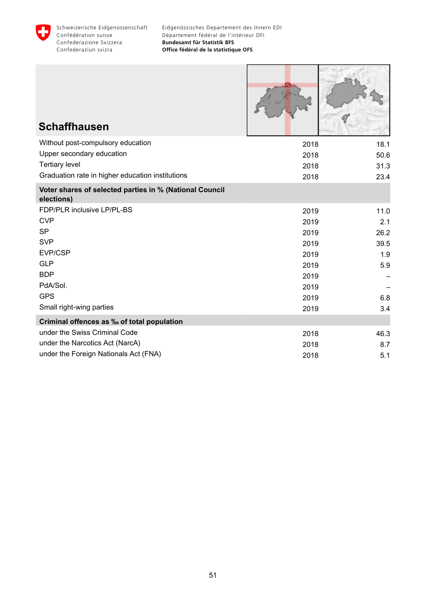

| <b>Schaffhausen</b>                                                   |      |      |
|-----------------------------------------------------------------------|------|------|
| Without post-compulsory education                                     | 2018 | 18.1 |
| Upper secondary education                                             | 2018 | 50.6 |
| <b>Tertiary level</b>                                                 | 2018 | 31.3 |
| Graduation rate in higher education institutions                      | 2018 | 23.4 |
| Voter shares of selected parties in % (National Council<br>elections) |      |      |
| FDP/PLR inclusive LP/PL-BS                                            | 2019 | 11.0 |
| <b>CVP</b>                                                            | 2019 | 2.1  |
| <b>SP</b>                                                             | 2019 | 26.2 |
| <b>SVP</b>                                                            | 2019 | 39.5 |
| EVP/CSP                                                               | 2019 | 1.9  |
| <b>GLP</b>                                                            | 2019 | 5.9  |
| <b>BDP</b>                                                            | 2019 |      |
| PdA/Sol.                                                              | 2019 |      |
| <b>GPS</b>                                                            | 2019 | 6.8  |
| Small right-wing parties                                              | 2019 | 3.4  |
| Criminal offences as ‰ of total population                            |      |      |
| under the Swiss Criminal Code                                         | 2018 | 46.3 |
| under the Narcotics Act (NarcA)                                       | 2018 | 8.7  |
| under the Foreign Nationals Act (FNA)                                 | 2018 | 5.1  |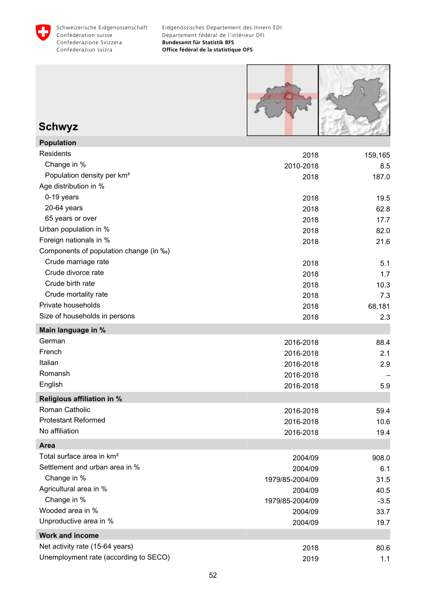



# **Schwyz**

| <b>Population</b>                      |                 |         |
|----------------------------------------|-----------------|---------|
| Residents                              | 2018            | 159,165 |
| Change in %                            | 2010-2018       | 8.5     |
| Population density per km <sup>2</sup> | 2018            | 187.0   |
| Age distribution in %                  |                 |         |
| 0-19 years                             | 2018            | 19.5    |
| 20-64 years                            | 2018            | 62.8    |
| 65 years or over                       | 2018            | 17.7    |
| Urban population in %                  | 2018            | 82.0    |
| Foreign nationals in %                 | 2018            | 21.6    |
| Components of population change (in ‰) |                 |         |
| Crude marriage rate                    | 2018            | 5.1     |
| Crude divorce rate                     | 2018            | 1.7     |
| Crude birth rate                       | 2018            | 10.3    |
| Crude mortality rate                   | 2018            | 7.3     |
| Private households                     | 2018            | 68,181  |
| Size of households in persons          | 2018            | 2.3     |
| Main language in %                     |                 |         |
| German                                 | 2016-2018       | 88.4    |
| French                                 | 2016-2018       | 2.1     |
| Italian                                | 2016-2018       | 2.9     |
| Romansh                                | 2016-2018       |         |
| English                                | 2016-2018       | 5.9     |
| <b>Religious affiliation in %</b>      |                 |         |
| Roman Catholic                         | 2016-2018       | 59.4    |
| <b>Protestant Reformed</b>             | 2016-2018       | 10.6    |
| No affiliation                         | 2016-2018       | 19.4    |
| <b>Area</b>                            |                 |         |
| Total surface area in km <sup>2</sup>  | 2004/09         | 908.0   |
| Settlement and urban area in %         | 2004/09         | 6.1     |
| Change in %                            | 1979/85-2004/09 | 31.5    |
| Agricultural area in %                 | 2004/09         | 40.5    |
| Change in %                            | 1979/85-2004/09 | $-3.5$  |
| Wooded area in %                       | 2004/09         | 33.7    |
| Unproductive area in %                 | 2004/09         | 19.7    |
| <b>Work and income</b>                 |                 |         |
| Net activity rate (15-64 years)        | 2018            | 80.6    |
| Unemployment rate (according to SECO)  | 2019            | 1.1     |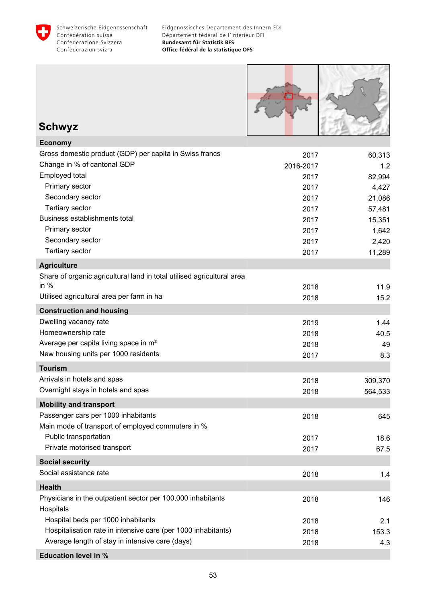



# **Schwyz**

| <b>Economy</b>                                                         |           |         |
|------------------------------------------------------------------------|-----------|---------|
| Gross domestic product (GDP) per capita in Swiss francs                | 2017      | 60,313  |
| Change in % of cantonal GDP                                            | 2016-2017 | 1.2     |
| Employed total                                                         | 2017      | 82,994  |
| Primary sector                                                         | 2017      | 4,427   |
| Secondary sector                                                       | 2017      | 21,086  |
| <b>Tertiary sector</b>                                                 | 2017      | 57,481  |
| Business establishments total                                          | 2017      | 15,351  |
| Primary sector                                                         | 2017      | 1,642   |
| Secondary sector                                                       | 2017      | 2,420   |
| <b>Tertiary sector</b>                                                 | 2017      | 11,289  |
| <b>Agriculture</b>                                                     |           |         |
| Share of organic agricultural land in total utilised agricultural area |           |         |
| in $%$                                                                 | 2018      | 11.9    |
| Utilised agricultural area per farm in ha                              | 2018      | 15.2    |
| <b>Construction and housing</b>                                        |           |         |
| Dwelling vacancy rate                                                  | 2019      | 1.44    |
| Homeownership rate                                                     | 2018      | 40.5    |
| Average per capita living space in m <sup>2</sup>                      | 2018      | 49      |
| New housing units per 1000 residents                                   | 2017      | 8.3     |
| <b>Tourism</b>                                                         |           |         |
| Arrivals in hotels and spas                                            | 2018      | 309,370 |
| Overnight stays in hotels and spas                                     | 2018      | 564,533 |
| <b>Mobility and transport</b>                                          |           |         |
| Passenger cars per 1000 inhabitants                                    | 2018      | 645     |
| Main mode of transport of employed commuters in %                      |           |         |
| Public transportation                                                  | 2017      | 18.6    |
| Private motorised transport                                            | 2017      | 67.5    |
| <b>Social security</b>                                                 |           |         |
| Social assistance rate                                                 | 2018      | 1.4     |
| <b>Health</b>                                                          |           |         |
| Physicians in the outpatient sector per 100,000 inhabitants            | 2018      | 146     |
| Hospitals                                                              |           |         |
| Hospital beds per 1000 inhabitants                                     | 2018      | 2.1     |
| Hospitalisation rate in intensive care (per 1000 inhabitants)          | 2018      | 153.3   |
| Average length of stay in intensive care (days)                        | 2018      | 4.3     |
| <b>Education level in %</b>                                            |           |         |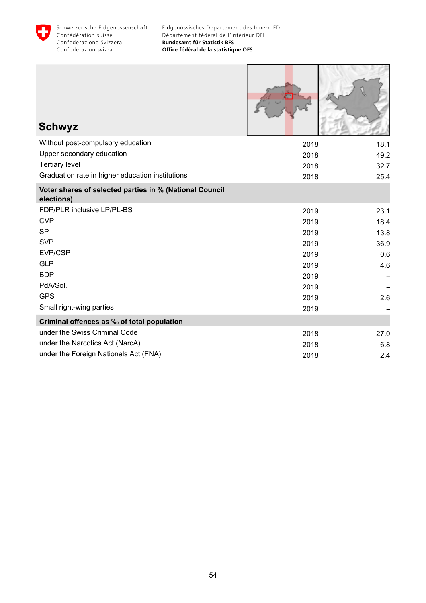

Г

**INTERNATIONAL PROPERTY** 

| <b>Schwyz</b>                                                         |      |      |
|-----------------------------------------------------------------------|------|------|
| Without post-compulsory education                                     | 2018 | 18.1 |
| Upper secondary education                                             | 2018 | 49.2 |
| <b>Tertiary level</b>                                                 | 2018 | 32.7 |
| Graduation rate in higher education institutions                      | 2018 | 25.4 |
| Voter shares of selected parties in % (National Council<br>elections) |      |      |
| FDP/PLR inclusive LP/PL-BS                                            | 2019 | 23.1 |
| <b>CVP</b>                                                            | 2019 | 18.4 |
| <b>SP</b>                                                             | 2019 | 13.8 |
| <b>SVP</b>                                                            | 2019 | 36.9 |
| EVP/CSP                                                               | 2019 | 0.6  |
| <b>GLP</b>                                                            | 2019 | 4.6  |
| <b>BDP</b>                                                            | 2019 |      |
| PdA/Sol.                                                              | 2019 |      |
| <b>GPS</b>                                                            | 2019 | 2.6  |
| Small right-wing parties                                              | 2019 |      |
| Criminal offences as ‰ of total population                            |      |      |
| under the Swiss Criminal Code                                         | 2018 | 27.0 |
| under the Narcotics Act (NarcA)                                       | 2018 | 6.8  |
| under the Foreign Nationals Act (FNA)                                 | 2018 | 2.4  |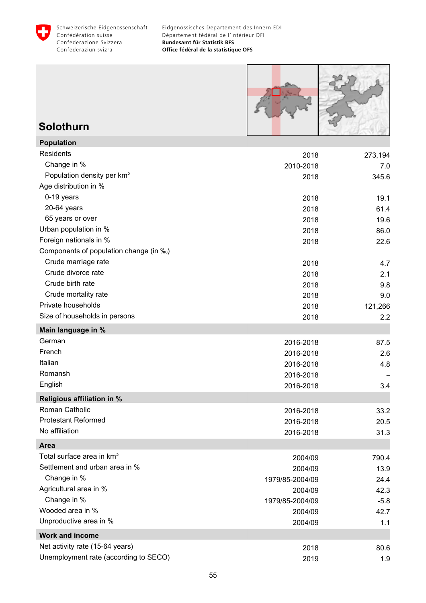



### **Solothurn**

| <b>Population</b>                      |                 |         |
|----------------------------------------|-----------------|---------|
| Residents                              | 2018            | 273,194 |
| Change in %                            | 2010-2018       | 7.0     |
| Population density per km <sup>2</sup> | 2018            | 345.6   |
| Age distribution in %                  |                 |         |
| 0-19 years                             | 2018            | 19.1    |
| 20-64 years                            | 2018            | 61.4    |
| 65 years or over                       | 2018            | 19.6    |
| Urban population in %                  | 2018            | 86.0    |
| Foreign nationals in %                 | 2018            | 22.6    |
| Components of population change (in ‰) |                 |         |
| Crude marriage rate                    | 2018            | 4.7     |
| Crude divorce rate                     | 2018            | 2.1     |
| Crude birth rate                       | 2018            | 9.8     |
| Crude mortality rate                   | 2018            | 9.0     |
| Private households                     | 2018            | 121,266 |
| Size of households in persons          | 2018            | 2.2     |
| Main language in %                     |                 |         |
| German                                 | 2016-2018       | 87.5    |
| French                                 | 2016-2018       | 2.6     |
| Italian                                | 2016-2018       | 4.8     |
| Romansh                                | 2016-2018       |         |
| English                                | 2016-2018       | 3.4     |
| <b>Religious affiliation in %</b>      |                 |         |
| Roman Catholic                         | 2016-2018       | 33.2    |
| <b>Protestant Reformed</b>             | 2016-2018       | 20.5    |
| No affiliation                         | 2016-2018       | 31.3    |
| <b>Area</b>                            |                 |         |
| Total surface area in km <sup>2</sup>  | 2004/09         | 790.4   |
| Settlement and urban area in %         | 2004/09         | 13.9    |
| Change in %                            | 1979/85-2004/09 | 24.4    |
| Agricultural area in %                 | 2004/09         | 42.3    |
| Change in %                            | 1979/85-2004/09 | $-5.8$  |
| Wooded area in %                       | 2004/09         | 42.7    |
| Unproductive area in %                 | 2004/09         | 1.1     |
| <b>Work and income</b>                 |                 |         |
| Net activity rate (15-64 years)        | 2018            | 80.6    |
| Unemployment rate (according to SECO)  | 2019            | 1.9     |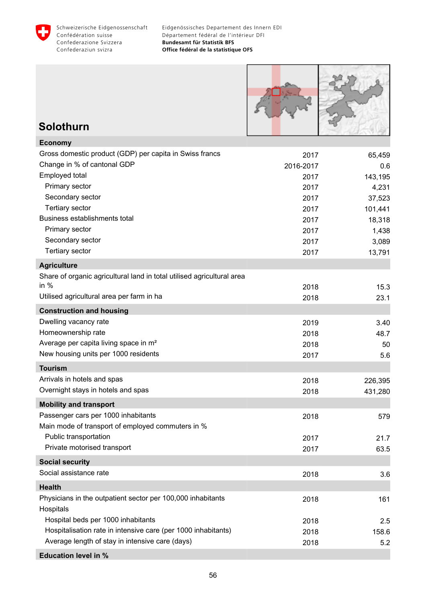



### **Solothurn**

| <b>Economy</b>                                                         |           |         |
|------------------------------------------------------------------------|-----------|---------|
| Gross domestic product (GDP) per capita in Swiss francs                | 2017      | 65,459  |
| Change in % of cantonal GDP                                            | 2016-2017 | 0.6     |
| Employed total                                                         | 2017      | 143,195 |
| Primary sector                                                         | 2017      | 4,231   |
| Secondary sector                                                       | 2017      | 37,523  |
| <b>Tertiary sector</b>                                                 | 2017      | 101,441 |
| Business establishments total                                          | 2017      | 18,318  |
| Primary sector                                                         | 2017      | 1,438   |
| Secondary sector                                                       | 2017      | 3,089   |
| <b>Tertiary sector</b>                                                 | 2017      | 13,791  |
| <b>Agriculture</b>                                                     |           |         |
| Share of organic agricultural land in total utilised agricultural area |           |         |
| in $%$                                                                 | 2018      | 15.3    |
| Utilised agricultural area per farm in ha                              | 2018      | 23.1    |
| <b>Construction and housing</b>                                        |           |         |
| Dwelling vacancy rate                                                  | 2019      | 3.40    |
| Homeownership rate                                                     | 2018      | 48.7    |
| Average per capita living space in m <sup>2</sup>                      | 2018      | 50      |
| New housing units per 1000 residents                                   | 2017      | 5.6     |
| <b>Tourism</b>                                                         |           |         |
| Arrivals in hotels and spas                                            | 2018      | 226,395 |
| Overnight stays in hotels and spas                                     | 2018      | 431,280 |
| <b>Mobility and transport</b>                                          |           |         |
| Passenger cars per 1000 inhabitants                                    | 2018      | 579     |
| Main mode of transport of employed commuters in %                      |           |         |
| Public transportation                                                  | 2017      | 21.7    |
| Private motorised transport                                            | 2017      | 63.5    |
| <b>Social security</b>                                                 |           |         |
| Social assistance rate                                                 | 2018      | 3.6     |
| <b>Health</b>                                                          |           |         |
| Physicians in the outpatient sector per 100,000 inhabitants            | 2018      | 161     |
| Hospitals                                                              |           |         |
| Hospital beds per 1000 inhabitants                                     | 2018      | 2.5     |
| Hospitalisation rate in intensive care (per 1000 inhabitants)          | 2018      | 158.6   |
| Average length of stay in intensive care (days)                        | 2018      | 5.2     |
| <b>Education level in %</b>                                            |           |         |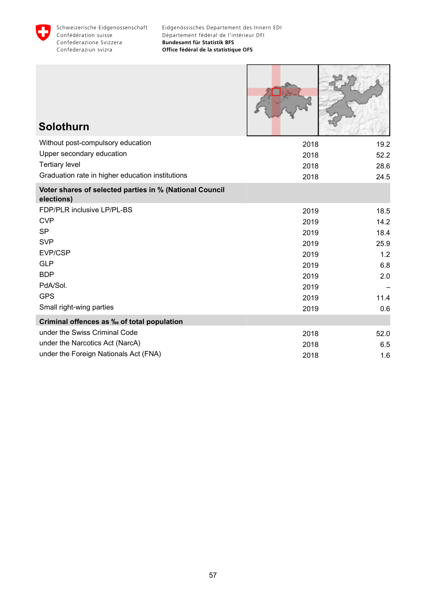

| <b>Solothurn</b>                                                      |      |      |
|-----------------------------------------------------------------------|------|------|
| Without post-compulsory education                                     | 2018 | 19.2 |
| Upper secondary education                                             | 2018 | 52.2 |
| <b>Tertiary level</b>                                                 | 2018 | 28.6 |
| Graduation rate in higher education institutions                      | 2018 | 24.5 |
| Voter shares of selected parties in % (National Council<br>elections) |      |      |
| FDP/PLR inclusive LP/PL-BS                                            | 2019 | 18.5 |
| <b>CVP</b>                                                            | 2019 | 14.2 |
| <b>SP</b>                                                             | 2019 | 18.4 |
| <b>SVP</b>                                                            | 2019 | 25.9 |
| EVP/CSP                                                               | 2019 | 1.2  |
| <b>GLP</b>                                                            | 2019 | 6.8  |
| <b>BDP</b>                                                            | 2019 | 2.0  |
| PdA/Sol.                                                              | 2019 |      |
| <b>GPS</b>                                                            | 2019 | 11.4 |
| Small right-wing parties                                              | 2019 | 0.6  |
| Criminal offences as ‰ of total population                            |      |      |
| under the Swiss Criminal Code                                         | 2018 | 52.0 |
| under the Narcotics Act (NarcA)                                       | 2018 | 6.5  |
| under the Foreign Nationals Act (FNA)                                 | 2018 | 1.6  |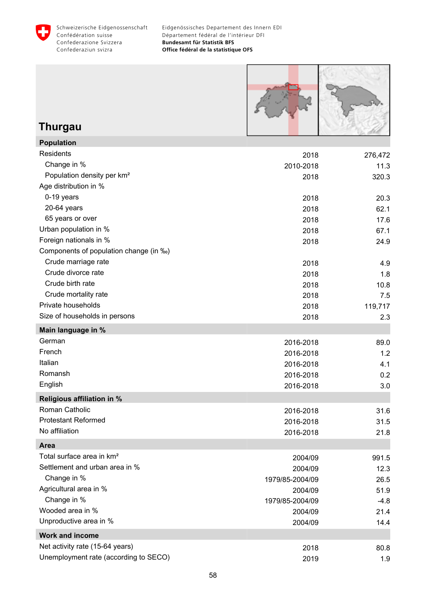



# **Thurgau**

**Population**

| Population                             |                 |         |
|----------------------------------------|-----------------|---------|
| <b>Residents</b>                       | 2018            | 276,472 |
| Change in %                            | 2010-2018       | 11.3    |
| Population density per km <sup>2</sup> | 2018            | 320.3   |
| Age distribution in %                  |                 |         |
| 0-19 years                             | 2018            | 20.3    |
| 20-64 years                            | 2018            | 62.1    |
| 65 years or over                       | 2018            | 17.6    |
| Urban population in %                  | 2018            | 67.1    |
| Foreign nationals in %                 | 2018            | 24.9    |
| Components of population change (in ‰) |                 |         |
| Crude marriage rate                    | 2018            | 4.9     |
| Crude divorce rate                     | 2018            | 1.8     |
| Crude birth rate                       | 2018            | 10.8    |
| Crude mortality rate                   | 2018            | 7.5     |
| Private households                     | 2018            | 119,717 |
| Size of households in persons          | 2018            | 2.3     |
| Main language in %                     |                 |         |
| German                                 | 2016-2018       | 89.0    |
| French                                 | 2016-2018       | 1.2     |
| Italian                                | 2016-2018       | 4.1     |
| Romansh                                | 2016-2018       | 0.2     |
| English                                | 2016-2018       | 3.0     |
| <b>Religious affiliation in %</b>      |                 |         |
| Roman Catholic                         | 2016-2018       | 31.6    |
| <b>Protestant Reformed</b>             | 2016-2018       | 31.5    |
| No affiliation                         | 2016-2018       | 21.8    |
| Area                                   |                 |         |
| Total surface area in km <sup>2</sup>  | 2004/09         | 991.5   |
| Settlement and urban area in %         | 2004/09         | 12.3    |
| Change in %                            | 1979/85-2004/09 | 26.5    |
| Agricultural area in %                 | 2004/09         | 51.9    |
| Change in %                            | 1979/85-2004/09 | $-4.8$  |
| Wooded area in %                       | 2004/09         | 21.4    |
| Unproductive area in %                 | 2004/09         | 14.4    |
| <b>Work and income</b>                 |                 |         |
| Net activity rate (15-64 years)        | 2018            | 80.8    |
| Unemployment rate (according to SECO)  | 2019            | 1.9     |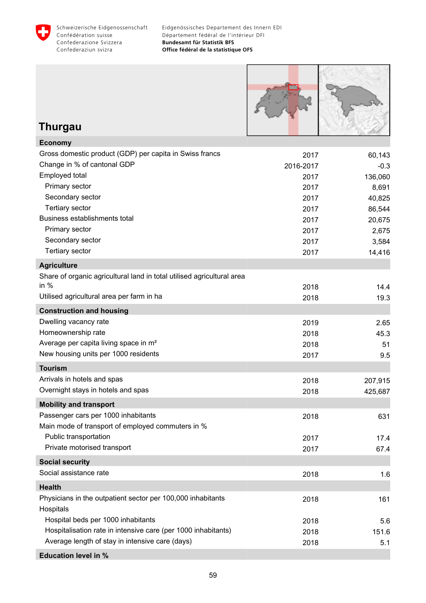



### **Thurgau**

| Gross domestic product (GDP) per capita in Swiss francs<br>2017<br>60,143<br>Change in % of cantonal GDP<br>2016-2017<br>$-0.3$<br>Employed total<br>2017<br>136,060<br>Primary sector<br>2017<br>8,691<br>Secondary sector<br>40,825<br>2017<br><b>Tertiary sector</b><br>86,544<br>2017<br>Business establishments total<br>2017<br>20,675<br>Primary sector<br>2017<br>2,675<br>Secondary sector<br>2017<br>3,584<br>Tertiary sector<br>14,416<br>2017<br><b>Agriculture</b><br>Share of organic agricultural land in total utilised agricultural area<br>in $%$<br>2018<br>14.4<br>Utilised agricultural area per farm in ha<br>2018<br>19.3<br><b>Construction and housing</b><br>Dwelling vacancy rate<br>2019<br>2.65<br>Homeownership rate<br>2018<br>45.3<br>Average per capita living space in m <sup>2</sup><br>2018<br>51<br>New housing units per 1000 residents<br>2017<br>9.5<br><b>Tourism</b><br>Arrivals in hotels and spas<br>2018<br>207,915<br>Overnight stays in hotels and spas<br>2018<br>425,687<br><b>Mobility and transport</b><br>Passenger cars per 1000 inhabitants<br>631<br>2018<br>Main mode of transport of employed commuters in %<br>Public transportation<br>2017<br>17.4<br>Private motorised transport<br>2017<br>67.4<br><b>Social security</b><br>Social assistance rate<br>2018<br>1.6<br><b>Health</b><br>Physicians in the outpatient sector per 100,000 inhabitants<br>2018<br>161<br>Hospitals<br>Hospital beds per 1000 inhabitants<br>2018<br>5.6<br>Hospitalisation rate in intensive care (per 1000 inhabitants)<br>2018<br>151.6<br>Average length of stay in intensive care (days)<br>2018<br>5.1<br><b>Education level in %</b> | <b>Economy</b> |  |
|--------------------------------------------------------------------------------------------------------------------------------------------------------------------------------------------------------------------------------------------------------------------------------------------------------------------------------------------------------------------------------------------------------------------------------------------------------------------------------------------------------------------------------------------------------------------------------------------------------------------------------------------------------------------------------------------------------------------------------------------------------------------------------------------------------------------------------------------------------------------------------------------------------------------------------------------------------------------------------------------------------------------------------------------------------------------------------------------------------------------------------------------------------------------------------------------------------------------------------------------------------------------------------------------------------------------------------------------------------------------------------------------------------------------------------------------------------------------------------------------------------------------------------------------------------------------------------------------------------------------------------------------------------------------------------------|----------------|--|
|                                                                                                                                                                                                                                                                                                                                                                                                                                                                                                                                                                                                                                                                                                                                                                                                                                                                                                                                                                                                                                                                                                                                                                                                                                                                                                                                                                                                                                                                                                                                                                                                                                                                                      |                |  |
|                                                                                                                                                                                                                                                                                                                                                                                                                                                                                                                                                                                                                                                                                                                                                                                                                                                                                                                                                                                                                                                                                                                                                                                                                                                                                                                                                                                                                                                                                                                                                                                                                                                                                      |                |  |
|                                                                                                                                                                                                                                                                                                                                                                                                                                                                                                                                                                                                                                                                                                                                                                                                                                                                                                                                                                                                                                                                                                                                                                                                                                                                                                                                                                                                                                                                                                                                                                                                                                                                                      |                |  |
|                                                                                                                                                                                                                                                                                                                                                                                                                                                                                                                                                                                                                                                                                                                                                                                                                                                                                                                                                                                                                                                                                                                                                                                                                                                                                                                                                                                                                                                                                                                                                                                                                                                                                      |                |  |
|                                                                                                                                                                                                                                                                                                                                                                                                                                                                                                                                                                                                                                                                                                                                                                                                                                                                                                                                                                                                                                                                                                                                                                                                                                                                                                                                                                                                                                                                                                                                                                                                                                                                                      |                |  |
|                                                                                                                                                                                                                                                                                                                                                                                                                                                                                                                                                                                                                                                                                                                                                                                                                                                                                                                                                                                                                                                                                                                                                                                                                                                                                                                                                                                                                                                                                                                                                                                                                                                                                      |                |  |
|                                                                                                                                                                                                                                                                                                                                                                                                                                                                                                                                                                                                                                                                                                                                                                                                                                                                                                                                                                                                                                                                                                                                                                                                                                                                                                                                                                                                                                                                                                                                                                                                                                                                                      |                |  |
|                                                                                                                                                                                                                                                                                                                                                                                                                                                                                                                                                                                                                                                                                                                                                                                                                                                                                                                                                                                                                                                                                                                                                                                                                                                                                                                                                                                                                                                                                                                                                                                                                                                                                      |                |  |
|                                                                                                                                                                                                                                                                                                                                                                                                                                                                                                                                                                                                                                                                                                                                                                                                                                                                                                                                                                                                                                                                                                                                                                                                                                                                                                                                                                                                                                                                                                                                                                                                                                                                                      |                |  |
|                                                                                                                                                                                                                                                                                                                                                                                                                                                                                                                                                                                                                                                                                                                                                                                                                                                                                                                                                                                                                                                                                                                                                                                                                                                                                                                                                                                                                                                                                                                                                                                                                                                                                      |                |  |
|                                                                                                                                                                                                                                                                                                                                                                                                                                                                                                                                                                                                                                                                                                                                                                                                                                                                                                                                                                                                                                                                                                                                                                                                                                                                                                                                                                                                                                                                                                                                                                                                                                                                                      |                |  |
|                                                                                                                                                                                                                                                                                                                                                                                                                                                                                                                                                                                                                                                                                                                                                                                                                                                                                                                                                                                                                                                                                                                                                                                                                                                                                                                                                                                                                                                                                                                                                                                                                                                                                      |                |  |
|                                                                                                                                                                                                                                                                                                                                                                                                                                                                                                                                                                                                                                                                                                                                                                                                                                                                                                                                                                                                                                                                                                                                                                                                                                                                                                                                                                                                                                                                                                                                                                                                                                                                                      |                |  |
|                                                                                                                                                                                                                                                                                                                                                                                                                                                                                                                                                                                                                                                                                                                                                                                                                                                                                                                                                                                                                                                                                                                                                                                                                                                                                                                                                                                                                                                                                                                                                                                                                                                                                      |                |  |
|                                                                                                                                                                                                                                                                                                                                                                                                                                                                                                                                                                                                                                                                                                                                                                                                                                                                                                                                                                                                                                                                                                                                                                                                                                                                                                                                                                                                                                                                                                                                                                                                                                                                                      |                |  |
|                                                                                                                                                                                                                                                                                                                                                                                                                                                                                                                                                                                                                                                                                                                                                                                                                                                                                                                                                                                                                                                                                                                                                                                                                                                                                                                                                                                                                                                                                                                                                                                                                                                                                      |                |  |
|                                                                                                                                                                                                                                                                                                                                                                                                                                                                                                                                                                                                                                                                                                                                                                                                                                                                                                                                                                                                                                                                                                                                                                                                                                                                                                                                                                                                                                                                                                                                                                                                                                                                                      |                |  |
|                                                                                                                                                                                                                                                                                                                                                                                                                                                                                                                                                                                                                                                                                                                                                                                                                                                                                                                                                                                                                                                                                                                                                                                                                                                                                                                                                                                                                                                                                                                                                                                                                                                                                      |                |  |
|                                                                                                                                                                                                                                                                                                                                                                                                                                                                                                                                                                                                                                                                                                                                                                                                                                                                                                                                                                                                                                                                                                                                                                                                                                                                                                                                                                                                                                                                                                                                                                                                                                                                                      |                |  |
|                                                                                                                                                                                                                                                                                                                                                                                                                                                                                                                                                                                                                                                                                                                                                                                                                                                                                                                                                                                                                                                                                                                                                                                                                                                                                                                                                                                                                                                                                                                                                                                                                                                                                      |                |  |
|                                                                                                                                                                                                                                                                                                                                                                                                                                                                                                                                                                                                                                                                                                                                                                                                                                                                                                                                                                                                                                                                                                                                                                                                                                                                                                                                                                                                                                                                                                                                                                                                                                                                                      |                |  |
|                                                                                                                                                                                                                                                                                                                                                                                                                                                                                                                                                                                                                                                                                                                                                                                                                                                                                                                                                                                                                                                                                                                                                                                                                                                                                                                                                                                                                                                                                                                                                                                                                                                                                      |                |  |
|                                                                                                                                                                                                                                                                                                                                                                                                                                                                                                                                                                                                                                                                                                                                                                                                                                                                                                                                                                                                                                                                                                                                                                                                                                                                                                                                                                                                                                                                                                                                                                                                                                                                                      |                |  |
|                                                                                                                                                                                                                                                                                                                                                                                                                                                                                                                                                                                                                                                                                                                                                                                                                                                                                                                                                                                                                                                                                                                                                                                                                                                                                                                                                                                                                                                                                                                                                                                                                                                                                      |                |  |
|                                                                                                                                                                                                                                                                                                                                                                                                                                                                                                                                                                                                                                                                                                                                                                                                                                                                                                                                                                                                                                                                                                                                                                                                                                                                                                                                                                                                                                                                                                                                                                                                                                                                                      |                |  |
|                                                                                                                                                                                                                                                                                                                                                                                                                                                                                                                                                                                                                                                                                                                                                                                                                                                                                                                                                                                                                                                                                                                                                                                                                                                                                                                                                                                                                                                                                                                                                                                                                                                                                      |                |  |
|                                                                                                                                                                                                                                                                                                                                                                                                                                                                                                                                                                                                                                                                                                                                                                                                                                                                                                                                                                                                                                                                                                                                                                                                                                                                                                                                                                                                                                                                                                                                                                                                                                                                                      |                |  |
|                                                                                                                                                                                                                                                                                                                                                                                                                                                                                                                                                                                                                                                                                                                                                                                                                                                                                                                                                                                                                                                                                                                                                                                                                                                                                                                                                                                                                                                                                                                                                                                                                                                                                      |                |  |
|                                                                                                                                                                                                                                                                                                                                                                                                                                                                                                                                                                                                                                                                                                                                                                                                                                                                                                                                                                                                                                                                                                                                                                                                                                                                                                                                                                                                                                                                                                                                                                                                                                                                                      |                |  |
|                                                                                                                                                                                                                                                                                                                                                                                                                                                                                                                                                                                                                                                                                                                                                                                                                                                                                                                                                                                                                                                                                                                                                                                                                                                                                                                                                                                                                                                                                                                                                                                                                                                                                      |                |  |
|                                                                                                                                                                                                                                                                                                                                                                                                                                                                                                                                                                                                                                                                                                                                                                                                                                                                                                                                                                                                                                                                                                                                                                                                                                                                                                                                                                                                                                                                                                                                                                                                                                                                                      |                |  |
|                                                                                                                                                                                                                                                                                                                                                                                                                                                                                                                                                                                                                                                                                                                                                                                                                                                                                                                                                                                                                                                                                                                                                                                                                                                                                                                                                                                                                                                                                                                                                                                                                                                                                      |                |  |
|                                                                                                                                                                                                                                                                                                                                                                                                                                                                                                                                                                                                                                                                                                                                                                                                                                                                                                                                                                                                                                                                                                                                                                                                                                                                                                                                                                                                                                                                                                                                                                                                                                                                                      |                |  |
|                                                                                                                                                                                                                                                                                                                                                                                                                                                                                                                                                                                                                                                                                                                                                                                                                                                                                                                                                                                                                                                                                                                                                                                                                                                                                                                                                                                                                                                                                                                                                                                                                                                                                      |                |  |
|                                                                                                                                                                                                                                                                                                                                                                                                                                                                                                                                                                                                                                                                                                                                                                                                                                                                                                                                                                                                                                                                                                                                                                                                                                                                                                                                                                                                                                                                                                                                                                                                                                                                                      |                |  |
|                                                                                                                                                                                                                                                                                                                                                                                                                                                                                                                                                                                                                                                                                                                                                                                                                                                                                                                                                                                                                                                                                                                                                                                                                                                                                                                                                                                                                                                                                                                                                                                                                                                                                      |                |  |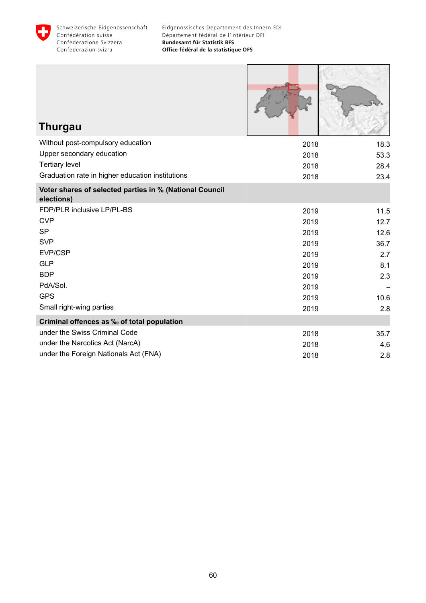

| <b>Thurgau</b>                                                        |      |      |
|-----------------------------------------------------------------------|------|------|
| Without post-compulsory education                                     | 2018 | 18.3 |
| Upper secondary education                                             | 2018 | 53.3 |
| <b>Tertiary level</b>                                                 | 2018 | 28.4 |
| Graduation rate in higher education institutions                      | 2018 | 23.4 |
| Voter shares of selected parties in % (National Council<br>elections) |      |      |
| FDP/PLR inclusive LP/PL-BS                                            | 2019 | 11.5 |
| <b>CVP</b>                                                            | 2019 | 12.7 |
| <b>SP</b>                                                             | 2019 | 12.6 |
| <b>SVP</b>                                                            | 2019 | 36.7 |
| EVP/CSP                                                               | 2019 | 2.7  |
| <b>GLP</b>                                                            | 2019 | 8.1  |
| <b>BDP</b>                                                            | 2019 | 2.3  |
| PdA/Sol.                                                              | 2019 |      |
| <b>GPS</b>                                                            | 2019 | 10.6 |
| Small right-wing parties                                              | 2019 | 2.8  |
| <b>Criminal offences as ‰ of total population</b>                     |      |      |
| under the Swiss Criminal Code                                         | 2018 | 35.7 |
| under the Narcotics Act (NarcA)                                       | 2018 | 4.6  |
| under the Foreign Nationals Act (FNA)                                 | 2018 | 2.8  |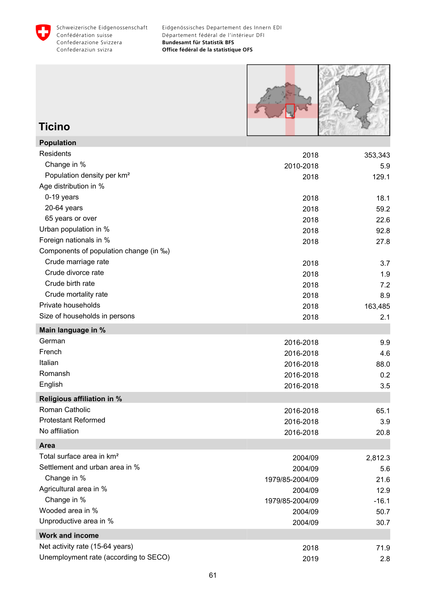



# **Ticino**

| <b>Population</b>                      |                 |         |
|----------------------------------------|-----------------|---------|
| <b>Residents</b>                       | 2018            | 353,343 |
| Change in %                            | 2010-2018       | 5.9     |
| Population density per km <sup>2</sup> | 2018            | 129.1   |
| Age distribution in %                  |                 |         |
| 0-19 years                             | 2018            | 18.1    |
| $20-64$ years                          | 2018            | 59.2    |
| 65 years or over                       | 2018            | 22.6    |
| Urban population in %                  | 2018            | 92.8    |
| Foreign nationals in %                 | 2018            | 27.8    |
| Components of population change (in ‰) |                 |         |
| Crude marriage rate                    | 2018            | 3.7     |
| Crude divorce rate                     | 2018            | 1.9     |
| Crude birth rate                       | 2018            | 7.2     |
| Crude mortality rate                   | 2018            | 8.9     |
| Private households                     | 2018            | 163,485 |
| Size of households in persons          | 2018            | 2.1     |
| Main language in %                     |                 |         |
| German                                 | 2016-2018       | 9.9     |
| French                                 | 2016-2018       | 4.6     |
| Italian                                | 2016-2018       | 88.0    |
| Romansh                                | 2016-2018       | 0.2     |
| English                                | 2016-2018       | 3.5     |
| <b>Religious affiliation in %</b>      |                 |         |
| Roman Catholic                         | 2016-2018       | 65.1    |
| <b>Protestant Reformed</b>             | 2016-2018       | 3.9     |
| No affiliation                         | 2016-2018       | 20.8    |
| Area                                   |                 |         |
| Total surface area in km <sup>2</sup>  | 2004/09         | 2,812.3 |
| Settlement and urban area in %         | 2004/09         | 5.6     |
| Change in %                            | 1979/85-2004/09 | 21.6    |
| Agricultural area in %                 | 2004/09         | 12.9    |
| Change in %                            | 1979/85-2004/09 | $-16.1$ |
| Wooded area in %                       | 2004/09         | 50.7    |
| Unproductive area in %                 | 2004/09         | 30.7    |
| <b>Work and income</b>                 |                 |         |
| Net activity rate (15-64 years)        | 2018            | 71.9    |
| Unemployment rate (according to SECO)  | 2019            | 2.8     |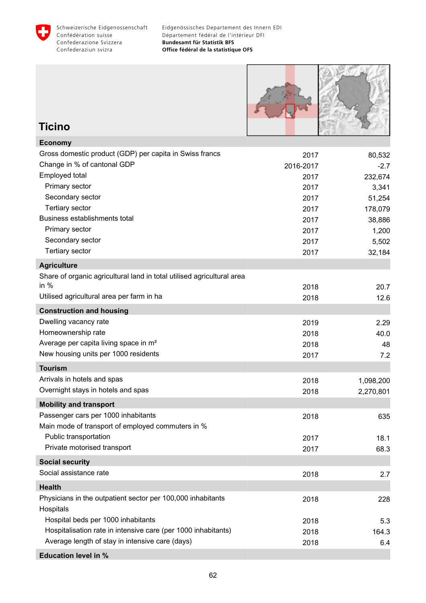



### **Ticino**

| <b>Economy</b>                                                         |           |           |
|------------------------------------------------------------------------|-----------|-----------|
| Gross domestic product (GDP) per capita in Swiss francs                | 2017      | 80,532    |
| Change in % of cantonal GDP                                            | 2016-2017 | $-2.7$    |
| Employed total                                                         | 2017      | 232,674   |
| Primary sector                                                         | 2017      | 3,341     |
| Secondary sector                                                       | 2017      | 51,254    |
| <b>Tertiary sector</b>                                                 | 2017      | 178,079   |
| Business establishments total                                          | 2017      | 38,886    |
| Primary sector                                                         | 2017      | 1,200     |
| Secondary sector                                                       | 2017      | 5,502     |
| <b>Tertiary sector</b>                                                 | 2017      | 32,184    |
| <b>Agriculture</b>                                                     |           |           |
| Share of organic agricultural land in total utilised agricultural area |           |           |
| in $%$                                                                 | 2018      | 20.7      |
| Utilised agricultural area per farm in ha                              | 2018      | 12.6      |
| <b>Construction and housing</b>                                        |           |           |
| Dwelling vacancy rate                                                  | 2019      | 2.29      |
| Homeownership rate                                                     | 2018      | 40.0      |
| Average per capita living space in m <sup>2</sup>                      | 2018      | 48        |
| New housing units per 1000 residents                                   | 2017      | 7.2       |
| <b>Tourism</b>                                                         |           |           |
| Arrivals in hotels and spas                                            | 2018      | 1,098,200 |
| Overnight stays in hotels and spas                                     | 2018      | 2,270,801 |
| <b>Mobility and transport</b>                                          |           |           |
| Passenger cars per 1000 inhabitants                                    | 2018      | 635       |
| Main mode of transport of employed commuters in %                      |           |           |
| Public transportation                                                  | 2017      | 18.1      |
| Private motorised transport                                            | 2017      | 68.3      |
| <b>Social security</b>                                                 |           |           |
| Social assistance rate                                                 | 2018      | 2.7       |
| <b>Health</b>                                                          |           |           |
| Physicians in the outpatient sector per 100,000 inhabitants            | 2018      | 228       |
| Hospitals                                                              |           |           |
| Hospital beds per 1000 inhabitants                                     | 2018      | 5.3       |
| Hospitalisation rate in intensive care (per 1000 inhabitants)          | 2018      | 164.3     |
| Average length of stay in intensive care (days)                        | 2018      | 6.4       |
| <b>Education level in %</b>                                            |           |           |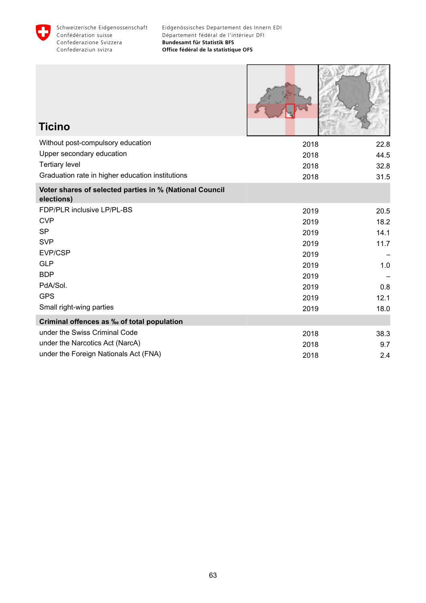

| <b>Ticino</b>                                                         |      |      |
|-----------------------------------------------------------------------|------|------|
| Without post-compulsory education                                     | 2018 | 22.8 |
| Upper secondary education                                             | 2018 | 44.5 |
| <b>Tertiary level</b>                                                 | 2018 | 32.8 |
| Graduation rate in higher education institutions                      | 2018 | 31.5 |
| Voter shares of selected parties in % (National Council<br>elections) |      |      |
| FDP/PLR inclusive LP/PL-BS                                            | 2019 | 20.5 |
| <b>CVP</b>                                                            | 2019 | 18.2 |
| <b>SP</b>                                                             | 2019 | 14.1 |
| <b>SVP</b>                                                            | 2019 | 11.7 |
| EVP/CSP                                                               | 2019 |      |
| <b>GLP</b>                                                            | 2019 | 1.0  |
| <b>BDP</b>                                                            | 2019 |      |
| PdA/Sol.                                                              | 2019 | 0.8  |
| <b>GPS</b>                                                            | 2019 | 12.1 |
| Small right-wing parties                                              | 2019 | 18.0 |
| Criminal offences as ‰ of total population                            |      |      |
| under the Swiss Criminal Code                                         | 2018 | 38.3 |
| under the Narcotics Act (NarcA)                                       | 2018 | 9.7  |
| under the Foreign Nationals Act (FNA)                                 | 2018 | 2.4  |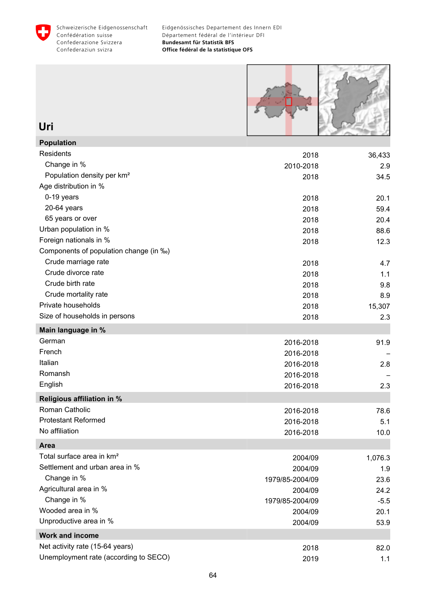



**Uri**

| <b>Population</b>                      |                 |         |
|----------------------------------------|-----------------|---------|
| Residents                              | 2018            | 36,433  |
| Change in %                            | 2010-2018       | 2.9     |
| Population density per km <sup>2</sup> | 2018            | 34.5    |
| Age distribution in %                  |                 |         |
| 0-19 years                             | 2018            | 20.1    |
| 20-64 years                            | 2018            | 59.4    |
| 65 years or over                       | 2018            | 20.4    |
| Urban population in %                  | 2018            | 88.6    |
| Foreign nationals in %                 | 2018            | 12.3    |
| Components of population change (in ‰) |                 |         |
| Crude marriage rate                    | 2018            | 4.7     |
| Crude divorce rate                     | 2018            | 1.1     |
| Crude birth rate                       | 2018            | 9.8     |
| Crude mortality rate                   | 2018            | 8.9     |
| Private households                     | 2018            | 15,307  |
| Size of households in persons          | 2018            | 2.3     |
| Main language in %                     |                 |         |
| German                                 | 2016-2018       | 91.9    |
| French                                 | 2016-2018       |         |
| Italian                                | 2016-2018       | 2.8     |
| Romansh                                | 2016-2018       |         |
| English                                | 2016-2018       | 2.3     |
| Religious affiliation in %             |                 |         |
| Roman Catholic                         | 2016-2018       | 78.6    |
| <b>Protestant Reformed</b>             | 2016-2018       | 5.1     |
| No affiliation                         | 2016-2018       | 10.0    |
| Area                                   |                 |         |
| Total surface area in km <sup>2</sup>  | 2004/09         | 1,076.3 |
| Settlement and urban area in %         | 2004/09         | 1.9     |
| Change in %                            | 1979/85-2004/09 | 23.6    |
| Agricultural area in %                 | 2004/09         | 24.2    |
| Change in %                            | 1979/85-2004/09 | $-5.5$  |
| Wooded area in %                       | 2004/09         | 20.1    |
| Unproductive area in %                 | 2004/09         | 53.9    |
| <b>Work and income</b>                 |                 |         |
| Net activity rate (15-64 years)        | 2018            | 82.0    |
| Unemployment rate (according to SECO)  | 2019            | 1.1     |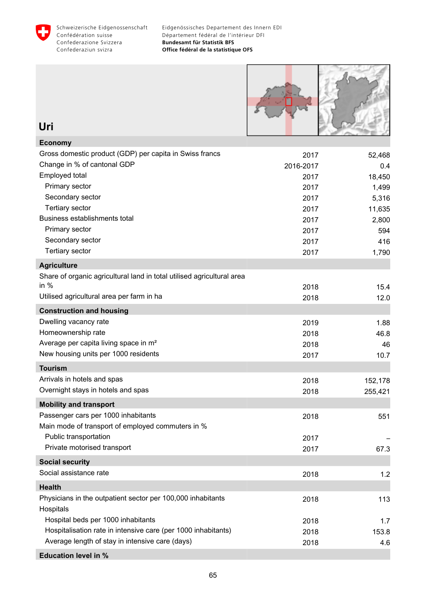



| Uri                                                                      |           |         |
|--------------------------------------------------------------------------|-----------|---------|
| <b>Economy</b>                                                           |           |         |
| Gross domestic product (GDP) per capita in Swiss francs                  | 2017      | 52,468  |
| Change in % of cantonal GDP                                              | 2016-2017 | 0.4     |
| Employed total                                                           | 2017      | 18,450  |
| Primary sector                                                           | 2017      | 1,499   |
| Secondary sector                                                         | 2017      | 5,316   |
| <b>Tertiary sector</b>                                                   | 2017      | 11,635  |
| Business establishments total                                            | 2017      | 2,800   |
| Primary sector                                                           | 2017      | 594     |
| Secondary sector                                                         | 2017      | 416     |
| <b>Tertiary sector</b>                                                   | 2017      | 1,790   |
| <b>Agriculture</b>                                                       |           |         |
| Share of organic agricultural land in total utilised agricultural area   |           |         |
| in $%$                                                                   | 2018      | 15.4    |
| Utilised agricultural area per farm in ha                                | 2018      | 12.0    |
| <b>Construction and housing</b>                                          |           |         |
| Dwelling vacancy rate                                                    | 2019      | 1.88    |
| Homeownership rate                                                       | 2018      | 46.8    |
| Average per capita living space in m <sup>2</sup>                        | 2018      | 46      |
| New housing units per 1000 residents                                     | 2017      | 10.7    |
| <b>Tourism</b>                                                           |           |         |
| Arrivals in hotels and spas                                              | 2018      | 152,178 |
| Overnight stays in hotels and spas                                       | 2018      | 255,421 |
| <b>Mobility and transport</b>                                            |           |         |
| Passenger cars per 1000 inhabitants                                      | 2018      | 551     |
| Main mode of transport of employed commuters in %                        |           |         |
| Public transportation                                                    | 2017      |         |
| Private motorised transport                                              | 2017      | 67.3    |
| <b>Social security</b>                                                   |           |         |
| Social assistance rate                                                   | 2018      | 1.2     |
| <b>Health</b>                                                            |           |         |
| Physicians in the outpatient sector per 100,000 inhabitants<br>Hospitals | 2018      | 113     |
| Hospital beds per 1000 inhabitants                                       | 2018      | 1.7     |
| Hospitalisation rate in intensive care (per 1000 inhabitants)            | 2018      | 153.8   |
| Average length of stay in intensive care (days)                          | 2018      | 4.6     |
|                                                                          |           |         |

#### **Education level in %**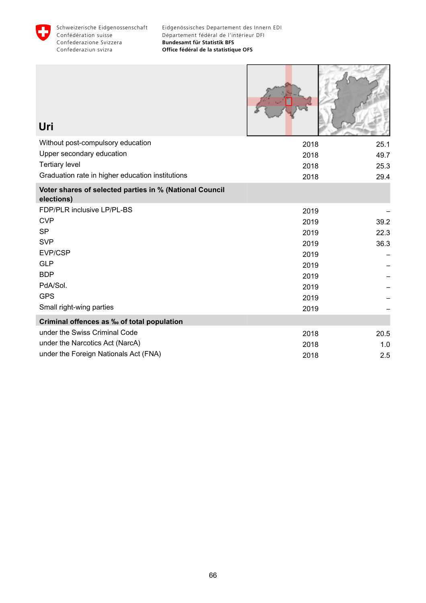

ſ

 $\begin{array}{c} \hline \end{array} \qquad \qquad \begin{array}{c} \hline \end{array} \qquad \qquad \begin{array}{c} \hline \end{array} \qquad \qquad \begin{array}{c} \hline \end{array} \qquad \qquad \begin{array}{c} \hline \end{array} \qquad \qquad \begin{array}{c} \hline \end{array} \qquad \qquad \begin{array}{c} \hline \end{array} \qquad \qquad \begin{array}{c} \hline \end{array} \qquad \qquad \begin{array}{c} \hline \end{array} \qquad \qquad \begin{array}{c} \hline \end{array} \qquad \qquad \begin{array}{c} \hline$ 

| Uri                                                                   |      |      |
|-----------------------------------------------------------------------|------|------|
| Without post-compulsory education                                     | 2018 | 25.1 |
| Upper secondary education                                             | 2018 | 49.7 |
| <b>Tertiary level</b>                                                 | 2018 | 25.3 |
| Graduation rate in higher education institutions                      | 2018 | 29.4 |
| Voter shares of selected parties in % (National Council<br>elections) |      |      |
| FDP/PLR inclusive LP/PL-BS                                            | 2019 |      |
| <b>CVP</b>                                                            | 2019 | 39.2 |
| <b>SP</b>                                                             | 2019 | 22.3 |
| <b>SVP</b>                                                            | 2019 | 36.3 |
| EVP/CSP                                                               | 2019 |      |
| <b>GLP</b>                                                            | 2019 |      |
| <b>BDP</b>                                                            | 2019 |      |
| PdA/Sol.                                                              | 2019 |      |
| <b>GPS</b>                                                            | 2019 |      |
| Small right-wing parties                                              | 2019 |      |
| Criminal offences as ‰ of total population                            |      |      |
| under the Swiss Criminal Code                                         | 2018 | 20.5 |
| under the Narcotics Act (NarcA)                                       | 2018 | 1.0  |
| under the Foreign Nationals Act (FNA)                                 | 2018 | 2.5  |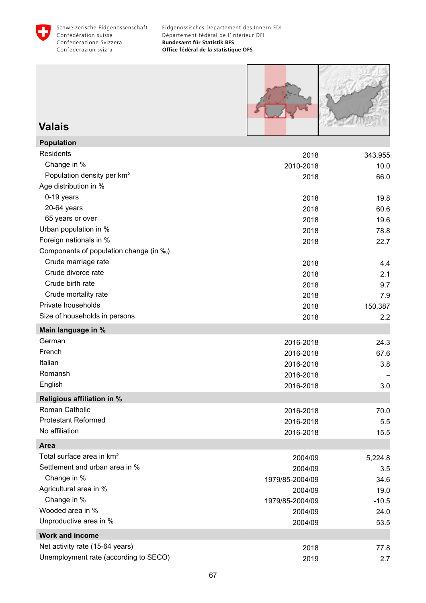



### **Valais**

| <b>Population</b>                      |                 |         |
|----------------------------------------|-----------------|---------|
| Residents                              | 2018            | 343,955 |
| Change in %                            | 2010-2018       | 10.0    |
| Population density per km <sup>2</sup> | 2018            | 66.0    |
| Age distribution in %                  |                 |         |
| 0-19 years                             | 2018            | 19.8    |
| 20-64 years                            | 2018            | 60.6    |
| 65 years or over                       | 2018            | 19.6    |
| Urban population in %                  | 2018            | 78.8    |
| Foreign nationals in %                 | 2018            | 22.7    |
| Components of population change (in ‰) |                 |         |
| Crude marriage rate                    | 2018            | 4.4     |
| Crude divorce rate                     | 2018            | 2.1     |
| Crude birth rate                       | 2018            | 9.7     |
| Crude mortality rate                   | 2018            | 7.9     |
| Private households                     | 2018            | 150,387 |
| Size of households in persons          | 2018            | 2.2     |
| Main language in %                     |                 |         |
| German                                 | 2016-2018       | 24.3    |
| French                                 | 2016-2018       | 67.6    |
| Italian                                | 2016-2018       | 3.8     |
| Romansh                                | 2016-2018       |         |
| English                                | 2016-2018       | 3.0     |
| Religious affiliation in %             |                 |         |
| Roman Catholic                         | 2016-2018       | 70.0    |
| <b>Protestant Reformed</b>             | 2016-2018       | 5.5     |
| No affiliation                         | 2016-2018       | 15.5    |
| Area                                   |                 |         |
| Total surface area in km <sup>2</sup>  | 2004/09         | 5,224.8 |
| Settlement and urban area in %         | 2004/09         | 3.5     |
| Change in %                            | 1979/85-2004/09 | 34.6    |
| Agricultural area in %                 | 2004/09         | 19.0    |
| Change in %                            | 1979/85-2004/09 | $-10.5$ |
| Wooded area in %                       | 2004/09         | 24.0    |
| Unproductive area in %                 | 2004/09         | 53.5    |
| <b>Work and income</b>                 |                 |         |
| Net activity rate (15-64 years)        | 2018            | 77.8    |
| Unemployment rate (according to SECO)  | 2019            | 2.7     |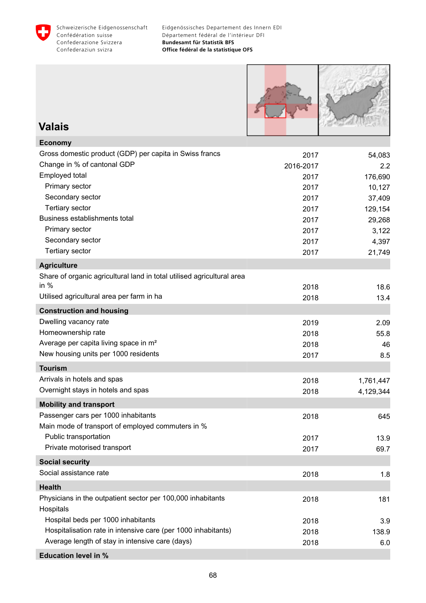



### **Valais**

| <b>Economy</b>                                                         |           |           |
|------------------------------------------------------------------------|-----------|-----------|
| Gross domestic product (GDP) per capita in Swiss francs                | 2017      | 54,083    |
| Change in % of cantonal GDP                                            | 2016-2017 | 2.2       |
| Employed total                                                         | 2017      | 176,690   |
| Primary sector                                                         | 2017      | 10,127    |
| Secondary sector                                                       | 2017      | 37,409    |
| <b>Tertiary sector</b>                                                 | 2017      | 129,154   |
| Business establishments total                                          | 2017      | 29,268    |
| Primary sector                                                         | 2017      | 3,122     |
| Secondary sector                                                       | 2017      | 4,397     |
| <b>Tertiary sector</b>                                                 | 2017      | 21,749    |
| <b>Agriculture</b>                                                     |           |           |
| Share of organic agricultural land in total utilised agricultural area |           |           |
| in $%$                                                                 | 2018      | 18.6      |
| Utilised agricultural area per farm in ha                              | 2018      | 13.4      |
| <b>Construction and housing</b>                                        |           |           |
| Dwelling vacancy rate                                                  | 2019      | 2.09      |
| Homeownership rate                                                     | 2018      | 55.8      |
| Average per capita living space in m <sup>2</sup>                      | 2018      | 46        |
| New housing units per 1000 residents                                   | 2017      | 8.5       |
| <b>Tourism</b>                                                         |           |           |
| Arrivals in hotels and spas                                            | 2018      | 1,761,447 |
| Overnight stays in hotels and spas                                     | 2018      | 4,129,344 |
| <b>Mobility and transport</b>                                          |           |           |
| Passenger cars per 1000 inhabitants                                    | 2018      | 645       |
| Main mode of transport of employed commuters in %                      |           |           |
| Public transportation                                                  | 2017      | 13.9      |
| Private motorised transport                                            | 2017      | 69.7      |
| <b>Social security</b>                                                 |           |           |
| Social assistance rate                                                 | 2018      | 1.8       |
| <b>Health</b>                                                          |           |           |
| Physicians in the outpatient sector per 100,000 inhabitants            | 2018      | 181       |
| Hospitals                                                              |           |           |
| Hospital beds per 1000 inhabitants                                     | 2018      | 3.9       |
| Hospitalisation rate in intensive care (per 1000 inhabitants)          | 2018      | 138.9     |
| Average length of stay in intensive care (days)                        | 2018      | 6.0       |
| <b>Education level in %</b>                                            |           |           |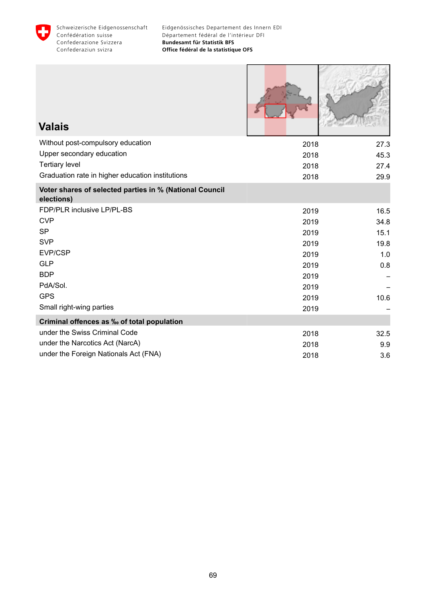

| <b>Valais</b>                                                         |      |      |
|-----------------------------------------------------------------------|------|------|
| Without post-compulsory education                                     | 2018 | 27.3 |
| Upper secondary education                                             | 2018 | 45.3 |
| <b>Tertiary level</b>                                                 | 2018 | 27.4 |
| Graduation rate in higher education institutions                      | 2018 | 29.9 |
| Voter shares of selected parties in % (National Council<br>elections) |      |      |
| FDP/PLR inclusive LP/PL-BS                                            | 2019 | 16.5 |
| <b>CVP</b>                                                            | 2019 | 34.8 |
| <b>SP</b>                                                             | 2019 | 15.1 |
| <b>SVP</b>                                                            | 2019 | 19.8 |
| EVP/CSP                                                               | 2019 | 1.0  |
| <b>GLP</b>                                                            | 2019 | 0.8  |
| <b>BDP</b>                                                            | 2019 |      |
| PdA/Sol.                                                              | 2019 |      |
| <b>GPS</b>                                                            | 2019 | 10.6 |
| Small right-wing parties                                              | 2019 |      |
| Criminal offences as ‰ of total population                            |      |      |
| under the Swiss Criminal Code                                         | 2018 | 32.5 |
| under the Narcotics Act (NarcA)                                       | 2018 | 9.9  |
| under the Foreign Nationals Act (FNA)                                 | 2018 | 3.6  |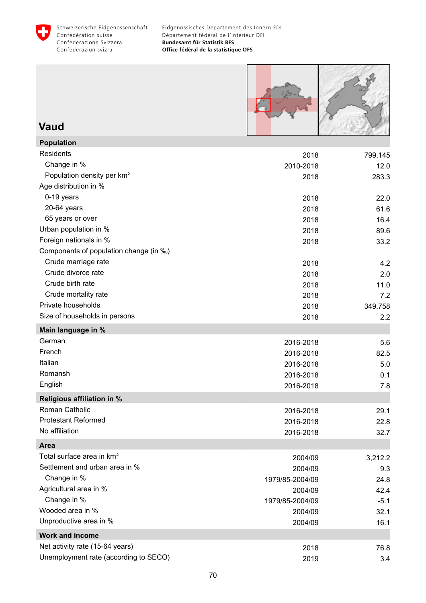



### **Vaud**

| <b>Population</b>                      |                 |         |
|----------------------------------------|-----------------|---------|
| <b>Residents</b>                       | 2018            | 799,145 |
| Change in %                            | 2010-2018       | 12.0    |
| Population density per km <sup>2</sup> | 2018            | 283.3   |
| Age distribution in %                  |                 |         |
| 0-19 years                             | 2018            | 22.0    |
| 20-64 years                            | 2018            | 61.6    |
| 65 years or over                       | 2018            | 16.4    |
| Urban population in %                  | 2018            | 89.6    |
| Foreign nationals in %                 | 2018            | 33.2    |
| Components of population change (in ‰) |                 |         |
| Crude marriage rate                    | 2018            | 4.2     |
| Crude divorce rate                     | 2018            | 2.0     |
| Crude birth rate                       | 2018            | 11.0    |
| Crude mortality rate                   | 2018            | 7.2     |
| Private households                     | 2018            | 349,758 |
| Size of households in persons          | 2018            | 2.2     |
| Main language in %                     |                 |         |
| German                                 | 2016-2018       | 5.6     |
| French                                 | 2016-2018       | 82.5    |
| Italian                                | 2016-2018       | 5.0     |
| Romansh                                | 2016-2018       | 0.1     |
| English                                | 2016-2018       | 7.8     |
| Religious affiliation in %             |                 |         |
| Roman Catholic                         | 2016-2018       | 29.1    |
| <b>Protestant Reformed</b>             | 2016-2018       | 22.8    |
| No affiliation                         | 2016-2018       | 32.7    |
| Area                                   |                 |         |
| Total surface area in km <sup>2</sup>  | 2004/09         | 3,212.2 |
| Settlement and urban area in %         | 2004/09         | 9.3     |
| Change in %                            | 1979/85-2004/09 | 24.8    |
| Agricultural area in %                 | 2004/09         | 42.4    |
| Change in %                            | 1979/85-2004/09 | $-5.1$  |
| Wooded area in %                       | 2004/09         | 32.1    |
| Unproductive area in %                 | 2004/09         | 16.1    |
| <b>Work and income</b>                 |                 |         |
| Net activity rate (15-64 years)        | 2018            | 76.8    |
| Unemployment rate (according to SECO)  | 2019            | 3.4     |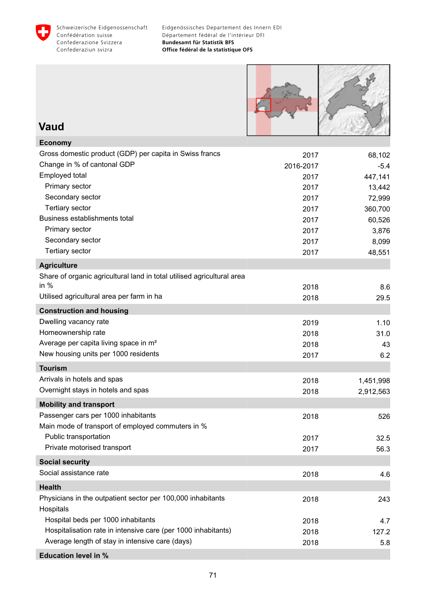



### **Vaud**

| <b>Economy</b>                                                         |           |           |
|------------------------------------------------------------------------|-----------|-----------|
| Gross domestic product (GDP) per capita in Swiss francs                | 2017      | 68,102    |
| Change in % of cantonal GDP                                            | 2016-2017 | $-5.4$    |
| Employed total                                                         | 2017      | 447,141   |
| Primary sector                                                         | 2017      | 13,442    |
| Secondary sector                                                       | 2017      | 72,999    |
| <b>Tertiary sector</b>                                                 | 2017      | 360,700   |
| Business establishments total                                          | 2017      | 60,526    |
| Primary sector                                                         | 2017      | 3,876     |
| Secondary sector                                                       | 2017      | 8,099     |
| Tertiary sector                                                        | 2017      | 48,551    |
| <b>Agriculture</b>                                                     |           |           |
| Share of organic agricultural land in total utilised agricultural area |           |           |
| in $%$                                                                 | 2018      | 8.6       |
| Utilised agricultural area per farm in ha                              | 2018      | 29.5      |
| <b>Construction and housing</b>                                        |           |           |
| Dwelling vacancy rate                                                  | 2019      | 1.10      |
| Homeownership rate                                                     | 2018      | 31.0      |
| Average per capita living space in m <sup>2</sup>                      | 2018      | 43        |
| New housing units per 1000 residents                                   | 2017      | 6.2       |
| <b>Tourism</b>                                                         |           |           |
| Arrivals in hotels and spas                                            | 2018      | 1,451,998 |
| Overnight stays in hotels and spas                                     | 2018      | 2,912,563 |
| <b>Mobility and transport</b>                                          |           |           |
| Passenger cars per 1000 inhabitants                                    | 2018      | 526       |
| Main mode of transport of employed commuters in %                      |           |           |
| Public transportation                                                  | 2017      | 32.5      |
| Private motorised transport                                            | 2017      | 56.3      |
| <b>Social security</b>                                                 |           |           |
| Social assistance rate                                                 | 2018      | 4.6       |
| <b>Health</b>                                                          |           |           |
| Physicians in the outpatient sector per 100,000 inhabitants            | 2018      | 243       |
| Hospitals                                                              |           |           |
| Hospital beds per 1000 inhabitants                                     | 2018      | 4.7       |
| Hospitalisation rate in intensive care (per 1000 inhabitants)          | 2018      | 127.2     |
| Average length of stay in intensive care (days)                        | 2018      | 5.8       |
| <b>Education level in %</b>                                            |           |           |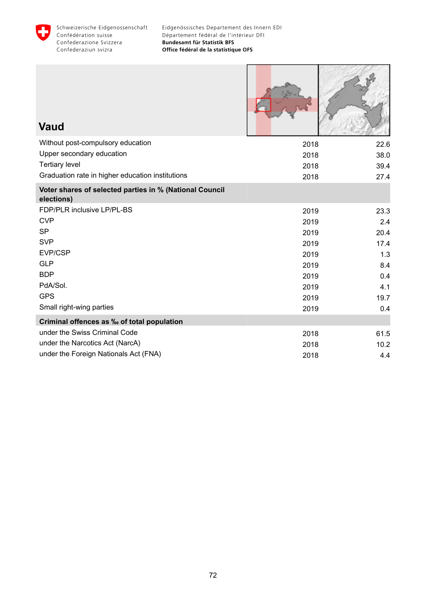

| <b>Vaud</b>                                                           |      |      |
|-----------------------------------------------------------------------|------|------|
| Without post-compulsory education                                     | 2018 | 22.6 |
| Upper secondary education                                             | 2018 | 38.0 |
| <b>Tertiary level</b>                                                 | 2018 | 39.4 |
| Graduation rate in higher education institutions                      | 2018 | 27.4 |
| Voter shares of selected parties in % (National Council<br>elections) |      |      |
| FDP/PLR inclusive LP/PL-BS                                            | 2019 | 23.3 |
| <b>CVP</b>                                                            | 2019 | 2.4  |
| <b>SP</b>                                                             | 2019 | 20.4 |
| <b>SVP</b>                                                            | 2019 | 17.4 |
| EVP/CSP                                                               | 2019 | 1.3  |
| <b>GLP</b>                                                            | 2019 | 8.4  |
| <b>BDP</b>                                                            | 2019 | 0.4  |
| PdA/Sol.                                                              | 2019 | 4.1  |
| <b>GPS</b>                                                            | 2019 | 19.7 |
| Small right-wing parties                                              | 2019 | 0.4  |
| Criminal offences as ‰ of total population                            |      |      |
| under the Swiss Criminal Code                                         | 2018 | 61.5 |
| under the Narcotics Act (NarcA)                                       | 2018 | 10.2 |
| under the Foreign Nationals Act (FNA)                                 | 2018 | 4.4  |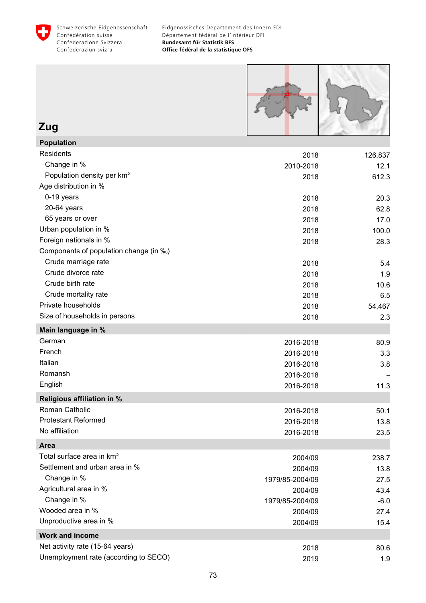



**Zug**

| <b>Population</b>                      |                 |         |
|----------------------------------------|-----------------|---------|
| Residents                              | 2018            | 126,837 |
| Change in %                            | 2010-2018       | 12.1    |
| Population density per km <sup>2</sup> | 2018            | 612.3   |
| Age distribution in %                  |                 |         |
| 0-19 years                             | 2018            | 20.3    |
| 20-64 years                            | 2018            | 62.8    |
| 65 years or over                       | 2018            | 17.0    |
| Urban population in %                  | 2018            | 100.0   |
| Foreign nationals in %                 | 2018            | 28.3    |
| Components of population change (in ‰) |                 |         |
| Crude marriage rate                    | 2018            | 5.4     |
| Crude divorce rate                     | 2018            | 1.9     |
| Crude birth rate                       | 2018            | 10.6    |
| Crude mortality rate                   | 2018            | 6.5     |
| Private households                     | 2018            | 54,467  |
| Size of households in persons          | 2018            | 2.3     |
| Main language in %                     |                 |         |
| German                                 | 2016-2018       | 80.9    |
| French                                 | 2016-2018       | 3.3     |
| Italian                                | 2016-2018       | 3.8     |
| Romansh                                | 2016-2018       |         |
| English                                | 2016-2018       | 11.3    |
| Religious affiliation in %             |                 |         |
| Roman Catholic                         | 2016-2018       | 50.1    |
| <b>Protestant Reformed</b>             | 2016-2018       | 13.8    |
| No affiliation                         | 2016-2018       | 23.5    |
| Area                                   |                 |         |
| Total surface area in km <sup>2</sup>  | 2004/09         | 238.7   |
| Settlement and urban area in %         | 2004/09         | 13.8    |
| Change in %                            | 1979/85-2004/09 | 27.5    |
| Agricultural area in %                 | 2004/09         | 43.4    |
| Change in %                            | 1979/85-2004/09 | $-6.0$  |
| Wooded area in %                       | 2004/09         | 27.4    |
| Unproductive area in %                 | 2004/09         | 15.4    |
| <b>Work and income</b>                 |                 |         |
| Net activity rate (15-64 years)        | 2018            | 80.6    |
| Unemployment rate (according to SECO)  | 2019            | 1.9     |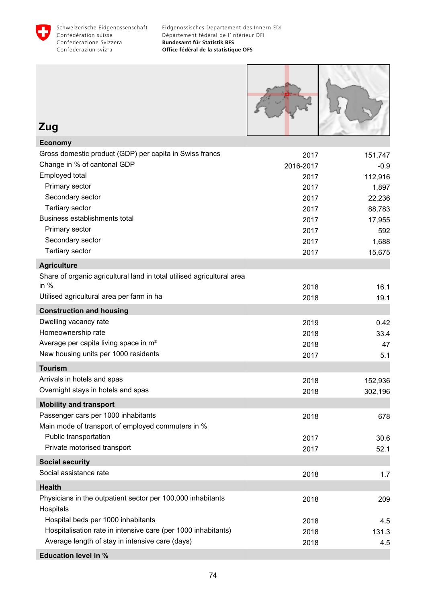

**Education level in %**

| Zug                                                                    |           |         |
|------------------------------------------------------------------------|-----------|---------|
| <b>Economy</b>                                                         |           |         |
| Gross domestic product (GDP) per capita in Swiss francs                | 2017      | 151,747 |
| Change in % of cantonal GDP                                            | 2016-2017 | $-0.9$  |
| Employed total                                                         | 2017      | 112,916 |
| Primary sector                                                         | 2017      | 1,897   |
| Secondary sector                                                       | 2017      | 22,236  |
| <b>Tertiary sector</b>                                                 | 2017      | 88,783  |
| Business establishments total                                          | 2017      | 17,955  |
| Primary sector                                                         | 2017      | 592     |
| Secondary sector                                                       | 2017      | 1,688   |
| <b>Tertiary sector</b>                                                 | 2017      | 15,675  |
| <b>Agriculture</b>                                                     |           |         |
| Share of organic agricultural land in total utilised agricultural area |           |         |
| in $%$                                                                 | 2018      | 16.1    |
| Utilised agricultural area per farm in ha                              | 2018      | 19.1    |
| <b>Construction and housing</b>                                        |           |         |
| Dwelling vacancy rate                                                  | 2019      | 0.42    |
| Homeownership rate                                                     | 2018      | 33.4    |
| Average per capita living space in m <sup>2</sup>                      | 2018      | 47      |
| New housing units per 1000 residents                                   | 2017      | 5.1     |
| <b>Tourism</b>                                                         |           |         |
| Arrivals in hotels and spas                                            | 2018      | 152,936 |
| Overnight stays in hotels and spas                                     | 2018      | 302,196 |
| <b>Mobility and transport</b>                                          |           |         |
| Passenger cars per 1000 inhabitants                                    | 2018      | 678     |
| Main mode of transport of employed commuters in %                      |           |         |
| Public transportation                                                  | 2017      | 30.6    |
| Private motorised transport                                            | 2017      | 52.1    |
| <b>Social security</b>                                                 |           |         |
| Social assistance rate                                                 | 2018      | 1.7     |
| <b>Health</b>                                                          |           |         |
| Physicians in the outpatient sector per 100,000 inhabitants            | 2018      | 209     |
| Hospitals                                                              |           |         |
| Hospital beds per 1000 inhabitants                                     | 2018      | 4.5     |
| Hospitalisation rate in intensive care (per 1000 inhabitants)          | 2018      | 131.3   |
| Average length of stay in intensive care (days)                        | 2018      | 4.5     |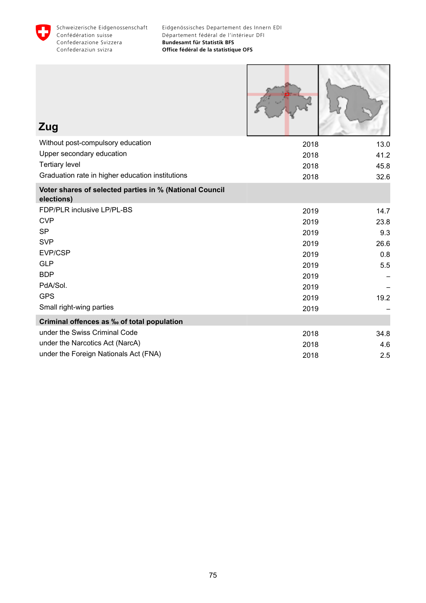

| Zug                                                                   |      |      |
|-----------------------------------------------------------------------|------|------|
| Without post-compulsory education                                     | 2018 | 13.0 |
| Upper secondary education                                             | 2018 | 41.2 |
| <b>Tertiary level</b>                                                 | 2018 | 45.8 |
| Graduation rate in higher education institutions                      | 2018 | 32.6 |
| Voter shares of selected parties in % (National Council<br>elections) |      |      |
| FDP/PLR inclusive LP/PL-BS                                            | 2019 | 14.7 |
| <b>CVP</b>                                                            | 2019 | 23.8 |
| <b>SP</b>                                                             | 2019 | 9.3  |
| <b>SVP</b>                                                            | 2019 | 26.6 |
| EVP/CSP                                                               | 2019 | 0.8  |
| <b>GLP</b>                                                            | 2019 | 5.5  |
| <b>BDP</b>                                                            | 2019 |      |
| PdA/Sol.                                                              | 2019 |      |
| <b>GPS</b>                                                            | 2019 | 19.2 |
| Small right-wing parties                                              | 2019 |      |
| Criminal offences as ‰ of total population                            |      |      |
| under the Swiss Criminal Code                                         | 2018 | 34.8 |
| under the Narcotics Act (NarcA)                                       | 2018 | 4.6  |
| under the Foreign Nationals Act (FNA)                                 | 2018 | 2.5  |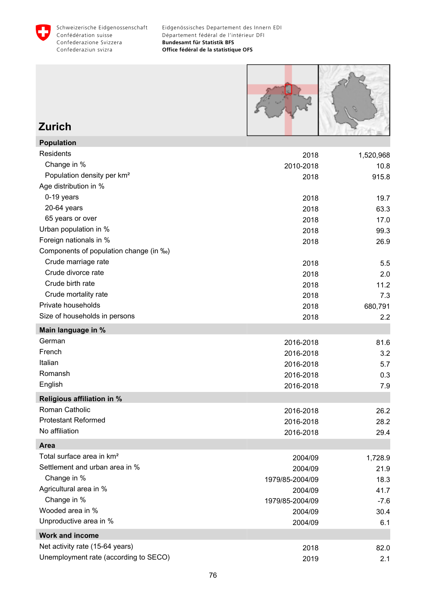



#### **Zurich Population**

| Population                             |                 |           |
|----------------------------------------|-----------------|-----------|
| Residents                              | 2018            | 1,520,968 |
| Change in %                            | 2010-2018       | 10.8      |
| Population density per km <sup>2</sup> | 2018            | 915.8     |
| Age distribution in %                  |                 |           |
| 0-19 years                             | 2018            | 19.7      |
| 20-64 years                            | 2018            | 63.3      |
| 65 years or over                       | 2018            | 17.0      |
| Urban population in %                  | 2018            | 99.3      |
| Foreign nationals in %                 | 2018            | 26.9      |
| Components of population change (in ‰) |                 |           |
| Crude marriage rate                    | 2018            | 5.5       |
| Crude divorce rate                     | 2018            | 2.0       |
| Crude birth rate                       | 2018            | 11.2      |
| Crude mortality rate                   | 2018            | 7.3       |
| Private households                     | 2018            | 680,791   |
| Size of households in persons          | 2018            | 2.2       |
| Main language in %                     |                 |           |
| German                                 | 2016-2018       | 81.6      |
| French                                 | 2016-2018       | 3.2       |
| Italian                                | 2016-2018       | 5.7       |
| Romansh                                | 2016-2018       | 0.3       |
| English                                | 2016-2018       | 7.9       |
| <b>Religious affiliation in %</b>      |                 |           |
| Roman Catholic                         | 2016-2018       | 26.2      |
| <b>Protestant Reformed</b>             | 2016-2018       | 28.2      |
| No affiliation                         | 2016-2018       | 29.4      |
| <b>Area</b>                            |                 |           |
| Total surface area in km <sup>2</sup>  | 2004/09         | 1,728.9   |
| Settlement and urban area in %         | 2004/09         | 21.9      |
| Change in %                            | 1979/85-2004/09 | 18.3      |
| Agricultural area in %                 | 2004/09         | 41.7      |
| Change in %                            | 1979/85-2004/09 | $-7.6$    |
| Wooded area in %                       | 2004/09         | 30.4      |
| Unproductive area in %                 | 2004/09         | 6.1       |
| Work and income                        |                 |           |
| Net activity rate (15-64 years)        | 2018            | 82.0      |
| Unemployment rate (according to SECO)  | 2019            | 2.1       |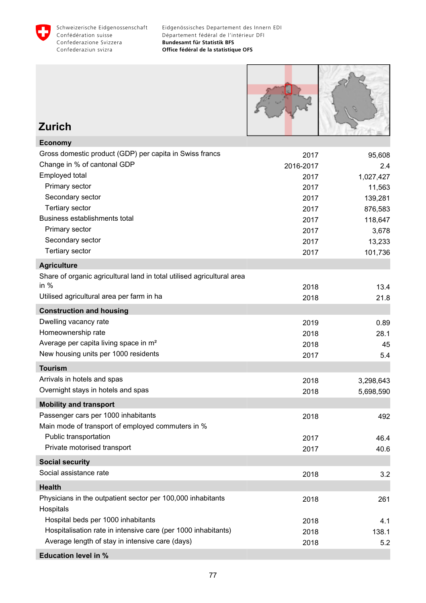



### **Zurich**

| <b>Economy</b>                                                         |           |           |
|------------------------------------------------------------------------|-----------|-----------|
| Gross domestic product (GDP) per capita in Swiss francs                | 2017      | 95,608    |
| Change in % of cantonal GDP                                            | 2016-2017 | 2.4       |
| Employed total                                                         | 2017      | 1,027,427 |
| Primary sector                                                         | 2017      | 11,563    |
| Secondary sector                                                       | 2017      | 139,281   |
| <b>Tertiary sector</b>                                                 | 2017      | 876,583   |
| Business establishments total                                          | 2017      | 118,647   |
| Primary sector                                                         | 2017      | 3,678     |
| Secondary sector                                                       | 2017      | 13,233    |
| <b>Tertiary sector</b>                                                 | 2017      | 101,736   |
| <b>Agriculture</b>                                                     |           |           |
| Share of organic agricultural land in total utilised agricultural area |           |           |
| in $%$                                                                 | 2018      | 13.4      |
| Utilised agricultural area per farm in ha                              | 2018      | 21.8      |
| <b>Construction and housing</b>                                        |           |           |
| Dwelling vacancy rate                                                  | 2019      | 0.89      |
| Homeownership rate                                                     | 2018      | 28.1      |
| Average per capita living space in m <sup>2</sup>                      | 2018      | 45        |
| New housing units per 1000 residents                                   | 2017      | 5.4       |
| <b>Tourism</b>                                                         |           |           |
| Arrivals in hotels and spas                                            | 2018      | 3,298,643 |
| Overnight stays in hotels and spas                                     | 2018      | 5,698,590 |
| <b>Mobility and transport</b>                                          |           |           |
| Passenger cars per 1000 inhabitants                                    | 2018      | 492       |
| Main mode of transport of employed commuters in %                      |           |           |
| Public transportation                                                  | 2017      | 46.4      |
| Private motorised transport                                            | 2017      | 40.6      |
| <b>Social security</b>                                                 |           |           |
| Social assistance rate                                                 | 2018      | 3.2       |
| <b>Health</b>                                                          |           |           |
| Physicians in the outpatient sector per 100,000 inhabitants            | 2018      | 261       |
| Hospitals                                                              |           |           |
| Hospital beds per 1000 inhabitants                                     | 2018      | 4.1       |
| Hospitalisation rate in intensive care (per 1000 inhabitants)          | 2018      | 138.1     |
| Average length of stay in intensive care (days)                        | 2018      | 5.2       |
| <b>Education level in %</b>                                            |           |           |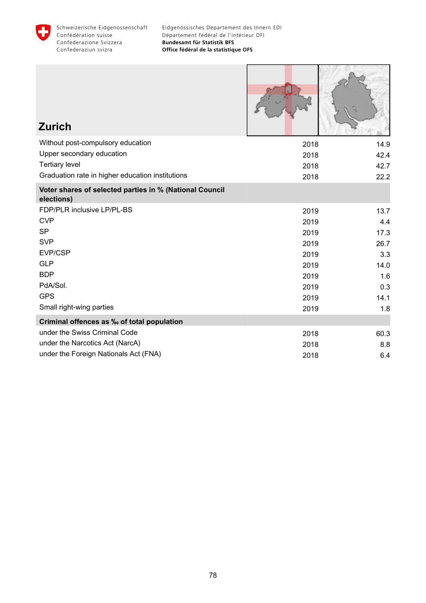

| <b>Zurich</b>                                                         |      |      |
|-----------------------------------------------------------------------|------|------|
| Without post-compulsory education                                     | 2018 | 14.9 |
| Upper secondary education                                             | 2018 | 42.4 |
| <b>Tertiary level</b>                                                 | 2018 | 42.7 |
| Graduation rate in higher education institutions                      | 2018 | 22.2 |
| Voter shares of selected parties in % (National Council<br>elections) |      |      |
| FDP/PLR inclusive LP/PL-BS                                            | 2019 | 13.7 |
| <b>CVP</b>                                                            | 2019 | 4.4  |
| <b>SP</b>                                                             | 2019 | 17.3 |
| <b>SVP</b>                                                            | 2019 | 26.7 |
| EVP/CSP                                                               | 2019 | 3.3  |
| <b>GLP</b>                                                            | 2019 | 14.0 |
| <b>BDP</b>                                                            | 2019 | 1.6  |
| PdA/Sol.                                                              | 2019 | 0.3  |
| <b>GPS</b>                                                            | 2019 | 14.1 |
| Small right-wing parties                                              | 2019 | 1.8  |
| Criminal offences as ‰ of total population                            |      |      |
| under the Swiss Criminal Code                                         | 2018 | 60.3 |
| under the Narcotics Act (NarcA)                                       | 2018 | 8.8  |
| under the Foreign Nationals Act (FNA)                                 | 2018 | 6.4  |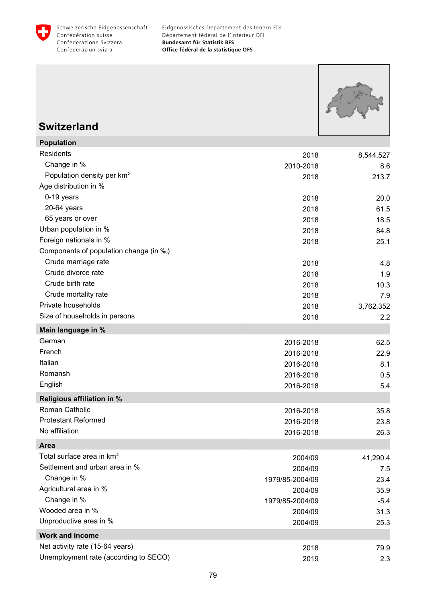



### **Switzerland**

**Population**

| Population                             |                 |           |
|----------------------------------------|-----------------|-----------|
| Residents                              | 2018            | 8,544,527 |
| Change in %                            | 2010-2018       | 8.6       |
| Population density per km <sup>2</sup> | 2018            | 213.7     |
| Age distribution in %                  |                 |           |
| 0-19 years                             | 2018            | 20.0      |
| 20-64 years                            | 2018            | 61.5      |
| 65 years or over                       | 2018            | 18.5      |
| Urban population in %                  | 2018            | 84.8      |
| Foreign nationals in %                 | 2018            | 25.1      |
| Components of population change (in ‰) |                 |           |
| Crude marriage rate                    | 2018            | 4.8       |
| Crude divorce rate                     | 2018            | 1.9       |
| Crude birth rate                       | 2018            | 10.3      |
| Crude mortality rate                   | 2018            | 7.9       |
| Private households                     | 2018            | 3,762,352 |
| Size of households in persons          | 2018            | 2.2       |
| Main language in %                     |                 |           |
| German                                 | 2016-2018       | 62.5      |
| French                                 | 2016-2018       | 22.9      |
| Italian                                | 2016-2018       | 8.1       |
| Romansh                                | 2016-2018       | 0.5       |
| English                                | 2016-2018       | 5.4       |
| <b>Religious affiliation in %</b>      |                 |           |
| Roman Catholic                         | 2016-2018       | 35.8      |
| <b>Protestant Reformed</b>             | 2016-2018       | 23.8      |
| No affiliation                         | 2016-2018       | 26.3      |
| <b>Area</b>                            |                 |           |
| Total surface area in km <sup>2</sup>  | 2004/09         | 41,290.4  |
| Settlement and urban area in %         | 2004/09         | 7.5       |
| Change in %                            | 1979/85-2004/09 | 23.4      |
| Agricultural area in %                 | 2004/09         | 35.9      |
| Change in %                            | 1979/85-2004/09 | $-5.4$    |
| Wooded area in %                       | 2004/09         | 31.3      |
| Unproductive area in %                 | 2004/09         | 25.3      |
| <b>Work and income</b>                 |                 |           |
| Net activity rate (15-64 years)        | 2018            | 79.9      |
| Unemployment rate (according to SECO)  | 2019            | 2.3       |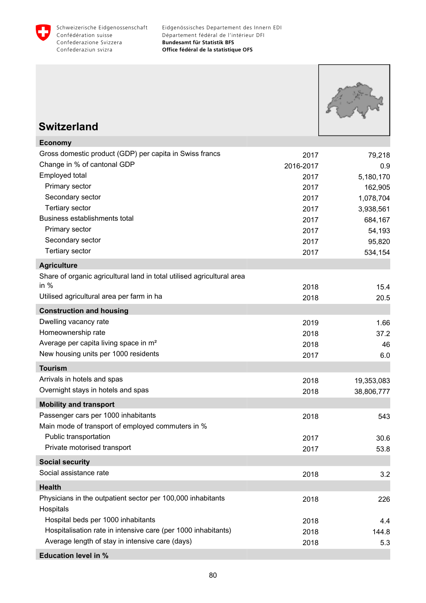



## **Switzerland**

| <b>Economy</b>                                                         |           |            |
|------------------------------------------------------------------------|-----------|------------|
| Gross domestic product (GDP) per capita in Swiss francs                | 2017      | 79,218     |
| Change in % of cantonal GDP                                            | 2016-2017 | 0.9        |
| Employed total                                                         | 2017      | 5,180,170  |
| Primary sector                                                         | 2017      | 162,905    |
| Secondary sector                                                       | 2017      | 1,078,704  |
| <b>Tertiary sector</b>                                                 | 2017      | 3,938,561  |
| Business establishments total                                          | 2017      | 684,167    |
| Primary sector                                                         | 2017      | 54,193     |
| Secondary sector                                                       | 2017      | 95,820     |
| <b>Tertiary sector</b>                                                 | 2017      | 534,154    |
| <b>Agriculture</b>                                                     |           |            |
| Share of organic agricultural land in total utilised agricultural area |           |            |
| in $%$                                                                 | 2018      | 15.4       |
| Utilised agricultural area per farm in ha                              | 2018      | 20.5       |
| <b>Construction and housing</b>                                        |           |            |
| Dwelling vacancy rate                                                  | 2019      | 1.66       |
| Homeownership rate                                                     | 2018      | 37.2       |
| Average per capita living space in m <sup>2</sup>                      | 2018      | 46         |
| New housing units per 1000 residents                                   | 2017      | 6.0        |
| <b>Tourism</b>                                                         |           |            |
| Arrivals in hotels and spas                                            | 2018      | 19,353,083 |
| Overnight stays in hotels and spas                                     | 2018      | 38,806,777 |
| <b>Mobility and transport</b>                                          |           |            |
| Passenger cars per 1000 inhabitants                                    | 2018      | 543        |
| Main mode of transport of employed commuters in %                      |           |            |
| Public transportation                                                  | 2017      | 30.6       |
| Private motorised transport                                            | 2017      | 53.8       |
| <b>Social security</b>                                                 |           |            |
| Social assistance rate                                                 | 2018      | 3.2        |
| <b>Health</b>                                                          |           |            |
| Physicians in the outpatient sector per 100,000 inhabitants            | 2018      | 226        |
| Hospitals                                                              |           |            |
| Hospital beds per 1000 inhabitants                                     | 2018      | 4.4        |
| Hospitalisation rate in intensive care (per 1000 inhabitants)          | 2018      | 144.8      |
| Average length of stay in intensive care (days)                        | 2018      | 5.3        |
| <b>Education level in %</b>                                            |           |            |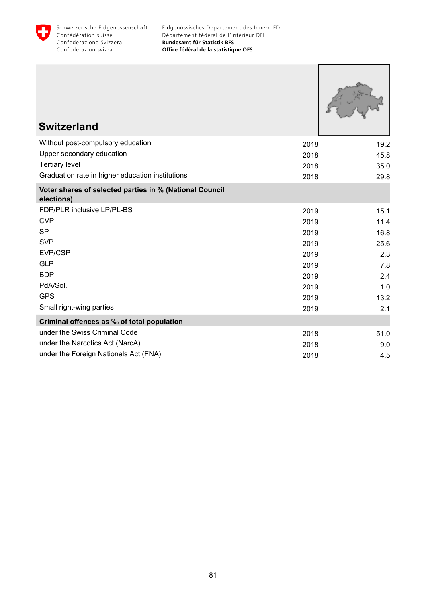

| <b>Switzerland</b>                                                    |      |      |
|-----------------------------------------------------------------------|------|------|
| Without post-compulsory education                                     | 2018 | 19.2 |
| Upper secondary education                                             | 2018 | 45.8 |
| <b>Tertiary level</b>                                                 | 2018 | 35.0 |
| Graduation rate in higher education institutions                      | 2018 | 29.8 |
| Voter shares of selected parties in % (National Council<br>elections) |      |      |
| FDP/PLR inclusive LP/PL-BS                                            | 2019 | 15.1 |
| <b>CVP</b>                                                            | 2019 | 11.4 |
| <b>SP</b>                                                             | 2019 | 16.8 |
| <b>SVP</b>                                                            | 2019 | 25.6 |
| EVP/CSP                                                               | 2019 | 2.3  |
| <b>GLP</b>                                                            | 2019 | 7.8  |
| <b>BDP</b>                                                            | 2019 | 2.4  |
| PdA/Sol.                                                              | 2019 | 1.0  |
| <b>GPS</b>                                                            | 2019 | 13.2 |
| Small right-wing parties                                              | 2019 | 2.1  |
| Criminal offences as ‰ of total population                            |      |      |
| under the Swiss Criminal Code                                         | 2018 | 51.0 |
| under the Narcotics Act (NarcA)                                       | 2018 | 9.0  |
| under the Foreign Nationals Act (FNA)                                 | 2018 | 4.5  |